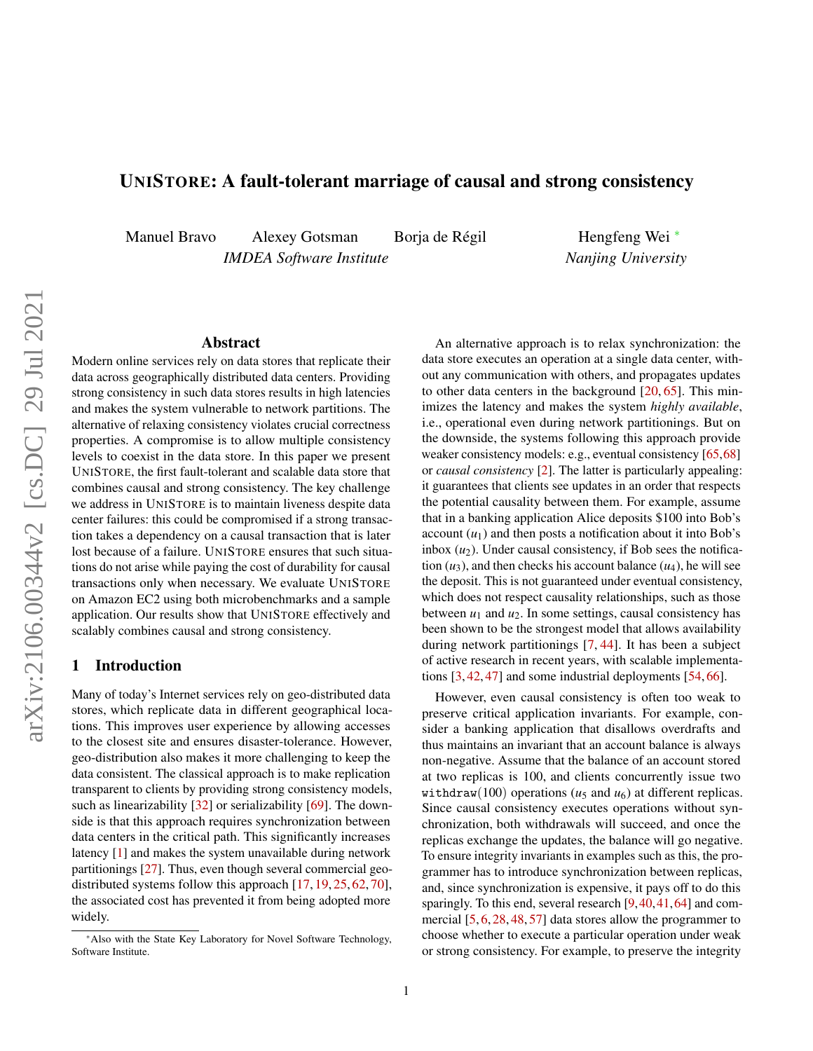# <span id="page-0-1"></span>UNISTORE: A fault-tolerant marriage of causal and strong consistency

Manuel Bravo Alexey Gotsman Borja de Régil

*IMDEA Software Institute*

Hengfeng Wei <sup>∗</sup> *Nanjing University*

## Abstract

Modern online services rely on data stores that replicate their data across geographically distributed data centers. Providing strong consistency in such data stores results in high latencies and makes the system vulnerable to network partitions. The alternative of relaxing consistency violates crucial correctness properties. A compromise is to allow multiple consistency levels to coexist in the data store. In this paper we present UNISTORE, the first fault-tolerant and scalable data store that combines causal and strong consistency. The key challenge we address in UNISTORE is to maintain liveness despite data center failures: this could be compromised if a strong transaction takes a dependency on a causal transaction that is later lost because of a failure. UNISTORE ensures that such situations do not arise while paying the cost of durability for causal transactions only when necessary. We evaluate UNISTORE on Amazon EC2 using both microbenchmarks and a sample application. Our results show that UNISTORE effectively and scalably combines causal and strong consistency.

# <span id="page-0-0"></span>1 Introduction

Many of today's Internet services rely on geo-distributed data stores, which replicate data in different geographical locations. This improves user experience by allowing accesses to the closest site and ensures disaster-tolerance. However, geo-distribution also makes it more challenging to keep the data consistent. The classical approach is to make replication transparent to clients by providing strong consistency models, such as linearizability [\[32\]](#page-13-0) or serializability [\[69\]](#page-14-0). The downside is that this approach requires synchronization between data centers in the critical path. This significantly increases latency [\[1\]](#page-12-0) and makes the system unavailable during network partitionings [\[27\]](#page-13-1). Thus, even though several commercial geo-distributed systems follow this approach [\[17,](#page-12-1) [19,](#page-12-2) [25,](#page-13-2) [62,](#page-14-1) [70\]](#page-14-2), the associated cost has prevented it from being adopted more widely.

An alternative approach is to relax synchronization: the data store executes an operation at a single data center, without any communication with others, and propagates updates to other data centers in the background [\[20,](#page-12-3) [65\]](#page-14-3). This minimizes the latency and makes the system *highly available*, i.e., operational even during network partitionings. But on the downside, the systems following this approach provide weaker consistency models: e.g., eventual consistency [\[65,](#page-14-3)[68\]](#page-14-4) or *causal consistency* [\[2\]](#page-12-4). The latter is particularly appealing: it guarantees that clients see updates in an order that respects the potential causality between them. For example, assume that in a banking application Alice deposits \$100 into Bob's account  $(u_1)$  and then posts a notification about it into Bob's inbox  $(u_2)$ . Under causal consistency, if Bob sees the notification  $(u_3)$ , and then checks his account balance  $(u_4)$ , he will see the deposit. This is not guaranteed under eventual consistency, which does not respect causality relationships, such as those between  $u_1$  and  $u_2$ . In some settings, causal consistency has been shown to be the strongest model that allows availability during network partitionings [\[7,](#page-12-5) [44\]](#page-13-3). It has been a subject of active research in recent years, with scalable implementations [\[3,](#page-12-6) [42,](#page-13-4) [47\]](#page-13-5) and some industrial deployments [\[54,](#page-14-5) [66\]](#page-14-6).

However, even causal consistency is often too weak to preserve critical application invariants. For example, consider a banking application that disallows overdrafts and thus maintains an invariant that an account balance is always non-negative. Assume that the balance of an account stored at two replicas is 100, and clients concurrently issue two withdraw(100) operations ( $u_5$  and  $u_6$ ) at different replicas. Since causal consistency executes operations without synchronization, both withdrawals will succeed, and once the replicas exchange the updates, the balance will go negative. To ensure integrity invariants in examples such as this, the programmer has to introduce synchronization between replicas, and, since synchronization is expensive, it pays off to do this sparingly. To this end, several research [\[9,](#page-12-7) [40,](#page-13-6) [41,](#page-13-7) [64\]](#page-14-7) and commercial [\[5,](#page-12-8) [6,](#page-12-9) [28,](#page-13-8) [48,](#page-13-9) [57\]](#page-14-8) data stores allow the programmer to choose whether to execute a particular operation under weak or strong consistency. For example, to preserve the integrity

<sup>∗</sup>Also with the State Key Laboratory for Novel Software Technology, Software Institute.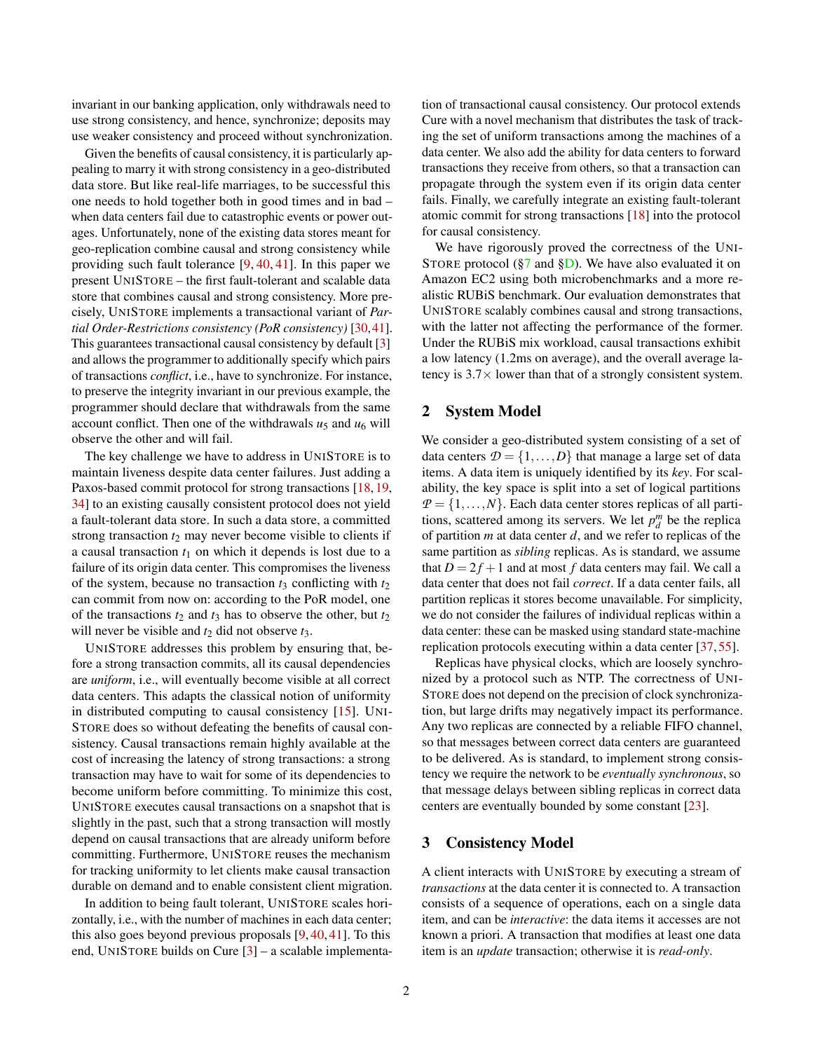invariant in our banking application, only withdrawals need to use strong consistency, and hence, synchronize; deposits may use weaker consistency and proceed without synchronization.

Given the benefits of causal consistency, it is particularly appealing to marry it with strong consistency in a geo-distributed data store. But like real-life marriages, to be successful this one needs to hold together both in good times and in bad – when data centers fail due to catastrophic events or power outages. Unfortunately, none of the existing data stores meant for geo-replication combine causal and strong consistency while providing such fault tolerance [\[9,](#page-12-7) [40,](#page-13-6) [41\]](#page-13-7). In this paper we present UNISTORE – the first fault-tolerant and scalable data store that combines causal and strong consistency. More precisely, UNISTORE implements a transactional variant of *Partial Order-Restrictions consistency (PoR consistency)* [\[30,](#page-13-10)[41\]](#page-13-7). This guarantees transactional causal consistency by default [\[3\]](#page-12-6) and allows the programmer to additionally specify which pairs of transactions *conflict*, i.e., have to synchronize. For instance, to preserve the integrity invariant in our previous example, the programmer should declare that withdrawals from the same account conflict. Then one of the withdrawals  $u_5$  and  $u_6$  will observe the other and will fail.

The key challenge we have to address in UNISTORE is to maintain liveness despite data center failures. Just adding a Paxos-based commit protocol for strong transactions [\[18,](#page-12-10) [19,](#page-12-2) [34\]](#page-13-11) to an existing causally consistent protocol does not yield a fault-tolerant data store. In such a data store, a committed strong transaction  $t_2$  may never become visible to clients if a causal transaction *t*<sup>1</sup> on which it depends is lost due to a failure of its origin data center. This compromises the liveness of the system, because no transaction  $t_3$  conflicting with  $t_2$ can commit from now on: according to the PoR model, one of the transactions  $t_2$  and  $t_3$  has to observe the other, but  $t_2$ will never be visible and  $t_2$  did not observe  $t_3$ .

UNISTORE addresses this problem by ensuring that, before a strong transaction commits, all its causal dependencies are *uniform*, i.e., will eventually become visible at all correct data centers. This adapts the classical notion of uniformity in distributed computing to causal consistency [\[15\]](#page-12-11). UNI-STORE does so without defeating the benefits of causal consistency. Causal transactions remain highly available at the cost of increasing the latency of strong transactions: a strong transaction may have to wait for some of its dependencies to become uniform before committing. To minimize this cost, UNISTORE executes causal transactions on a snapshot that is slightly in the past, such that a strong transaction will mostly depend on causal transactions that are already uniform before committing. Furthermore, UNISTORE reuses the mechanism for tracking uniformity to let clients make causal transaction durable on demand and to enable consistent client migration.

In addition to being fault tolerant, UNISTORE scales horizontally, i.e., with the number of machines in each data center; this also goes beyond previous proposals [\[9,](#page-12-7) [40,](#page-13-6) [41\]](#page-13-7). To this end, UNISTORE builds on Cure [\[3\]](#page-12-6) – a scalable implementation of transactional causal consistency. Our protocol extends Cure with a novel mechanism that distributes the task of tracking the set of uniform transactions among the machines of a data center. We also add the ability for data centers to forward transactions they receive from others, so that a transaction can propagate through the system even if its origin data center fails. Finally, we carefully integrate an existing fault-tolerant atomic commit for strong transactions [\[18\]](#page-12-10) into the protocol for causal consistency.

We have rigorously proved the correctness of the UNI-STORE protocol ( $\sqrt{37}$  and  $\sqrt{3D}$ ). We have also evaluated it on Amazon EC2 using both microbenchmarks and a more realistic RUBiS benchmark. Our evaluation demonstrates that UNISTORE scalably combines causal and strong transactions, with the latter not affecting the performance of the former. Under the RUBiS mix workload, causal transactions exhibit a low latency (1.2ms on average), and the overall average latency is  $3.7\times$  lower than that of a strongly consistent system.

# <span id="page-1-1"></span>2 System Model

We consider a geo-distributed system consisting of a set of data centers  $D = \{1, ..., D\}$  that manage a large set of data items. A data item is uniquely identified by its *key*. For scalability, the key space is split into a set of logical partitions  $P = \{1, \ldots, N\}$ . Each data center stores replicas of all partitions, scattered among its servers. We let  $p_d^m$  be the replica of partition *m* at data center *d*, and we refer to replicas of the same partition as *sibling* replicas. As is standard, we assume that  $D = 2f + 1$  and at most f data centers may fail. We call a data center that does not fail *correct*. If a data center fails, all partition replicas it stores become unavailable. For simplicity, we do not consider the failures of individual replicas within a data center: these can be masked using standard state-machine replication protocols executing within a data center [\[37,](#page-13-12) [55\]](#page-14-9).

Replicas have physical clocks, which are loosely synchronized by a protocol such as NTP. The correctness of UNI-STORE does not depend on the precision of clock synchronization, but large drifts may negatively impact its performance. Any two replicas are connected by a reliable FIFO channel, so that messages between correct data centers are guaranteed to be delivered. As is standard, to implement strong consistency we require the network to be *eventually synchronous*, so that message delays between sibling replicas in correct data centers are eventually bounded by some constant [\[23\]](#page-12-12).

# <span id="page-1-0"></span>3 Consistency Model

A client interacts with UNISTORE by executing a stream of *transactions* at the data center it is connected to. A transaction consists of a sequence of operations, each on a single data item, and can be *interactive*: the data items it accesses are not known a priori. A transaction that modifies at least one data item is an *update* transaction; otherwise it is *read-only*.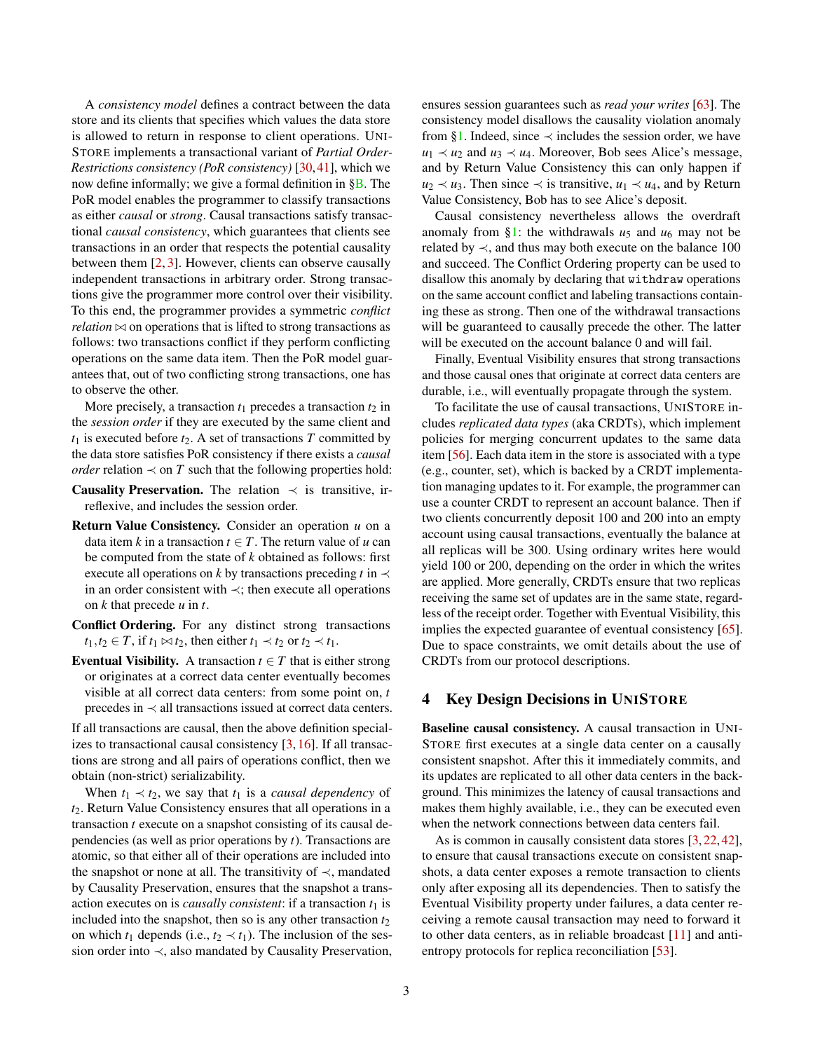A *consistency model* defines a contract between the data store and its clients that specifies which values the data store is allowed to return in response to client operations. UNI-STORE implements a transactional variant of *Partial Order-Restrictions consistency (PoR consistency)* [\[30,](#page-13-10)[41\]](#page-13-7), which we now define informally; we give a formal definition in [§B.](#page-24-0) The PoR model enables the programmer to classify transactions as either *causal* or *strong*. Causal transactions satisfy transactional *causal consistency*, which guarantees that clients see transactions in an order that respects the potential causality between them [\[2,](#page-12-4) [3\]](#page-12-6). However, clients can observe causally independent transactions in arbitrary order. Strong transactions give the programmer more control over their visibility. To this end, the programmer provides a symmetric *conflict relation*  $\bowtie$  on operations that is lifted to strong transactions as follows: two transactions conflict if they perform conflicting operations on the same data item. Then the PoR model guarantees that, out of two conflicting strong transactions, one has to observe the other.

More precisely, a transaction  $t_1$  precedes a transaction  $t_2$  in the *session order* if they are executed by the same client and  $t_1$  is executed before  $t_2$ . A set of transactions *T* committed by the data store satisfies PoR consistency if there exists a *causal order* relation  $\prec$  on *T* such that the following properties hold:

- **Causality Preservation.** The relation  $\prec$  is transitive, irreflexive, and includes the session order.
- Return Value Consistency. Consider an operation *u* on a data item *k* in a transaction  $t \in T$ . The return value of *u* can be computed from the state of *k* obtained as follows: first execute all operations on *k* by transactions preceding *t* in  $\prec$ in an order consistent with ≺; then execute all operations on *k* that precede *u* in *t*.
- Conflict Ordering. For any distinct strong transactions  $t_1, t_2 \in T$ , if  $t_1 \bowtie t_2$ , then either  $t_1 \prec t_2$  or  $t_2 \prec t_1$ .
- **Eventual Visibility.** A transaction  $t \in T$  that is either strong or originates at a correct data center eventually becomes visible at all correct data centers: from some point on, *t* precedes in ≺ all transactions issued at correct data centers.

If all transactions are causal, then the above definition specializes to transactional causal consistency [\[3,](#page-12-6) [16\]](#page-12-13). If all transactions are strong and all pairs of operations conflict, then we obtain (non-strict) serializability.

When  $t_1 \prec t_2$ , we say that  $t_1$  is a *causal dependency* of *t*2. Return Value Consistency ensures that all operations in a transaction *t* execute on a snapshot consisting of its causal dependencies (as well as prior operations by *t*). Transactions are atomic, so that either all of their operations are included into the snapshot or none at all. The transitivity of  $\prec$ , mandated by Causality Preservation, ensures that the snapshot a transaction executes on is *causally consistent*: if a transaction  $t_1$  is included into the snapshot, then so is any other transaction  $t_2$ on which  $t_1$  depends (i.e.,  $t_2 \prec t_1$ ). The inclusion of the session order into ≺, also mandated by Causality Preservation, ensures session guarantees such as *read your writes* [\[63\]](#page-14-10). The consistency model disallows the causality violation anomaly from [§1.](#page-0-0) Indeed, since  $\prec$  includes the session order, we have  $u_1 \prec u_2$  and  $u_3 \prec u_4$ . Moreover, Bob sees Alice's message, and by Return Value Consistency this can only happen if *u*<sub>2</sub>  $\prec u_3$ . Then since  $\prec$  is transitive, *u*<sub>1</sub>  $\prec u_4$ , and by Return Value Consistency, Bob has to see Alice's deposit.

Causal consistency nevertheless allows the overdraft anomaly from [§1:](#page-0-0) the withdrawals  $u_5$  and  $u_6$  may not be related by  $\prec$ , and thus may both execute on the balance 100 and succeed. The Conflict Ordering property can be used to disallow this anomaly by declaring that withdraw operations on the same account conflict and labeling transactions containing these as strong. Then one of the withdrawal transactions will be guaranteed to causally precede the other. The latter will be executed on the account balance 0 and will fail.

Finally, Eventual Visibility ensures that strong transactions and those causal ones that originate at correct data centers are durable, i.e., will eventually propagate through the system.

To facilitate the use of causal transactions, UNISTORE includes *replicated data types* (aka CRDTs), which implement policies for merging concurrent updates to the same data item [\[56\]](#page-14-11). Each data item in the store is associated with a type (e.g., counter, set), which is backed by a CRDT implementation managing updates to it. For example, the programmer can use a counter CRDT to represent an account balance. Then if two clients concurrently deposit 100 and 200 into an empty account using causal transactions, eventually the balance at all replicas will be 300. Using ordinary writes here would yield 100 or 200, depending on the order in which the writes are applied. More generally, CRDTs ensure that two replicas receiving the same set of updates are in the same state, regardless of the receipt order. Together with Eventual Visibility, this implies the expected guarantee of eventual consistency [\[65\]](#page-14-3). Due to space constraints, we omit details about the use of CRDTs from our protocol descriptions.

# <span id="page-2-0"></span>4 Key Design Decisions in UNISTORE

Baseline causal consistency. A causal transaction in UNI-STORE first executes at a single data center on a causally consistent snapshot. After this it immediately commits, and its updates are replicated to all other data centers in the background. This minimizes the latency of causal transactions and makes them highly available, i.e., they can be executed even when the network connections between data centers fail.

As is common in causally consistent data stores [\[3,](#page-12-6) [22,](#page-12-14) [42\]](#page-13-4), to ensure that causal transactions execute on consistent snapshots, a data center exposes a remote transaction to clients only after exposing all its dependencies. Then to satisfy the Eventual Visibility property under failures, a data center receiving a remote causal transaction may need to forward it to other data centers, as in reliable broadcast [\[11\]](#page-12-15) and antientropy protocols for replica reconciliation [\[53\]](#page-14-12).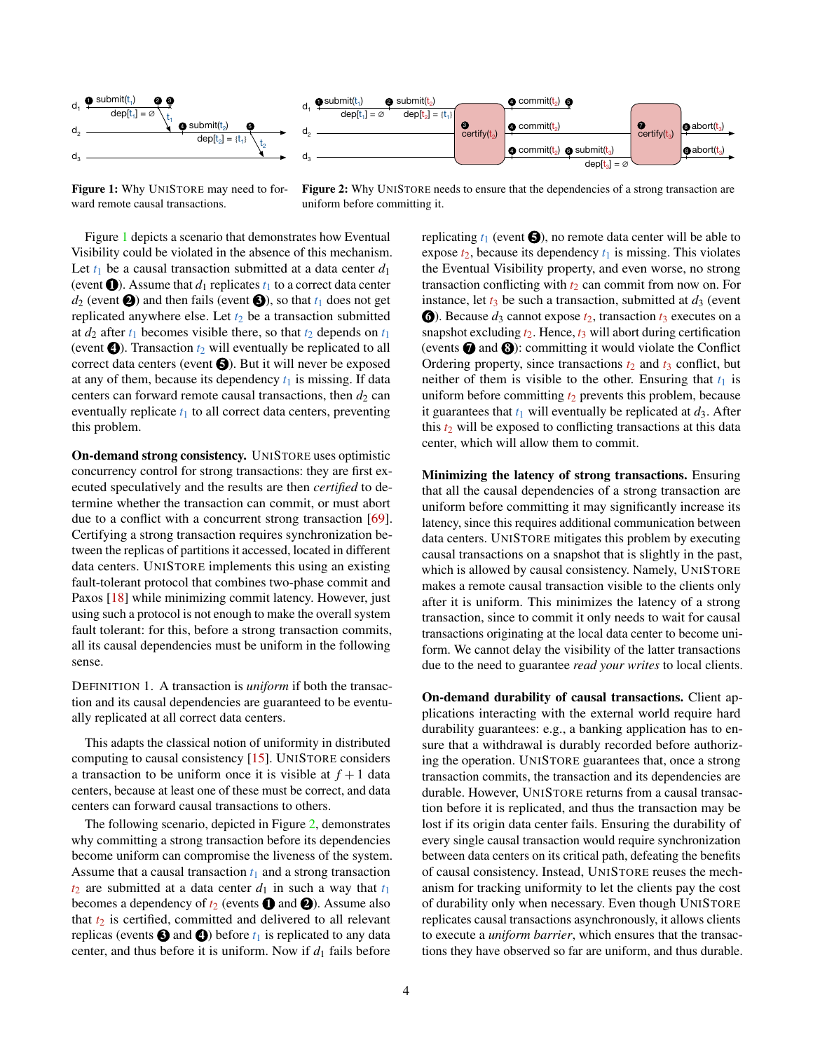<span id="page-3-0"></span>

Figure 1: Why UNISTORE may need to forward remote causal transactions.

Figure 2: Why UNISTORE needs to ensure that the dependencies of a strong transaction are uniform before committing it.

Figure [1](#page-3-0) depicts a scenario that demonstrates how Eventual Visibility could be violated in the absence of this mechanism. Let  $t_1$  be a causal transaction submitted at a data center  $d_1$ (event  $\bullet$ ). Assume that  $d_1$  replicates  $t_1$  to a correct data center  $d_2$  (event  $\bigcirc$ ) and then fails (event  $\bigcirc$ ), so that  $t_1$  does not get replicated anywhere else. Let  $t_2$  be a transaction submitted at  $d_2$  after  $t_1$  becomes visible there, so that  $t_2$  depends on  $t_1$ (event  $\bullet$ ). Transaction  $t_2$  will eventually be replicated to all correct data centers (event  $\bigcirc$ ). But it will never be exposed at any of them, because its dependency  $t_1$  is missing. If data centers can forward remote causal transactions, then  $d_2$  can eventually replicate  $t_1$  to all correct data centers, preventing this problem.

On-demand strong consistency. UNISTORE uses optimistic concurrency control for strong transactions: they are first executed speculatively and the results are then *certified* to determine whether the transaction can commit, or must abort due to a conflict with a concurrent strong transaction [\[69\]](#page-14-0). Certifying a strong transaction requires synchronization between the replicas of partitions it accessed, located in different data centers. UNISTORE implements this using an existing fault-tolerant protocol that combines two-phase commit and Paxos [\[18\]](#page-12-10) while minimizing commit latency. However, just using such a protocol is not enough to make the overall system fault tolerant: for this, before a strong transaction commits, all its causal dependencies must be uniform in the following sense.

<span id="page-3-1"></span>DEFINITION 1. A transaction is *uniform* if both the transaction and its causal dependencies are guaranteed to be eventually replicated at all correct data centers.

This adapts the classical notion of uniformity in distributed computing to causal consistency [\[15\]](#page-12-11). UNISTORE considers a transaction to be uniform once it is visible at  $f + 1$  data centers, because at least one of these must be correct, and data centers can forward causal transactions to others.

The following scenario, depicted in Figure [2,](#page-3-0) demonstrates why committing a strong transaction before its dependencies become uniform can compromise the liveness of the system. Assume that a causal transaction  $t_1$  and a strong transaction  $t_2$  are submitted at a data center  $d_1$  in such a way that  $t_1$ becomes a dependency of  $t_2$  (events  $\bigcirc$  and  $\bigcirc$ ). Assume also that  $t_2$  is certified, committed and delivered to all relevant replicas (events  $\bigodot$  and  $\bigodot$ ) before  $t_1$  is replicated to any data center, and thus before it is uniform. Now if  $d_1$  fails before

replicating  $t_1$  (event  $\bigodot$ ), no remote data center will be able to expose  $t_2$ , because its dependency  $t_1$  is missing. This violates the Eventual Visibility property, and even worse, no strong transaction conflicting with  $t_2$  can commit from now on. For instance, let  $t_3$  be such a transaction, submitted at  $d_3$  (event **6**. Because  $d_3$  cannot expose  $t_2$ , transaction  $t_3$  executes on a snapshot excluding  $t_2$ . Hence,  $t_3$  will abort during certification (events  $\bigcirc$  and  $\bigcirc$ ): committing it would violate the Conflict Ordering property, since transactions  $t_2$  and  $t_3$  conflict, but neither of them is visible to the other. Ensuring that  $t_1$  is uniform before committing  $t_2$  prevents this problem, because it guarantees that  $t_1$  will eventually be replicated at  $d_3$ . After this  $t_2$  will be exposed to conflicting transactions at this data center, which will allow them to commit.

Minimizing the latency of strong transactions. Ensuring that all the causal dependencies of a strong transaction are uniform before committing it may significantly increase its latency, since this requires additional communication between data centers. UNISTORE mitigates this problem by executing causal transactions on a snapshot that is slightly in the past, which is allowed by causal consistency. Namely, UNISTORE makes a remote causal transaction visible to the clients only after it is uniform. This minimizes the latency of a strong transaction, since to commit it only needs to wait for causal transactions originating at the local data center to become uniform. We cannot delay the visibility of the latter transactions due to the need to guarantee *read your writes* to local clients.

On-demand durability of causal transactions. Client applications interacting with the external world require hard durability guarantees: e.g., a banking application has to ensure that a withdrawal is durably recorded before authorizing the operation. UNISTORE guarantees that, once a strong transaction commits, the transaction and its dependencies are durable. However, UNISTORE returns from a causal transaction before it is replicated, and thus the transaction may be lost if its origin data center fails. Ensuring the durability of every single causal transaction would require synchronization between data centers on its critical path, defeating the benefits of causal consistency. Instead, UNISTORE reuses the mechanism for tracking uniformity to let the clients pay the cost of durability only when necessary. Even though UNISTORE replicates causal transactions asynchronously, it allows clients to execute a *uniform barrier*, which ensures that the transactions they have observed so far are uniform, and thus durable.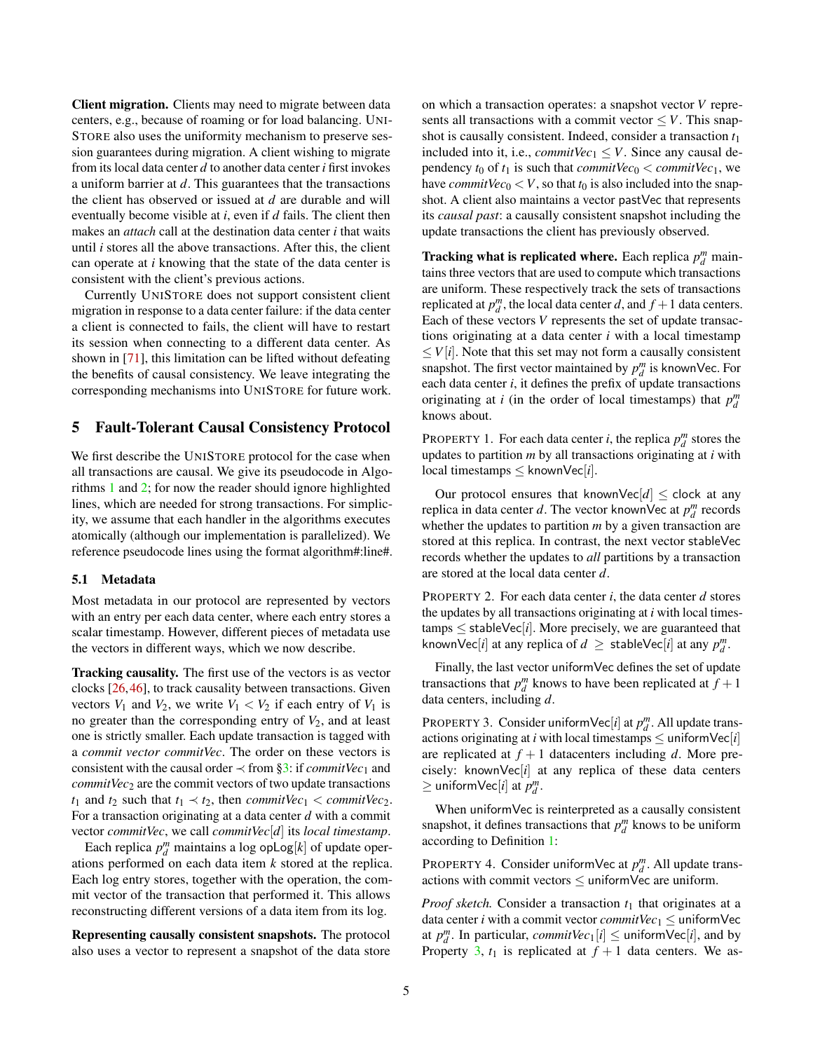Client migration. Clients may need to migrate between data centers, e.g., because of roaming or for load balancing. UNI-STORE also uses the uniformity mechanism to preserve session guarantees during migration. A client wishing to migrate from its local data center *d* to another data center *i* first invokes a uniform barrier at *d*. This guarantees that the transactions the client has observed or issued at *d* are durable and will eventually become visible at *i*, even if *d* fails. The client then makes an *attach* call at the destination data center *i* that waits until *i* stores all the above transactions. After this, the client can operate at *i* knowing that the state of the data center is consistent with the client's previous actions.

Currently UNISTORE does not support consistent client migration in response to a data center failure: if the data center a client is connected to fails, the client will have to restart its session when connecting to a different data center. As shown in [\[71\]](#page-14-13), this limitation can be lifted without defeating the benefits of causal consistency. We leave integrating the corresponding mechanisms into UNISTORE for future work.

# 5 Fault-Tolerant Causal Consistency Protocol

We first describe the UNISTORE protocol for the case when all transactions are causal. We give its pseudocode in Algorithms [1](#page-5-0) and [2;](#page-6-0) for now the reader should ignore highlighted lines, which are needed for strong transactions. For simplicity, we assume that each handler in the algorithms executes atomically (although our implementation is parallelized). We reference pseudocode lines using the format algorithm#:line#.

#### <span id="page-4-4"></span>5.1 Metadata

Most metadata in our protocol are represented by vectors with an entry per each data center, where each entry stores a scalar timestamp. However, different pieces of metadata use the vectors in different ways, which we now describe.

Tracking causality. The first use of the vectors is as vector clocks [\[26,](#page-13-13)[46\]](#page-13-14), to track causality between transactions. Given vectors  $V_1$  and  $V_2$ , we write  $V_1 < V_2$  if each entry of  $V_1$  is no greater than the corresponding entry of  $V_2$ , and at least one is strictly smaller. Each update transaction is tagged with a *commit vector commitVec*. The order on these vectors is consistent with the causal order  $\prec$  from [§3:](#page-1-0) if *commitVec*<sub>1</sub> and *commitVec*<sub>2</sub> are the commit vectors of two update transactions *t*<sub>1</sub> and *t*<sub>2</sub> such that  $t_1 \prec t_2$ , then *commitVec*<sub>1</sub> < *commitVec*<sub>2</sub>. For a transaction originating at a data center *d* with a commit vector *commitVec*, we call *commitVec*[*d*] its *local timestamp*.

Each replica  $p_d^m$  maintains a log opLog[ $k$ ] of update operations performed on each data item *k* stored at the replica. Each log entry stores, together with the operation, the commit vector of the transaction that performed it. This allows reconstructing different versions of a data item from its log.

Representing causally consistent snapshots. The protocol also uses a vector to represent a snapshot of the data store

on which a transaction operates: a snapshot vector *V* represents all transactions with a commit vector  $\leq V$ . This snapshot is causally consistent. Indeed, consider a transaction *t*<sup>1</sup> included into it, i.e., *commitVec*<sub>1</sub>  $\leq$  *V*. Since any causal dependency  $t_0$  of  $t_1$  is such that *commitVec*<sub>0</sub> < *commitVec*<sub>1</sub>, we have *commitVec*<sup>0</sup> < *V*, so that  $t_0$  is also included into the snapshot. A client also maintains a vector pastVec that represents its *causal past*: a causally consistent snapshot including the update transactions the client has previously observed.

**Tracking what is replicated where.** Each replica  $p_d^m$  maintains three vectors that are used to compute which transactions are uniform. These respectively track the sets of transactions replicated at  $p_d^m$ , the local data center *d*, and  $f + 1$  data centers. Each of these vectors *V* represents the set of update transactions originating at a data center *i* with a local timestamp  $\leq$  *V*[*i*]. Note that this set may not form a causally consistent snapshot. The first vector maintained by  $p_d^m$  is knownVec. For each data center *i*, it defines the prefix of update transactions originating at *i* (in the order of local timestamps) that  $p_d^m$ knows about.

<span id="page-4-1"></span>PROPERTY 1. For each data center *i*, the replica  $p_d^m$  stores the updates to partition *m* by all transactions originating at *i* with local timestamps  $\leq$  knownVec[*i*].

Our protocol ensures that knownVec $[d] \leq$  clock at any replica in data center *d*. The vector knownVec at  $p_d^m$  records whether the updates to partition *m* by a given transaction are stored at this replica. In contrast, the next vector stableVec records whether the updates to *all* partitions by a transaction are stored at the local data center *d*.

<span id="page-4-2"></span>PROPERTY 2. For each data center *i*, the data center *d* stores the updates by all transactions originating at *i* with local times $tamps \leq stableVec[i]$ . More precisely, we are guaranteed that knownVec[*i*] at any replica of  $d \geq$  stableVec[*i*] at any  $p_d^m$ .

Finally, the last vector uniformVec defines the set of update transactions that  $p_d^m$  knows to have been replicated at  $f + 1$ data centers, including *d*.

<span id="page-4-0"></span>PROPERTY 3. Consider uniform  $\text{Vec}[i]$  at  $p_d^m$ . All update transactions originating at *i* with local timestamps  $\leq$  uniform  $\text{Vec}[i]$ are replicated at  $f + 1$  datacenters including *d*. More precisely: knownVec $[i]$  at any replica of these data centers  $\geq$  uniform $\text{Vec}[i]$  at  $p_d^m$ .

When uniformVec is reinterpreted as a causally consistent snapshot, it defines transactions that  $p_d^m$  knows to be uniform according to Definition [1:](#page-3-1)

<span id="page-4-3"></span>PROPERTY 4. Consider uniformVec at  $p_d^m$ . All update transactions with commit vectors  $\leq$  uniformVec are uniform.

*Proof sketch.* Consider a transaction  $t_1$  that originates at a data center *i* with a commit vector *commitVec*<sub>1</sub>  $\leq$  uniformVec at  $p_d^m$ . In particular,  $commitVec_1[i] \leq \text{uniformVec}[i]$ , and by Property [3,](#page-4-0)  $t_1$  is replicated at  $f + 1$  data centers. We as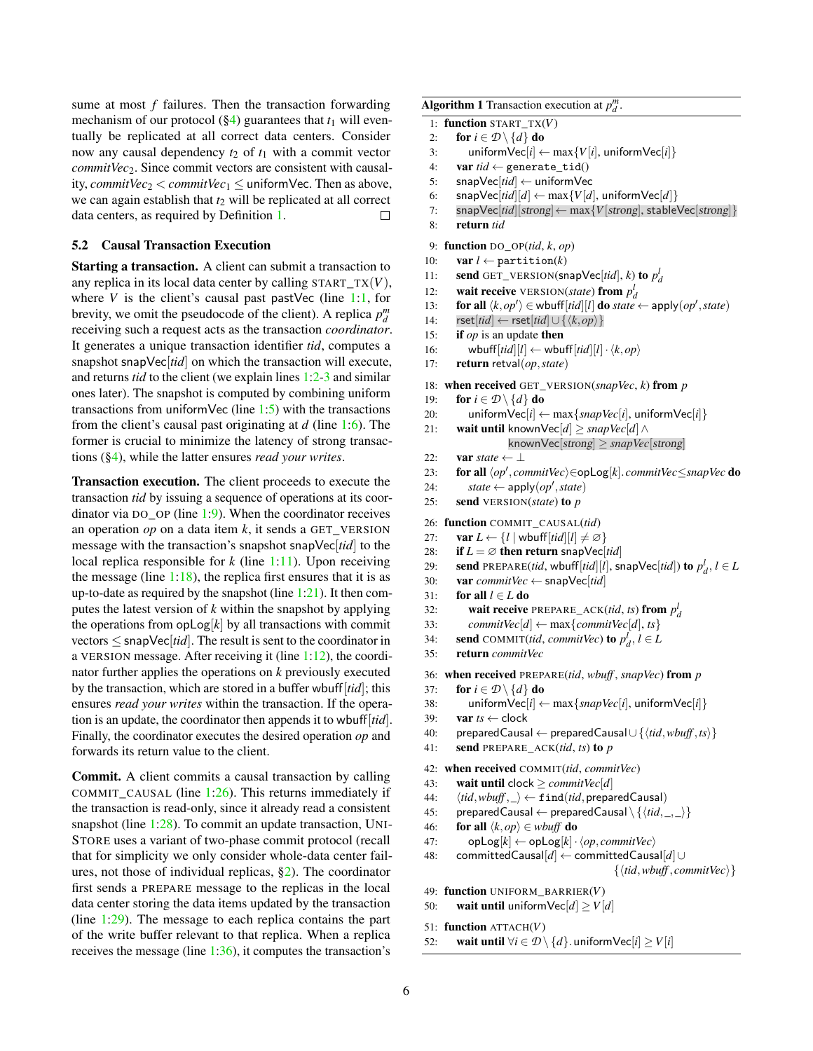sume at most *f* failures. Then the transaction forwarding mechanism of our protocol  $(\S4)$  guarantees that  $t_1$  will eventually be replicated at all correct data centers. Consider now any causal dependency *t*<sup>2</sup> of *t*<sup>1</sup> with a commit vector *commitVec*2. Since commit vectors are consistent with causality, *commitVec*<sub>2</sub>  $<$  *commitVec*<sub>1</sub>  $\leq$  uniformVec. Then as above, we can again establish that  $t_2$  will be replicated at all correct data centers, as required by Definition [1.](#page-3-1)  $\Box$ 

# <span id="page-5-2"></span>5.2 Causal Transaction Execution

Starting a transaction. A client can submit a transaction to any replica in its local data center by calling START\_TX(*V*), where  $V$  is the client's causal past pastVec (line [1](#page-5-0)[:1,](#page-5-1) for brevity, we omit the pseudocode of the client). A replica  $p_d^m$ receiving such a request acts as the transaction *coordinator*. It generates a unique transaction identifier *tid*, computes a snapshot snapVec[*tid*] on which the transaction will execute, and returns *tid* to the client (we explain lines [1:](#page-5-0)[2-3](#page-5-1) and similar ones later). The snapshot is computed by combining uniform transactions from uniformVec (line  $1:5$  $1:5$ ) with the transactions from the client's causal past originating at *d* (line [1:](#page-5-0)[6\)](#page-5-1). The former is crucial to minimize the latency of strong transactions ([§4\)](#page-2-0), while the latter ensures *read your writes*.

<span id="page-5-1"></span>Transaction execution. The client proceeds to execute the transaction *tid* by issuing a sequence of operations at its coordinator via DO\_OP (line [1](#page-5-0)[:9\)](#page-5-1). When the coordinator receives an operation *op* on a data item *k*, it sends a GET\_VERSION message with the transaction's snapshot snapVec[*tid*] to the local replica responsible for *k* (line [1:](#page-5-0)[11\)](#page-5-1). Upon receiving the message (line  $1:18$  $1:18$ ), the replica first ensures that it is as up-to-date as required by the snapshot (line  $1:21$  $1:21$ ). It then computes the latest version of *k* within the snapshot by applying the operations from  $opLog[k]$  by all transactions with commit vectors ≤ snapVec[*tid*]. The result is sent to the coordinator in a VERSION message. After receiving it (line [1:](#page-5-0)[12\)](#page-5-1), the coordinator further applies the operations on *k* previously executed by the transaction, which are stored in a buffer wbuff[*tid*]; this ensures *read your writes* within the transaction. If the operation is an update, the coordinator then appends it to wbuff[*tid*]. Finally, the coordinator executes the desired operation *op* and forwards its return value to the client.

Commit. A client commits a causal transaction by calling COMMIT\_CAUSAL (line [1](#page-5-0)[:26\)](#page-5-1). This returns immediately if the transaction is read-only, since it already read a consistent snapshot (line [1:](#page-5-0)[28\)](#page-5-1). To commit an update transaction, UNI-STORE uses a variant of two-phase commit protocol (recall that for simplicity we only consider whole-data center failures, not those of individual replicas, [§2\)](#page-1-1). The coordinator first sends a PREPARE message to the replicas in the local data center storing the data items updated by the transaction (line [1:](#page-5-0)[29\)](#page-5-1). The message to each replica contains the part of the write buffer relevant to that replica. When a replica receives the message (line [1](#page-5-0)[:36\)](#page-5-1), it computes the transaction's

<span id="page-5-0"></span>Algorithm 1 Transaction execution at  $p_d^m$ .

```
1: function START_TX(V)
```
- 2: **for**  $i \in \mathcal{D} \setminus \{d\}$  do
- 3: uniform $\text{Vec}[i] \leftarrow \max\{V[i], \text{uniformVec}[i]\}$
- 4: **var**  $tid \leftarrow$  generate\_tid()
- 5: snapVec[*tid*] ← uniformVec
- 6: snapVec[tid][d]  $\leftarrow$  max{*V*[d], uniformVec[d]}
- 7: snapVec[*tid*][strong]← max{*V*[strong], stableVec[strong]}
- 8: return *tid*

9: function DO\_OP(*tid*, *k*, *op*)

- 10: **var**  $l \leftarrow$  partition(*k*)
- 11: **send** GET\_VERSION(snapVec[*tid*], *k*) to  $p_d^l$
- 12: wait receive VERSION(*state*) from  $p_d^l$
- 13: **for all**  $\langle k, op' \rangle \in \text{wbuff}[tid][l]$  **do** *state*  $\leftarrow$  apply $(op', state)$
- 14:  $\mathsf{rset}[tid] \leftarrow \mathsf{rset}[tid] \cup \{ \langle k, op \rangle \}$
- 15: if *op* is an update then
- 16: wbuff $[tid][l] \leftarrow \text{wbuff}[tid][l] \cdot \langle k, op \rangle$
- 17: return retval(*op*,*state*)

18: when received GET\_VERSION(*snapVec*, *k*) from *p*

- 19: **for**  $i \in \mathcal{D} \setminus \{d\}$  do
- 20: uniformVec[ $i$ ]  $\leftarrow$  max $\{snapVec[i]$ , uniformVec[ $i$ ]}
- 21: **wait until** knownVec[ $d$ ] ≥ *snapVec*[ $d$ ] ∧

```
knownVec[strong] ≥ snapVec[strong]
```
- 22: **var** *state*  $\leftarrow$   $\perp$
- 23: **for all**  $\langle op', commitVec \rangle \in \text{opLog}[k]$ . *commitVec*≤*snapVec* do
- 24:  $state \leftarrow \text{apply}(op', state)$
- 25: send VERSION(*state*) to *p*

26: function COMMIT\_CAUSAL(*tid*)

- 27: **var**  $L \leftarrow \{l \mid \text{wbuff}[tid][l] \neq \emptyset\}$
- 28: **if**  $L = \emptyset$  then return snapVec[tid]
- 29: **send** PREPARE(tid, wbuff[tid][l], snapVec[tid]) to  $p_d^l$ ,  $l \in L$
- 30: var *commitVec* ← snapVec[*tid*]
- 31: **for all**  $l \in L$  **do**
- 32: wait receive PREPARE<sub></sub>\_ACK(*tid*, *ts*) from  $p_d^l$
- 33: *commitVec*[*d*]  $\leftarrow$  max{*commitVec*[*d*], *ts*}
- 34: **send** COMMIT(*tid*, *commitVec*) **to**  $p_d^l$ ,  $l \in L$
- 35: return *commitVec*

36: when received PREPARE(*tid*, *wbuff* , *snapVec*) from *p*

- 
- 38: uniformVec[*i*] ← max{*snapVec*[*i*], uniformVec[*i*]}
- 
- 40: preparedCausal ← preparedCausal∪ {h*tid*,*wbuff* ,*ts*i}
- 41: send PREPARE\_ACK(*tid*, *ts*) to *p*

42: when received COMMIT(*tid*, *commitVec*)

- 43: wait until clock  $\geq$  *commitVec*[*d*]
- 44:  $\langle tid, wbuff, \_\rangle \leftarrow \texttt{find}(tid, \texttt{preparedCausal})$
- 45: preparedCausal ← preparedCausal \  $\{ \langle tid, \_, \_ \rangle \}$
- 46: **for all**  $\langle k, op \rangle \in \textit{wbuffer}$  **do**
- 47:  $opLog[k] \leftarrow opLog[k] \cdot \langle op, commitVec \rangle$
- 48: committedCausal[*d*] ← committedCausal[*d*]∪  $\{\langle tid,wbuff, commitVec \rangle\}$

```
49: function UNIFORM_BARRIER(V)
```
50: wait until uniform $\text{Vec}[d] \ge V[d]$ 

51: function ATTACH(*V*)

52: wait until  $\forall i \in \mathcal{D} \setminus \{d\}$ . uniformVec[*i*] ≥ *V*[*i*]

- 37: **for**  $i \in \mathcal{D} \setminus \{d\}$  **do**
- 39: **var**  $ts \leftarrow \text{clock}$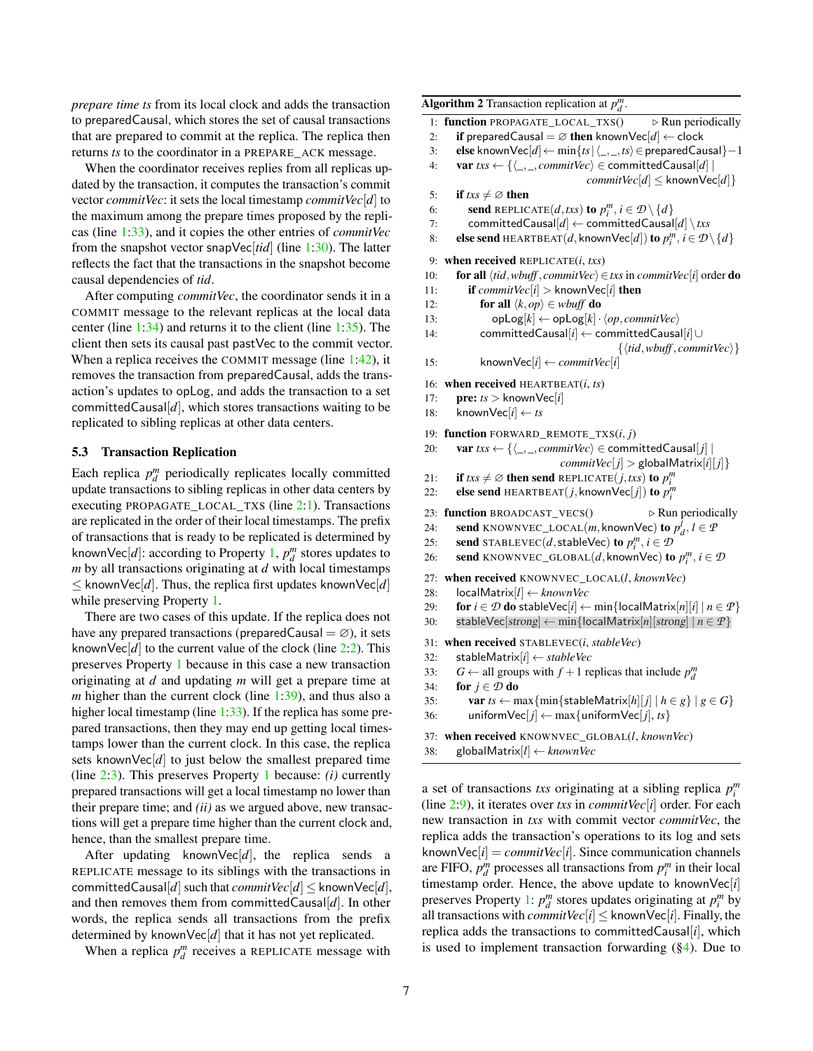*prepare time ts* from its local clock and adds the transaction to preparedCausal, which stores the set of causal transactions that are prepared to commit at the replica. The replica then returns *ts* to the coordinator in a PREPARE\_ACK message.

When the coordinator receives replies from all replicas updated by the transaction, it computes the transaction's commit vector *commitVec*: it sets the local timestamp *commitVec*[*d*] to the maximum among the prepare times proposed by the replicas (line [1:](#page-5-0)[33\)](#page-5-1), and it copies the other entries of *commitVec* from the snapshot vector snapVec[*tid*] (line [1](#page-5-0)[:30\)](#page-5-1). The latter reflects the fact that the transactions in the snapshot become causal dependencies of *tid*.

After computing *commitVec*, the coordinator sends it in a COMMIT message to the relevant replicas at the local data center (line [1:](#page-5-0)[34\)](#page-5-1) and returns it to the client (line [1](#page-5-0)[:35\)](#page-5-1). The client then sets its causal past pastVec to the commit vector. When a replica receives the COMMIT message (line [1](#page-5-0)[:42\)](#page-5-1), it removes the transaction from preparedCausal, adds the transaction's updates to opLog, and adds the transaction to a set committed Causal $[d]$ , which stores transactions waiting to be replicated to sibling replicas at other data centers.

## <span id="page-6-1"></span>5.3 Transaction Replication

Each replica  $p_d^m$  periodically replicates locally committed update transactions to sibling replicas in other data centers by executing PROPAGATE\_LOCAL\_TXS (line [2](#page-6-0)[:1\)](#page-6-1). Transactions are replicated in the order of their local timestamps. The prefix of transactions that is ready to be replicated is determined by knownVec[*d*]: according to Property [1,](#page-4-1)  $p_d^m$  stores updates to *m* by all transactions originating at *d* with local timestamps  $\leq$  knownVec[*d*]. Thus, the replica first updates knownVec[*d*] while preserving Property [1.](#page-4-1)

There are two cases of this update. If the replica does not have any prepared transactions (preparedCausal =  $\varnothing$ ), it sets knownVec $[d]$  to the current value of the clock (line [2:](#page-6-0)[2\)](#page-6-1). This preserves Property [1](#page-4-1) because in this case a new transaction originating at *d* and updating *m* will get a prepare time at *m* higher than the current clock (line [1](#page-5-0)[:39\)](#page-5-1), and thus also a higher local timestamp (line [1:](#page-5-0)[33\)](#page-5-1). If the replica has some prepared transactions, then they may end up getting local timestamps lower than the current clock. In this case, the replica sets knownVec $[d]$  to just below the smallest prepared time (line [2:](#page-6-0)[3\)](#page-6-1). This preserves Property [1](#page-4-1) because: *(i)* currently prepared transactions will get a local timestamp no lower than their prepare time; and *(ii)* as we argued above, new transactions will get a prepare time higher than the current clock and, hence, than the smallest prepare time.

After updating knownVec[d], the replica sends a REPLICATE message to its siblings with the transactions in committedCausal[*d*] such that *commitVec*[*d*]  $\leq$  knownVec[*d*], and then removes them from committedCausal[*d*]. In other words, the replica sends all transactions from the prefix determined by knownVec[*d*] that it has not yet replicated.

When a replica  $p_d^m$  receives a REPLICATE message with

<span id="page-6-0"></span>Algorithm 2 Transaction replication at  $p_d^m$ . 1: **function** PROPAGATE LOCAL TXS()  $\triangleright$  Run periodically 2: **if** preparedCausal =  $\emptyset$  then knownVec[d]  $\leftarrow$  clock 3: **else** knownVec[ $d$ ] ← min $\{ts | \langle \_, \_, ts \rangle \in$  preparedCausal}-1 4: **var**  $txs \leftarrow \{\langle \_ \, \ldots, \textit{commitVec} \rangle \in \text{committedCausal}[d] \mid \$  $commitVec[d] \leq$  known Vec $[d]$ } 5: **if**  $txs \neq \emptyset$  then 6: **send** REPLICATE $(d, txs)$  to  $p_i^m, i \in \mathcal{D} \setminus \{d\}$ 7: committedCausal[ $d$ ]  $\leftarrow$  committedCausal[ $d$ ] \ *txs* 8: **else send** HEARTBEAT $(d,$  known $\mathsf{Vec}[d])$  to  $p_i^m$ ,  $i \in \mathcal{D} \setminus \{d\}$ 9: when received REPLICATE(*i*, *txs*) 10: **for all**  $\langle tid, wbuff, commitVec \rangle \in txs$  in *commitVec*[*i*] order **do** 11: **if** *commitVec*[*i*] > knownVec[*i*] **then** 12: **for all**  $\langle k, op \rangle \in \textit{wbuff}$  do 13:  $opLog[k] \leftarrow opLog[k] \cdot \langle op, commitVec \rangle$ 14: committedCausal[*i*] ← committedCausal[*i*]∪  $\{\langle tid, wbuff, commitVec \rangle\}$ 15: knownVec[ $i$ ]  $\leftarrow$  *commitVec*[ $i$ ] 16: when received HEARTBEAT(*i*, *ts*) 17: **pre:**  $ts >$  knownVec[*i*] 18: known $\text{Vec}[i] \leftarrow ts$ 19: function FORWARD\_REMOTE\_TXS(*i*, *j*) 20: var  $txs \leftarrow \{\langle \_ \, , \_ \cdot \textit{commitVec} \rangle \in \text{ committedCausal}[j] \mid \$  $commitVec[j] >$ globalMatrix[*i*][*j*]} 21: **if**  $txs \neq \emptyset$  **then send** REPLICATE(*j*,*txs*) **to**  $p_i^m$ 22: **else send** HEARTBEAT $(j,$  known $\text{Vec}[j])$  to  $p_i^m$ 23: function BROADCAST\_VECS()  $\triangleright$  Run periodically 24: **send** KNOWNVEC\_LOCAL(*m*, knownVec) to  $p_d^l$ ,  $l \in \mathcal{P}$ 25: **send** STABLEVEC(*d*, stableVec) to  $p_i^m$ ,  $i \in \mathcal{D}$ 26: **send** KNOWNVEC\_GLOBAL(*d*, knownVec) to  $p_i^m$ ,  $i \in \mathcal{D}$ 27: when received KNOWNVEC\_LOCAL(*l*, *knownVec*) 28: localMatrix[*l*] ← *knownVec* 29: **for**  $i \in \mathcal{D}$  do stableVec[ $i$ ]  $\leftarrow$  min{localMatrix[ $n$ ][ $i$ ]  $n \in \mathcal{P}$ } 30: stableVec[strong]  $\leftarrow$  min{localMatrix[*n*][strong] |  $n \in \mathcal{P}$ } 31: when received STABLEVEC(*i*, *stableVec*) 32: stableMatrix[*i*] ← *stableVec* 33: *G* ← all groups with  $f + 1$  replicas that include  $p_d^m$ 34: **for**  $j \in \mathcal{D}$  **do** 

35: **var**  $ts \leftarrow \max{\min{\text{stableMatrix}[h][j] \mid h \in g\} \mid g \in G}$ 

```
36: uniform\text{Vec}[j] \leftarrow \max\{\text{uniformVec}[j], \text{ts}\}\
```

```
37: when received KNOWNVEC_GLOBAL(l, knownVec)
```

```
38: globalMatrix[l] ← knownVec
```
a set of transactions *txs* originating at a sibling replica *p m i* (line [2:](#page-6-0)[9\)](#page-6-1), it iterates over *txs* in *commitVec*[*i*] order. For each new transaction in *txs* with commit vector *commitVec*, the replica adds the transaction's operations to its log and sets knownVec $[i]$  = *commitVec* $[i]$ . Since communication channels are FIFO,  $p_d^m$  processes all transactions from  $p_i^m$  in their local timestamp order. Hence, the above update to knownVec[*i*] preserves Property [1:](#page-4-1)  $p_d^m$  stores updates originating at  $p_i^m$  by all transactions with *commitVec*[ $i$ ]  $\leq$  knownVec[ $i$ ]. Finally, the replica adds the transactions to committedCausal[*i*], which is used to implement transaction forwarding  $(\S4)$ . Due to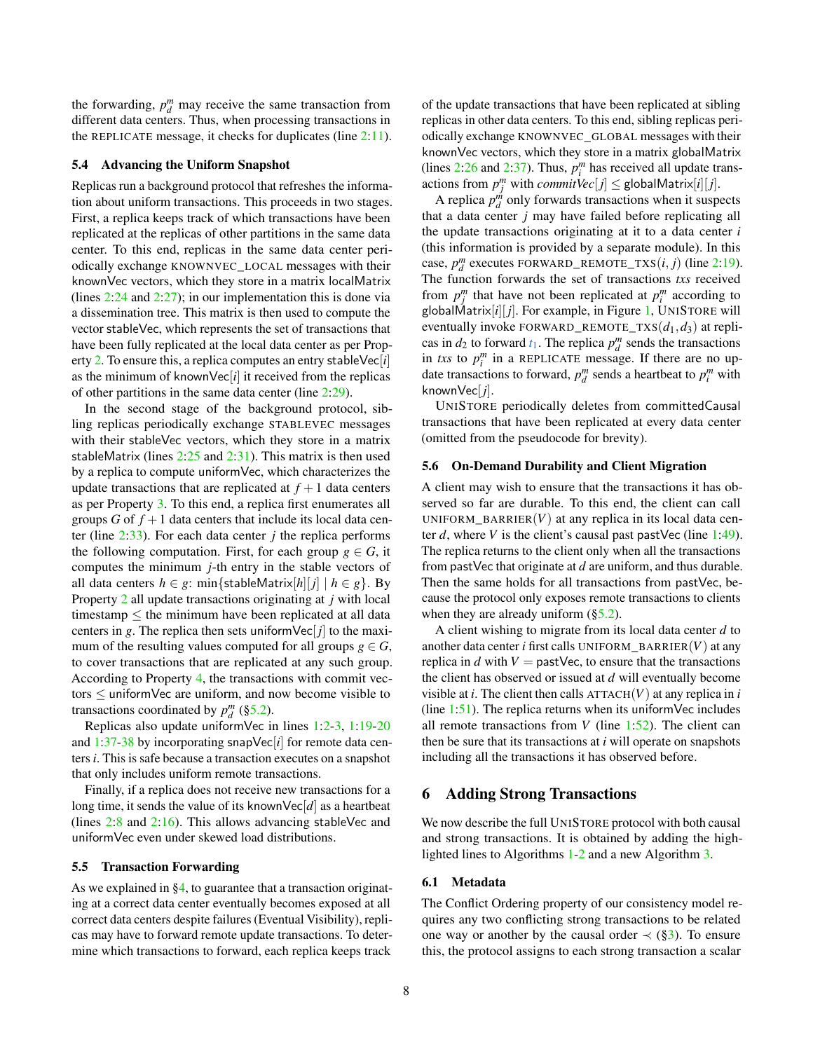the forwarding,  $p_d^m$  may receive the same transaction from different data centers. Thus, when processing transactions in the REPLICATE message, it checks for duplicates (line [2:](#page-6-0)[11\)](#page-6-1).

### <span id="page-7-0"></span>5.4 Advancing the Uniform Snapshot

Replicas run a background protocol that refreshes the information about uniform transactions. This proceeds in two stages. First, a replica keeps track of which transactions have been replicated at the replicas of other partitions in the same data center. To this end, replicas in the same data center periodically exchange KNOWNVEC\_LOCAL messages with their knownVec vectors, which they store in a matrix localMatrix (lines [2](#page-6-0)[:24](#page-6-1) and [2:](#page-6-0)[27\)](#page-6-1); in our implementation this is done via a dissemination tree. This matrix is then used to compute the vector stableVec, which represents the set of transactions that have been fully replicated at the local data center as per Property [2.](#page-4-2) To ensure this, a replica computes an entry stableVec[*i*] as the minimum of knownVec $|i|$  it received from the replicas of other partitions in the same data center (line [2](#page-6-0)[:29\)](#page-6-1).

In the second stage of the background protocol, sibling replicas periodically exchange STABLEVEC messages with their stableVec vectors, which they store in a matrix stableMatrix (lines  $2:25$  $2:25$  and  $2:31$  $2:31$ ). This matrix is then used by a replica to compute uniformVec, which characterizes the update transactions that are replicated at  $f + 1$  data centers as per Property [3.](#page-4-0) To this end, a replica first enumerates all groups *G* of  $f + 1$  data centers that include its local data center (line [2:](#page-6-0)[33\)](#page-6-1). For each data center *j* the replica performs the following computation. First, for each group  $g \in G$ , it computes the minimum *j*-th entry in the stable vectors of all data centers  $h \in g$ : min{stableMatrix[h|[j] |  $h \in g$ }. By Property [2](#page-4-2) all update transactions originating at *j* with local timestamp ≤ the minimum have been replicated at all data centers in *g*. The replica then sets uniform  $\text{Vec}[j]$  to the maximum of the resulting values computed for all groups  $g \in G$ , to cover transactions that are replicated at any such group. According to Property [4,](#page-4-3) the transactions with commit vectors  $\leq$  uniformVec are uniform, and now become visible to transactions coordinated by  $p_d^m$  ([§5.2\)](#page-5-2).

Replicas also update uniformVec in lines [1:](#page-5-0)[2-3,](#page-5-1) [1:](#page-5-0)[19-20](#page-5-1) and [1:](#page-5-0)[37-38](#page-5-1) by incorporating snapVec[*i*] for remote data centers *i*. This is safe because a transaction executes on a snapshot that only includes uniform remote transactions.

Finally, if a replica does not receive new transactions for a long time, it sends the value of its knownVec[*d*] as a heartbeat (lines [2](#page-6-0)[:8](#page-6-1) and [2:](#page-6-0)[16\)](#page-6-1). This allows advancing stableVec and uniformVec even under skewed load distributions.

#### <span id="page-7-1"></span>5.5 Transaction Forwarding

As we explained in [§4,](#page-2-0) to guarantee that a transaction originating at a correct data center eventually becomes exposed at all correct data centers despite failures (Eventual Visibility), replicas may have to forward remote update transactions. To determine which transactions to forward, each replica keeps track

of the update transactions that have been replicated at sibling replicas in other data centers. To this end, sibling replicas periodically exchange KNOWNVEC\_GLOBAL messages with their knownVec vectors, which they store in a matrix globalMatrix (lines  $2:26$  $2:26$  and  $2:37$  $2:37$ ). Thus,  $p_i^m$  has received all update transactions from  $p_j^m$  with  $commitVec[j] \le$  globalMatrix[*i*][*j*].

A replica  $p_d^{\dot{m}}$  only forwards transactions when it suspects that a data center *j* may have failed before replicating all the update transactions originating at it to a data center *i* (this information is provided by a separate module). In this case,  $p_d^m$  executes FORWARD\_REMOTE\_TXS $(i, j)$  (line [2](#page-6-0)[:19\)](#page-6-1). The function forwards the set of transactions *txs* received from  $p_j^m$  that have not been replicated at  $p_i^m$  according to globalMatrix $[i][j]$ . For example, in Figure [1,](#page-3-0) UNISTORE will eventually invoke FORWARD\_REMOTE\_TXS(*d*1,*d*3) at replicas in  $d_2$  to forward  $t_1$ . The replica  $p_d^m$  sends the transactions in *txs* to  $p_i^m$  in a REPLICATE message. If there are no update transactions to forward,  $p_d^m$  sends a heartbeat to  $p_i^m$  with knownVec[ *j*].

UNISTORE periodically deletes from committedCausal transactions that have been replicated at every data center (omitted from the pseudocode for brevity).

#### 5.6 On-Demand Durability and Client Migration

A client may wish to ensure that the transactions it has observed so far are durable. To this end, the client can call UNIFORM\_BARRIER $(V)$  at any replica in its local data center *d*, where *V* is the client's causal past pastVec (line  $1:49$  $1:49$ ). The replica returns to the client only when all the transactions from pastVec that originate at *d* are uniform, and thus durable. Then the same holds for all transactions from pastVec, because the protocol only exposes remote transactions to clients when they are already uniform  $(\S5.2)$ .

A client wishing to migrate from its local data center *d* to another data center *i* first calls UNIFORM\_BARRIER(*V*) at any replica in  $d$  with  $V =$  past Vec, to ensure that the transactions the client has observed or issued at *d* will eventually become visible at *i*. The client then calls  $\text{ATTACH}(V)$  at any replica in *i* (line  $1:51$  $1:51$ ). The replica returns when its uniform Vec includes all remote transactions from *V* (line [1:](#page-5-0)[52\)](#page-5-1). The client can then be sure that its transactions at *i* will operate on snapshots including all the transactions it has observed before.

# 6 Adding Strong Transactions

We now describe the full UNISTORE protocol with both causal and strong transactions. It is obtained by adding the highlighted lines to Algorithms [1](#page-5-0)[-2](#page-6-0) and a new Algorithm [3.](#page-8-0)

## 6.1 Metadata

The Conflict Ordering property of our consistency model requires any two conflicting strong transactions to be related one way or another by the causal order  $\prec$  ([§3\)](#page-1-0). To ensure this, the protocol assigns to each strong transaction a scalar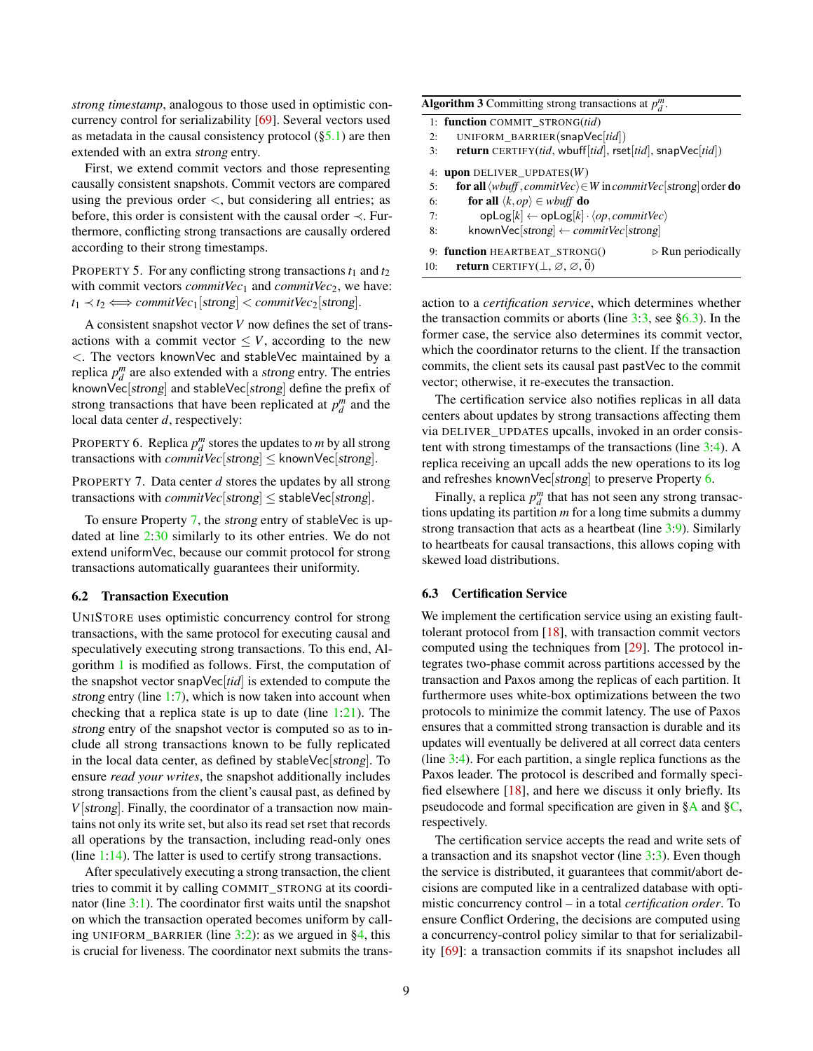*strong timestamp*, analogous to those used in optimistic concurrency control for serializability [\[69\]](#page-14-0). Several vectors used as metadata in the causal consistency protocol  $(\S_5.1)$  are then extended with an extra strong entry.

First, we extend commit vectors and those representing causally consistent snapshots. Commit vectors are compared using the previous order  $\lt$ , but considering all entries; as before, this order is consistent with the causal order ≺. Furthermore, conflicting strong transactions are causally ordered according to their strong timestamps.

PROPERTY 5. For any conflicting strong transactions  $t_1$  and  $t_2$ with commit vectors *commitVec*<sub>1</sub> and *commitVec*<sub>2</sub>, we have:  $t_1 \prec t_2 \Longleftrightarrow \text{commitVec}_1[\text{strong}] \prec \text{commitVec}_2[\text{strong}].$ 

A consistent snapshot vector *V* now defines the set of transactions with a commit vector  $\leq V$ , according to the new <. The vectors knownVec and stableVec maintained by a replica  $p_d^m$  are also extended with a *strong* entry. The entries knownVec[strong] and stableVec[strong] define the prefix of strong transactions that have been replicated at  $p_d^m$  and the local data center *d*, respectively:

<span id="page-8-4"></span>PROPERTY 6. Replica  $p_d^m$  stores the updates to *m* by all strong transactions with  $commitVec[strong] \leq$  knownVec[strong].

<span id="page-8-1"></span>PROPERTY 7. Data center *d* stores the updates by all strong transactions with *commitVec*[strong]  $\le$  stableVec[strong].

To ensure Property [7,](#page-8-1) the strong entry of stableVec is updated at line [2](#page-6-0)[:30](#page-6-1) similarly to its other entries. We do not extend uniformVec, because our commit protocol for strong transactions automatically guarantees their uniformity.

### <span id="page-8-2"></span>6.2 Transaction Execution

UNISTORE uses optimistic concurrency control for strong transactions, with the same protocol for executing causal and speculatively executing strong transactions. To this end, Algorithm [1](#page-5-0) is modified as follows. First, the computation of the snapshot vector snapVec[*tid*] is extended to compute the strong entry (line [1:](#page-5-0)[7\)](#page-5-1), which is now taken into account when checking that a replica state is up to date (line  $1:21$  $1:21$ ). The strong entry of the snapshot vector is computed so as to include all strong transactions known to be fully replicated in the local data center, as defined by stableVec[strong]. To ensure *read your writes*, the snapshot additionally includes strong transactions from the client's causal past, as defined by *V*[strong]. Finally, the coordinator of a transaction now maintains not only its write set, but also its read set rset that records all operations by the transaction, including read-only ones (line  $1:14$  $1:14$ ). The latter is used to certify strong transactions.

After speculatively executing a strong transaction, the client tries to commit it by calling COMMIT\_STRONG at its coordinator (line [3](#page-8-0)[:1\)](#page-8-2). The coordinator first waits until the snapshot on which the transaction operated becomes uniform by calling UNIFORM\_BARRIER (line  $3:2$  $3:2$ ): as we argued in [§4,](#page-2-0) this is crucial for liveness. The coordinator next submits the trans-

<span id="page-8-0"></span>

| <b>Algorithm 3</b> Committing strong transactions at $p_d^m$ . |                                                                                                     |  |  |
|----------------------------------------------------------------|-----------------------------------------------------------------------------------------------------|--|--|
|                                                                | 1: function COMMIT_STRONG(tid)                                                                      |  |  |
| 2:                                                             | UNIFORM_BARRIER(snapVec[tid])                                                                       |  |  |
| 3:                                                             | <b>return</b> CERTIFY(tid, wbuff[tid], rset[tid], snapVec[tid])                                     |  |  |
|                                                                | 4: upon DELIVER_UPDATES( $W$ )                                                                      |  |  |
| 5:                                                             | <b>for all</b> $\langle wbuff, commitVec \rangle \in W$ in <i>commit</i> Vec strong order <b>do</b> |  |  |
| 6:                                                             | for all $\langle k, op \rangle \in whuff$ do                                                        |  |  |
| 7:                                                             | $opLog[k] \leftarrow opLog[k] \cdot \langle op, commitVec \rangle$                                  |  |  |
| 8:                                                             | knownVec[strong] $\leftarrow$ commitVec[strong]                                                     |  |  |
|                                                                | 9: function HEARTBEAT STRONG()<br>$\triangleright$ Run periodically                                 |  |  |
| 10:                                                            | <b>return</b> CERTIFY( $\perp$ , $\varnothing$ , $\varnothing$ , $\vec{0}$ )                        |  |  |

action to a *certification service*, which determines whether the transaction commits or aborts (line  $3:3$  $3:3$ , see  $\S 6.3$ ). In the former case, the service also determines its commit vector, which the coordinator returns to the client. If the transaction commits, the client sets its causal past pastVec to the commit vector; otherwise, it re-executes the transaction.

The certification service also notifies replicas in all data centers about updates by strong transactions affecting them via DELIVER\_UPDATES upcalls, invoked in an order consistent with strong timestamps of the transactions (line [3:](#page-8-0)[4\)](#page-8-2). A replica receiving an upcall adds the new operations to its log and refreshes knownVec[strong] to preserve Property [6.](#page-8-4)

Finally, a replica  $p_d^m$  that has not seen any strong transactions updating its partition *m* for a long time submits a dummy strong transaction that acts as a heartbeat (line [3](#page-8-0)[:9\)](#page-8-2). Similarly to heartbeats for causal transactions, this allows coping with skewed load distributions.

### <span id="page-8-3"></span>6.3 Certification Service

We implement the certification service using an existing faulttolerant protocol from [\[18\]](#page-12-10), with transaction commit vectors computed using the techniques from [\[29\]](#page-13-15). The protocol integrates two-phase commit across partitions accessed by the transaction and Paxos among the replicas of each partition. It furthermore uses white-box optimizations between the two protocols to minimize the commit latency. The use of Paxos ensures that a committed strong transaction is durable and its updates will eventually be delivered at all correct data centers (line [3:](#page-8-0)[4\)](#page-8-2). For each partition, a single replica functions as the Paxos leader. The protocol is described and formally specified elsewhere [\[18\]](#page-12-10), and here we discuss it only briefly. Its pseudocode and formal specification are given in [§A](#page-15-0) and [§C,](#page-26-0) respectively.

The certification service accepts the read and write sets of a transaction and its snapshot vector (line [3:](#page-8-0)[3\)](#page-8-2). Even though the service is distributed, it guarantees that commit/abort decisions are computed like in a centralized database with optimistic concurrency control – in a total *certification order*. To ensure Conflict Ordering, the decisions are computed using a concurrency-control policy similar to that for serializability [\[69\]](#page-14-0): a transaction commits if its snapshot includes all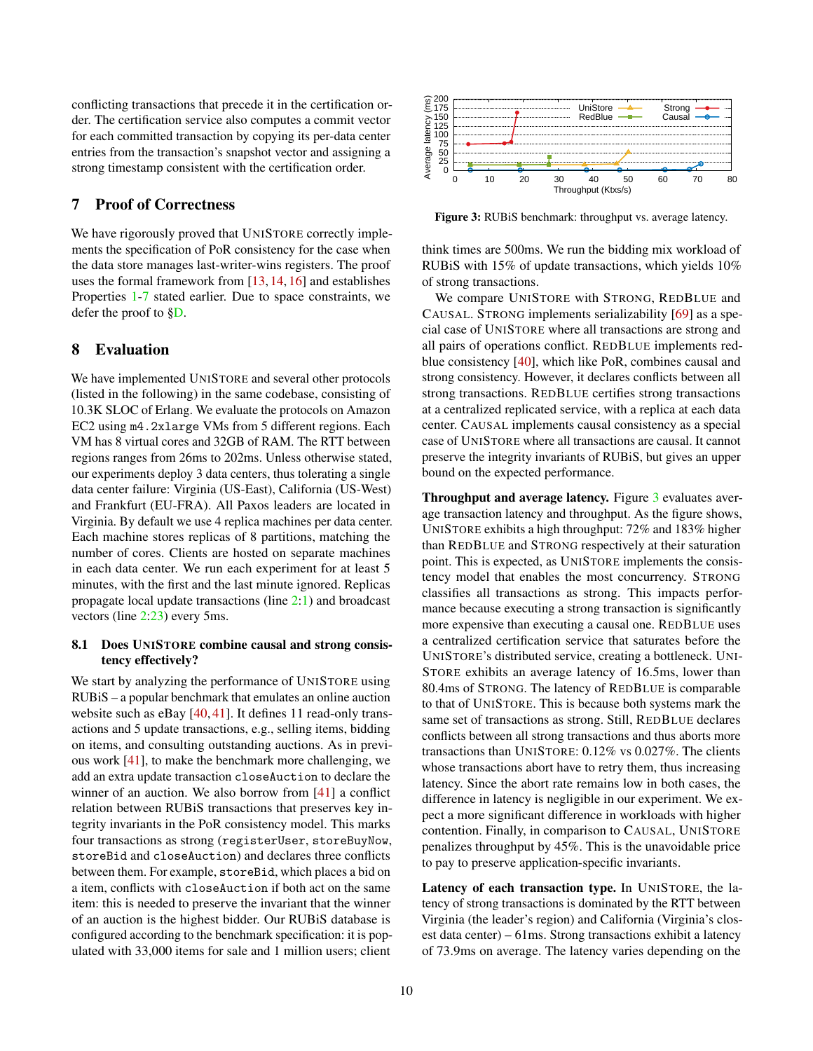conflicting transactions that precede it in the certification order. The certification service also computes a commit vector for each committed transaction by copying its per-data center entries from the transaction's snapshot vector and assigning a strong timestamp consistent with the certification order.

# <span id="page-9-0"></span>7 Proof of Correctness

We have rigorously proved that UNISTORE correctly implements the specification of PoR consistency for the case when the data store manages last-writer-wins registers. The proof uses the formal framework from [\[13,](#page-12-16) [14,](#page-12-17) [16\]](#page-12-13) and establishes Properties [1](#page-4-1)[-7](#page-8-1) stated earlier. Due to space constraints, we defer the proof to [§D.](#page-28-0)

# 8 Evaluation

We have implemented UNISTORE and several other protocols (listed in the following) in the same codebase, consisting of 10.3K SLOC of Erlang. We evaluate the protocols on Amazon EC2 using m4.2xlarge VMs from 5 different regions. Each VM has 8 virtual cores and 32GB of RAM. The RTT between regions ranges from 26ms to 202ms. Unless otherwise stated, our experiments deploy 3 data centers, thus tolerating a single data center failure: Virginia (US-East), California (US-West) and Frankfurt (EU-FRA). All Paxos leaders are located in Virginia. By default we use 4 replica machines per data center. Each machine stores replicas of 8 partitions, matching the number of cores. Clients are hosted on separate machines in each data center. We run each experiment for at least 5 minutes, with the first and the last minute ignored. Replicas propagate local update transactions (line [2](#page-6-0)[:1\)](#page-6-1) and broadcast vectors (line [2:](#page-6-0)[23\)](#page-6-1) every 5ms.

# 8.1 Does UNISTORE combine causal and strong consistency effectively?

We start by analyzing the performance of UNISTORE using RUBiS – a popular benchmark that emulates an online auction website such as eBay [\[40,](#page-13-6) [41\]](#page-13-7). It defines 11 read-only transactions and 5 update transactions, e.g., selling items, bidding on items, and consulting outstanding auctions. As in previous work [\[41\]](#page-13-7), to make the benchmark more challenging, we add an extra update transaction closeAuction to declare the winner of an auction. We also borrow from [\[41\]](#page-13-7) a conflict relation between RUBiS transactions that preserves key integrity invariants in the PoR consistency model. This marks four transactions as strong (registerUser, storeBuyNow, storeBid and closeAuction) and declares three conflicts between them. For example, storeBid, which places a bid on a item, conflicts with closeAuction if both act on the same item: this is needed to preserve the invariant that the winner of an auction is the highest bidder. Our RUBiS database is configured according to the benchmark specification: it is populated with 33,000 items for sale and 1 million users; client

<span id="page-9-1"></span>

Figure 3: RUBiS benchmark: throughput vs. average latency.

think times are 500ms. We run the bidding mix workload of RUBiS with 15% of update transactions, which yields 10% of strong transactions.

We compare UNISTORE with STRONG, REDBLUE and CAUSAL. STRONG implements serializability [\[69\]](#page-14-0) as a special case of UNISTORE where all transactions are strong and all pairs of operations conflict. REDBLUE implements redblue consistency [\[40\]](#page-13-6), which like PoR, combines causal and strong consistency. However, it declares conflicts between all strong transactions. REDBLUE certifies strong transactions at a centralized replicated service, with a replica at each data center. CAUSAL implements causal consistency as a special case of UNISTORE where all transactions are causal. It cannot preserve the integrity invariants of RUBiS, but gives an upper bound on the expected performance.

Throughput and average latency. Figure [3](#page-9-1) evaluates average transaction latency and throughput. As the figure shows, UNISTORE exhibits a high throughput: 72% and 183% higher than REDBLUE and STRONG respectively at their saturation point. This is expected, as UNISTORE implements the consistency model that enables the most concurrency. STRONG classifies all transactions as strong. This impacts performance because executing a strong transaction is significantly more expensive than executing a causal one. REDBLUE uses a centralized certification service that saturates before the UNISTORE's distributed service, creating a bottleneck. UNI-STORE exhibits an average latency of 16.5ms, lower than 80.4ms of STRONG. The latency of REDBLUE is comparable to that of UNISTORE. This is because both systems mark the same set of transactions as strong. Still, REDBLUE declares conflicts between all strong transactions and thus aborts more transactions than UNISTORE: 0.12% vs 0.027%. The clients whose transactions abort have to retry them, thus increasing latency. Since the abort rate remains low in both cases, the difference in latency is negligible in our experiment. We expect a more significant difference in workloads with higher contention. Finally, in comparison to CAUSAL, UNISTORE penalizes throughput by 45%. This is the unavoidable price to pay to preserve application-specific invariants.

Latency of each transaction type. In UNISTORE, the latency of strong transactions is dominated by the RTT between Virginia (the leader's region) and California (Virginia's closest data center) – 61ms. Strong transactions exhibit a latency of 73.9ms on average. The latency varies depending on the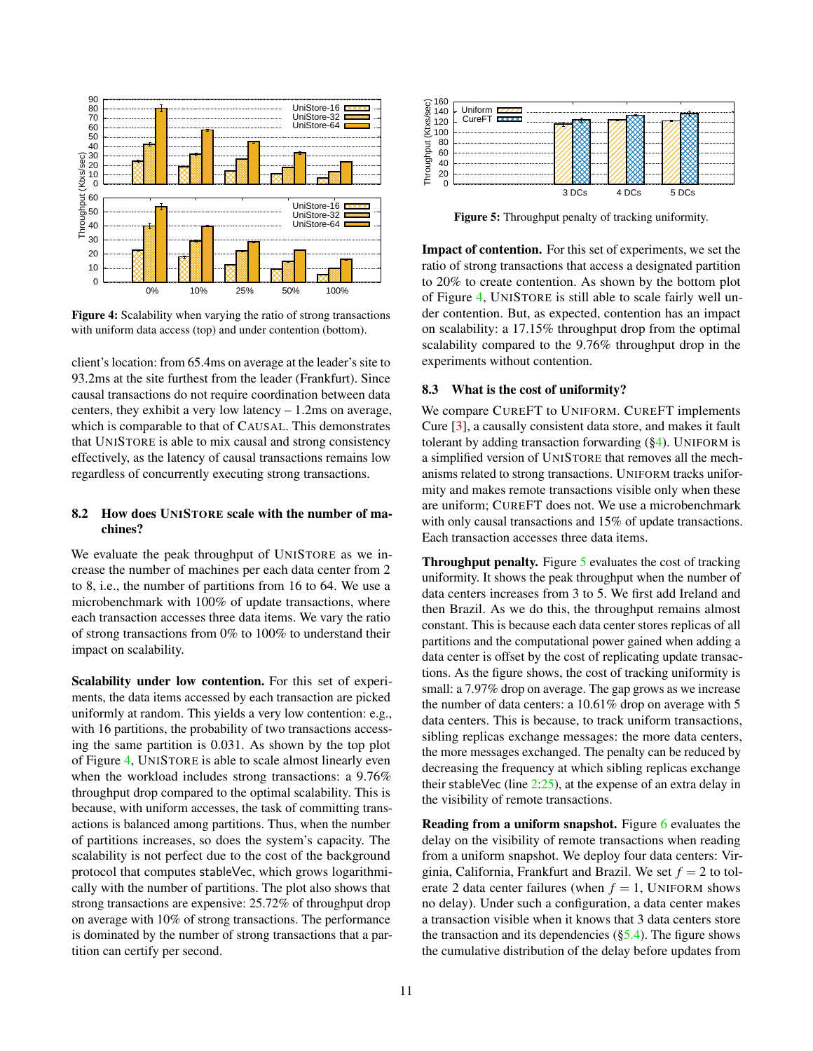<span id="page-10-0"></span>

Figure 4: Scalability when varying the ratio of strong transactions with uniform data access (top) and under contention (bottom).

client's location: from 65.4ms on average at the leader's site to 93.2ms at the site furthest from the leader (Frankfurt). Since causal transactions do not require coordination between data centers, they exhibit a very low latency – 1.2ms on average, which is comparable to that of CAUSAL. This demonstrates that UNISTORE is able to mix causal and strong consistency effectively, as the latency of causal transactions remains low regardless of concurrently executing strong transactions.

# <span id="page-10-2"></span>8.2 How does UNISTORE scale with the number of machines?

We evaluate the peak throughput of UNISTORE as we increase the number of machines per each data center from 2 to 8, i.e., the number of partitions from 16 to 64. We use a microbenchmark with 100% of update transactions, where each transaction accesses three data items. We vary the ratio of strong transactions from 0% to 100% to understand their impact on scalability.

Scalability under low contention. For this set of experiments, the data items accessed by each transaction are picked uniformly at random. This yields a very low contention: e.g., with 16 partitions, the probability of two transactions accessing the same partition is 0.031. As shown by the top plot of Figure [4,](#page-10-0) UNISTORE is able to scale almost linearly even when the workload includes strong transactions: a 9.76% throughput drop compared to the optimal scalability. This is because, with uniform accesses, the task of committing transactions is balanced among partitions. Thus, when the number of partitions increases, so does the system's capacity. The scalability is not perfect due to the cost of the background protocol that computes stableVec, which grows logarithmically with the number of partitions. The plot also shows that strong transactions are expensive: 25.72% of throughput drop on average with 10% of strong transactions. The performance is dominated by the number of strong transactions that a partition can certify per second.

<span id="page-10-1"></span>

Figure 5: Throughput penalty of tracking uniformity.

Impact of contention. For this set of experiments, we set the ratio of strong transactions that access a designated partition to 20% to create contention. As shown by the bottom plot of Figure [4,](#page-10-0) UNISTORE is still able to scale fairly well under contention. But, as expected, contention has an impact on scalability: a 17.15% throughput drop from the optimal scalability compared to the 9.76% throughput drop in the experiments without contention.

#### 8.3 What is the cost of uniformity?

We compare CUREFT to UNIFORM. CUREFT implements Cure [\[3\]](#page-12-6), a causally consistent data store, and makes it fault tolerant by adding transaction forwarding  $(\S4)$ . UNIFORM is a simplified version of UNISTORE that removes all the mechanisms related to strong transactions. UNIFORM tracks uniformity and makes remote transactions visible only when these are uniform; CUREFT does not. We use a microbenchmark with only causal transactions and 15% of update transactions. Each transaction accesses three data items.

Throughput penalty. Figure [5](#page-10-1) evaluates the cost of tracking uniformity. It shows the peak throughput when the number of data centers increases from 3 to 5. We first add Ireland and then Brazil. As we do this, the throughput remains almost constant. This is because each data center stores replicas of all partitions and the computational power gained when adding a data center is offset by the cost of replicating update transactions. As the figure shows, the cost of tracking uniformity is small: a 7.97% drop on average. The gap grows as we increase the number of data centers: a 10.61% drop on average with 5 data centers. This is because, to track uniform transactions, sibling replicas exchange messages: the more data centers, the more messages exchanged. The penalty can be reduced by decreasing the frequency at which sibling replicas exchange their stableVec (line  $2:25$  $2:25$ ), at the expense of an extra delay in the visibility of remote transactions.

Reading from a uniform snapshot. Figure [6](#page-11-0) evaluates the delay on the visibility of remote transactions when reading from a uniform snapshot. We deploy four data centers: Virginia, California, Frankfurt and Brazil. We set  $f = 2$  to tolerate 2 data center failures (when  $f = 1$ , UNIFORM shows no delay). Under such a configuration, a data center makes a transaction visible when it knows that 3 data centers store the transaction and its dependencies  $(\S$ 5.4). The figure shows the cumulative distribution of the delay before updates from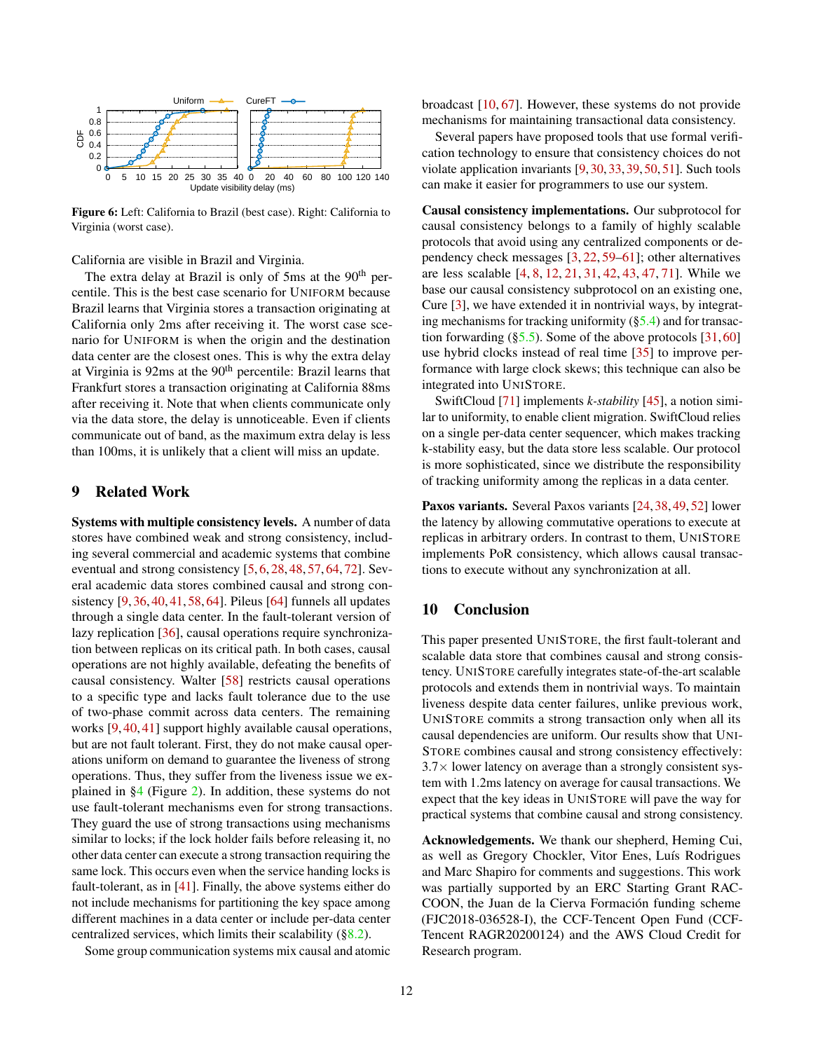<span id="page-11-0"></span>

Figure 6: Left: California to Brazil (best case). Right: California to Virginia (worst case).

California are visible in Brazil and Virginia.

The extra delay at Brazil is only of 5ms at the  $90<sup>th</sup>$  percentile. This is the best case scenario for UNIFORM because Brazil learns that Virginia stores a transaction originating at California only 2ms after receiving it. The worst case scenario for UNIFORM is when the origin and the destination data center are the closest ones. This is why the extra delay at Virginia is 92ms at the 90<sup>th</sup> percentile: Brazil learns that Frankfurt stores a transaction originating at California 88ms after receiving it. Note that when clients communicate only via the data store, the delay is unnoticeable. Even if clients communicate out of band, as the maximum extra delay is less than 100ms, it is unlikely that a client will miss an update.

# 9 Related Work

Systems with multiple consistency levels. A number of data stores have combined weak and strong consistency, including several commercial and academic systems that combine eventual and strong consistency [\[5,](#page-12-8) [6,](#page-12-9) [28,](#page-13-8) [48,](#page-13-9) [57,](#page-14-8) [64,](#page-14-7) [72\]](#page-14-14). Several academic data stores combined causal and strong consistency [\[9,](#page-12-7) [36,](#page-13-16) [40,](#page-13-6) [41,](#page-13-7) [58,](#page-14-15) [64\]](#page-14-7). Pileus [\[64\]](#page-14-7) funnels all updates through a single data center. In the fault-tolerant version of lazy replication [\[36\]](#page-13-16), causal operations require synchronization between replicas on its critical path. In both cases, causal operations are not highly available, defeating the benefits of causal consistency. Walter [\[58\]](#page-14-15) restricts causal operations to a specific type and lacks fault tolerance due to the use of two-phase commit across data centers. The remaining works [\[9,](#page-12-7) [40,](#page-13-6) [41\]](#page-13-7) support highly available causal operations, but are not fault tolerant. First, they do not make causal operations uniform on demand to guarantee the liveness of strong operations. Thus, they suffer from the liveness issue we explained in [§4](#page-2-0) (Figure [2\)](#page-3-0). In addition, these systems do not use fault-tolerant mechanisms even for strong transactions. They guard the use of strong transactions using mechanisms similar to locks; if the lock holder fails before releasing it, no other data center can execute a strong transaction requiring the same lock. This occurs even when the service handing locks is fault-tolerant, as in [\[41\]](#page-13-7). Finally, the above systems either do not include mechanisms for partitioning the key space among different machines in a data center or include per-data center centralized services, which limits their scalability ([§8.2\)](#page-10-2).

Some group communication systems mix causal and atomic

broadcast [\[10,](#page-12-18) [67\]](#page-14-16). However, these systems do not provide mechanisms for maintaining transactional data consistency.

Several papers have proposed tools that use formal verification technology to ensure that consistency choices do not violate application invariants [\[9,](#page-12-7) [30,](#page-13-10) [33,](#page-13-17) [39,](#page-13-18) [50,](#page-13-19) [51\]](#page-14-17). Such tools can make it easier for programmers to use our system.

Causal consistency implementations. Our subprotocol for causal consistency belongs to a family of highly scalable protocols that avoid using any centralized components or dependency check messages [\[3,](#page-12-6) [22,](#page-12-14) [59–](#page-14-18)[61\]](#page-14-19); other alternatives are less scalable [\[4,](#page-12-19) [8,](#page-12-20) [12,](#page-12-21) [21,](#page-12-22) [31,](#page-13-20) [42,](#page-13-4) [43,](#page-13-21) [47,](#page-13-5) [71\]](#page-14-13). While we base our causal consistency subprotocol on an existing one, Cure [\[3\]](#page-12-6), we have extended it in nontrivial ways, by integrating mechanisms for tracking uniformity  $(\S5.4)$  and for transaction forwarding  $(\S 5.5)$ . Some of the above protocols [\[31,](#page-13-20) [60\]](#page-14-20) use hybrid clocks instead of real time [\[35\]](#page-13-22) to improve performance with large clock skews; this technique can also be integrated into UNISTORE.

SwiftCloud [\[71\]](#page-14-13) implements *k-stability* [\[45\]](#page-13-23), a notion similar to uniformity, to enable client migration. SwiftCloud relies on a single per-data center sequencer, which makes tracking k-stability easy, but the data store less scalable. Our protocol is more sophisticated, since we distribute the responsibility of tracking uniformity among the replicas in a data center.

Paxos variants. Several Paxos variants [\[24,](#page-12-23) [38,](#page-13-24) [49,](#page-13-25) [52\]](#page-14-21) lower the latency by allowing commutative operations to execute at replicas in arbitrary orders. In contrast to them, UNISTORE implements PoR consistency, which allows causal transactions to execute without any synchronization at all.

# 10 Conclusion

This paper presented UNISTORE, the first fault-tolerant and scalable data store that combines causal and strong consistency. UNISTORE carefully integrates state-of-the-art scalable protocols and extends them in nontrivial ways. To maintain liveness despite data center failures, unlike previous work, UNISTORE commits a strong transaction only when all its causal dependencies are uniform. Our results show that UNI-STORE combines causal and strong consistency effectively:  $3.7\times$  lower latency on average than a strongly consistent system with 1.2ms latency on average for causal transactions. We expect that the key ideas in UNISTORE will pave the way for practical systems that combine causal and strong consistency.

Acknowledgements. We thank our shepherd, Heming Cui, as well as Gregory Chockler, Vitor Enes, Luís Rodrigues and Marc Shapiro for comments and suggestions. This work was partially supported by an ERC Starting Grant RAC-COON, the Juan de la Cierva Formación funding scheme (FJC2018-036528-I), the CCF-Tencent Open Fund (CCF-Tencent RAGR20200124) and the AWS Cloud Credit for Research program.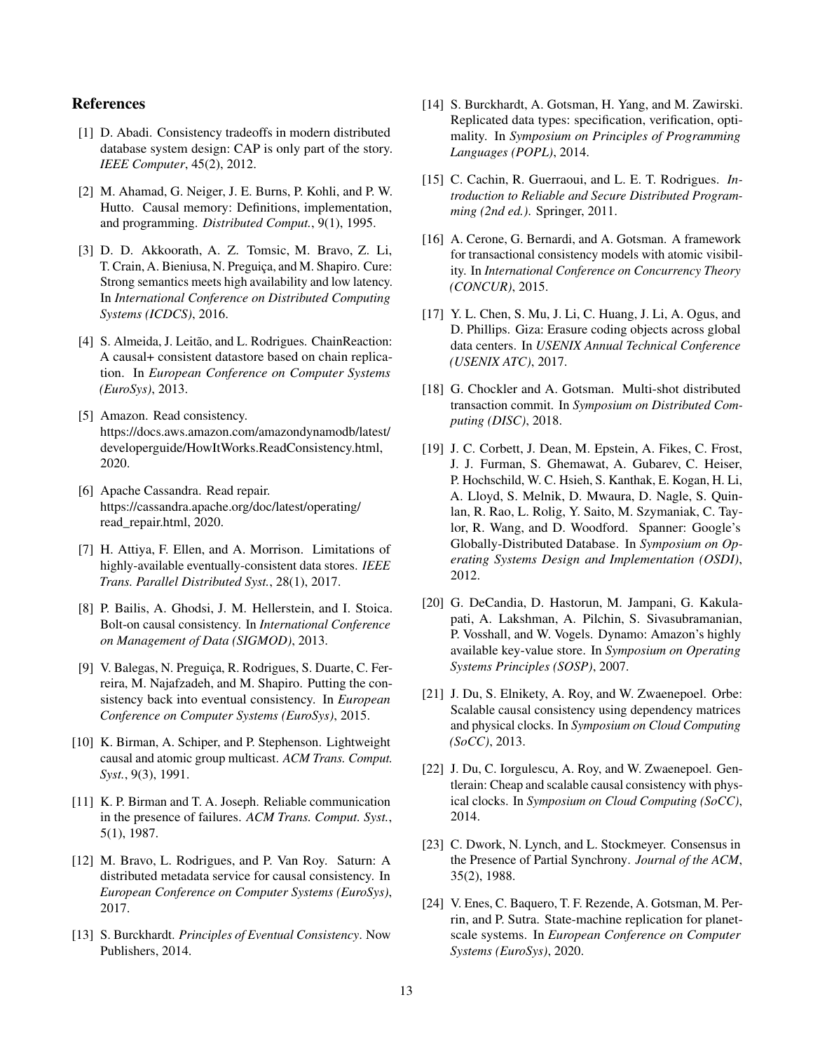# References

- <span id="page-12-0"></span>[1] D. Abadi. Consistency tradeoffs in modern distributed database system design: CAP is only part of the story. *IEEE Computer*, 45(2), 2012.
- <span id="page-12-4"></span>[2] M. Ahamad, G. Neiger, J. E. Burns, P. Kohli, and P. W. Hutto. Causal memory: Definitions, implementation, and programming. *Distributed Comput.*, 9(1), 1995.
- <span id="page-12-6"></span>[3] D. D. Akkoorath, A. Z. Tomsic, M. Bravo, Z. Li, T. Crain, A. Bieniusa, N. Preguiça, and M. Shapiro. Cure: Strong semantics meets high availability and low latency. In *International Conference on Distributed Computing Systems (ICDCS)*, 2016.
- <span id="page-12-19"></span>[4] S. Almeida, J. Leitão, and L. Rodrigues. ChainReaction: A causal+ consistent datastore based on chain replication. In *European Conference on Computer Systems (EuroSys)*, 2013.
- <span id="page-12-8"></span>[5] Amazon. Read consistency. https://docs.aws.amazon.com/amazondynamodb/latest/ developerguide/HowItWorks.ReadConsistency.html, 2020.
- <span id="page-12-9"></span>[6] Apache Cassandra. Read repair. https://cassandra.apache.org/doc/latest/operating/ read\_repair.html, 2020.
- <span id="page-12-5"></span>[7] H. Attiya, F. Ellen, and A. Morrison. Limitations of highly-available eventually-consistent data stores. *IEEE Trans. Parallel Distributed Syst.*, 28(1), 2017.
- <span id="page-12-20"></span>[8] P. Bailis, A. Ghodsi, J. M. Hellerstein, and I. Stoica. Bolt-on causal consistency. In *International Conference on Management of Data (SIGMOD)*, 2013.
- <span id="page-12-7"></span>[9] V. Balegas, N. Preguiça, R. Rodrigues, S. Duarte, C. Ferreira, M. Najafzadeh, and M. Shapiro. Putting the consistency back into eventual consistency. In *European Conference on Computer Systems (EuroSys)*, 2015.
- <span id="page-12-18"></span>[10] K. Birman, A. Schiper, and P. Stephenson. Lightweight causal and atomic group multicast. *ACM Trans. Comput. Syst.*, 9(3), 1991.
- <span id="page-12-15"></span>[11] K. P. Birman and T. A. Joseph. Reliable communication in the presence of failures. *ACM Trans. Comput. Syst.*, 5(1), 1987.
- <span id="page-12-21"></span>[12] M. Bravo, L. Rodrigues, and P. Van Roy. Saturn: A distributed metadata service for causal consistency. In *European Conference on Computer Systems (EuroSys)*, 2017.
- <span id="page-12-16"></span>[13] S. Burckhardt. *Principles of Eventual Consistency*. Now Publishers, 2014.
- <span id="page-12-17"></span>[14] S. Burckhardt, A. Gotsman, H. Yang, and M. Zawirski. Replicated data types: specification, verification, optimality. In *Symposium on Principles of Programming Languages (POPL)*, 2014.
- <span id="page-12-11"></span>[15] C. Cachin, R. Guerraoui, and L. E. T. Rodrigues. *Introduction to Reliable and Secure Distributed Programming (2nd ed.)*. Springer, 2011.
- <span id="page-12-13"></span>[16] A. Cerone, G. Bernardi, and A. Gotsman. A framework for transactional consistency models with atomic visibility. In *International Conference on Concurrency Theory (CONCUR)*, 2015.
- <span id="page-12-1"></span>[17] Y. L. Chen, S. Mu, J. Li, C. Huang, J. Li, A. Ogus, and D. Phillips. Giza: Erasure coding objects across global data centers. In *USENIX Annual Technical Conference (USENIX ATC)*, 2017.
- <span id="page-12-10"></span>[18] G. Chockler and A. Gotsman. Multi-shot distributed transaction commit. In *Symposium on Distributed Computing (DISC)*, 2018.
- <span id="page-12-2"></span>[19] J. C. Corbett, J. Dean, M. Epstein, A. Fikes, C. Frost, J. J. Furman, S. Ghemawat, A. Gubarev, C. Heiser, P. Hochschild, W. C. Hsieh, S. Kanthak, E. Kogan, H. Li, A. Lloyd, S. Melnik, D. Mwaura, D. Nagle, S. Quinlan, R. Rao, L. Rolig, Y. Saito, M. Szymaniak, C. Taylor, R. Wang, and D. Woodford. Spanner: Google's Globally-Distributed Database. In *Symposium on Operating Systems Design and Implementation (OSDI)*, 2012.
- <span id="page-12-3"></span>[20] G. DeCandia, D. Hastorun, M. Jampani, G. Kakulapati, A. Lakshman, A. Pilchin, S. Sivasubramanian, P. Vosshall, and W. Vogels. Dynamo: Amazon's highly available key-value store. In *Symposium on Operating Systems Principles (SOSP)*, 2007.
- <span id="page-12-22"></span>[21] J. Du, S. Elnikety, A. Roy, and W. Zwaenepoel. Orbe: Scalable causal consistency using dependency matrices and physical clocks. In *Symposium on Cloud Computing (SoCC)*, 2013.
- <span id="page-12-14"></span>[22] J. Du, C. Iorgulescu, A. Roy, and W. Zwaenepoel. Gentlerain: Cheap and scalable causal consistency with physical clocks. In *Symposium on Cloud Computing (SoCC)*, 2014.
- <span id="page-12-12"></span>[23] C. Dwork, N. Lynch, and L. Stockmeyer. Consensus in the Presence of Partial Synchrony. *Journal of the ACM*, 35(2), 1988.
- <span id="page-12-23"></span>[24] V. Enes, C. Baquero, T. F. Rezende, A. Gotsman, M. Perrin, and P. Sutra. State-machine replication for planetscale systems. In *European Conference on Computer Systems (EuroSys)*, 2020.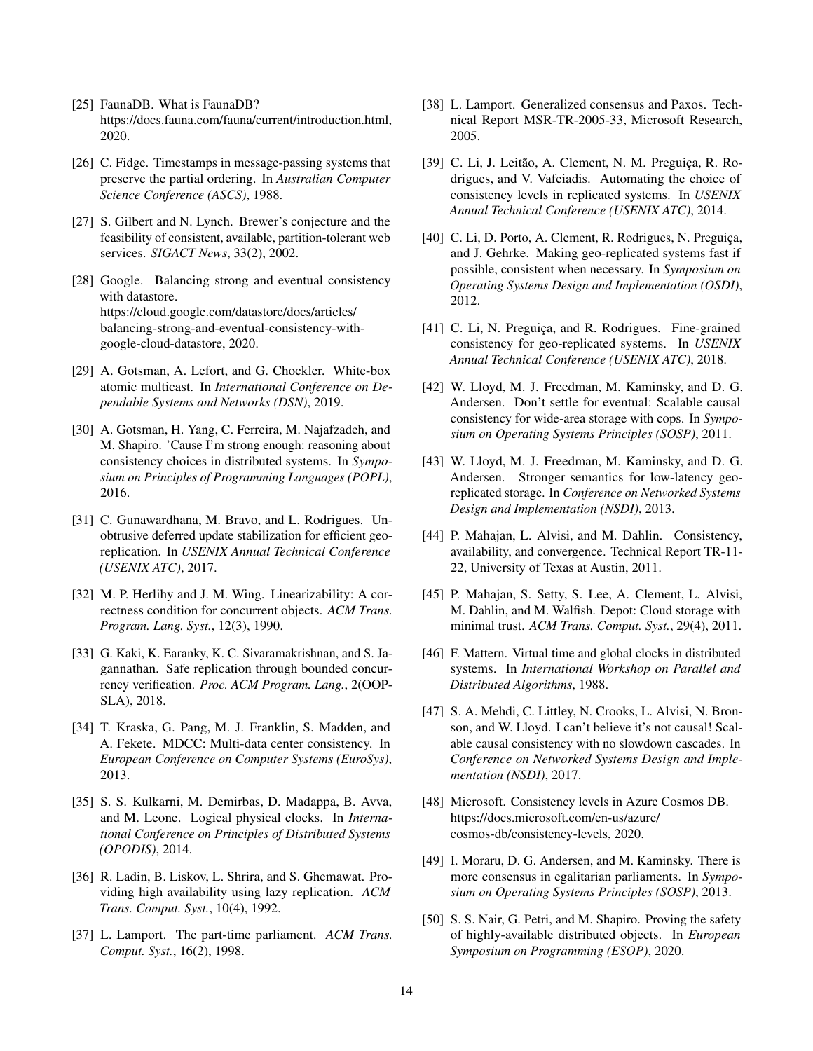- <span id="page-13-2"></span>[25] FaunaDB. What is FaunaDB? https://docs.fauna.com/fauna/current/introduction.html, 2020.
- <span id="page-13-13"></span>[26] C. Fidge. Timestamps in message-passing systems that preserve the partial ordering. In *Australian Computer Science Conference (ASCS)*, 1988.
- <span id="page-13-1"></span>[27] S. Gilbert and N. Lynch. Brewer's conjecture and the feasibility of consistent, available, partition-tolerant web services. *SIGACT News*, 33(2), 2002.
- <span id="page-13-8"></span>[28] Google. Balancing strong and eventual consistency with datastore. https://cloud.google.com/datastore/docs/articles/ balancing-strong-and-eventual-consistency-withgoogle-cloud-datastore, 2020.
- <span id="page-13-15"></span>[29] A. Gotsman, A. Lefort, and G. Chockler. White-box atomic multicast. In *International Conference on Dependable Systems and Networks (DSN)*, 2019.
- <span id="page-13-10"></span>[30] A. Gotsman, H. Yang, C. Ferreira, M. Najafzadeh, and M. Shapiro. 'Cause I'm strong enough: reasoning about consistency choices in distributed systems. In *Symposium on Principles of Programming Languages (POPL)*, 2016.
- <span id="page-13-20"></span>[31] C. Gunawardhana, M. Bravo, and L. Rodrigues. Unobtrusive deferred update stabilization for efficient georeplication. In *USENIX Annual Technical Conference (USENIX ATC)*, 2017.
- <span id="page-13-0"></span>[32] M. P. Herlihy and J. M. Wing. Linearizability: A correctness condition for concurrent objects. *ACM Trans. Program. Lang. Syst.*, 12(3), 1990.
- <span id="page-13-17"></span>[33] G. Kaki, K. Earanky, K. C. Sivaramakrishnan, and S. Jagannathan. Safe replication through bounded concurrency verification. *Proc. ACM Program. Lang.*, 2(OOP-SLA), 2018.
- <span id="page-13-11"></span>[34] T. Kraska, G. Pang, M. J. Franklin, S. Madden, and A. Fekete. MDCC: Multi-data center consistency. In *European Conference on Computer Systems (EuroSys)*, 2013.
- <span id="page-13-22"></span>[35] S. S. Kulkarni, M. Demirbas, D. Madappa, B. Avva, and M. Leone. Logical physical clocks. In *International Conference on Principles of Distributed Systems (OPODIS)*, 2014.
- <span id="page-13-16"></span>[36] R. Ladin, B. Liskov, L. Shrira, and S. Ghemawat. Providing high availability using lazy replication. *ACM Trans. Comput. Syst.*, 10(4), 1992.
- <span id="page-13-12"></span>[37] L. Lamport. The part-time parliament. *ACM Trans. Comput. Syst.*, 16(2), 1998.
- <span id="page-13-24"></span>[38] L. Lamport. Generalized consensus and Paxos. Technical Report MSR-TR-2005-33, Microsoft Research, 2005.
- <span id="page-13-18"></span>[39] C. Li, J. Leitão, A. Clement, N. M. Preguiça, R. Rodrigues, and V. Vafeiadis. Automating the choice of consistency levels in replicated systems. In *USENIX Annual Technical Conference (USENIX ATC)*, 2014.
- <span id="page-13-6"></span>[40] C. Li, D. Porto, A. Clement, R. Rodrigues, N. Preguiça, and J. Gehrke. Making geo-replicated systems fast if possible, consistent when necessary. In *Symposium on Operating Systems Design and Implementation (OSDI)*, 2012.
- <span id="page-13-7"></span>[41] C. Li, N. Preguiça, and R. Rodrigues. Fine-grained consistency for geo-replicated systems. In *USENIX Annual Technical Conference (USENIX ATC)*, 2018.
- <span id="page-13-4"></span>[42] W. Lloyd, M. J. Freedman, M. Kaminsky, and D. G. Andersen. Don't settle for eventual: Scalable causal consistency for wide-area storage with cops. In *Symposium on Operating Systems Principles (SOSP)*, 2011.
- <span id="page-13-21"></span>[43] W. Lloyd, M. J. Freedman, M. Kaminsky, and D. G. Andersen. Stronger semantics for low-latency georeplicated storage. In *Conference on Networked Systems Design and Implementation (NSDI)*, 2013.
- <span id="page-13-3"></span>[44] P. Mahajan, L. Alvisi, and M. Dahlin. Consistency, availability, and convergence. Technical Report TR-11- 22, University of Texas at Austin, 2011.
- <span id="page-13-23"></span>[45] P. Mahajan, S. Setty, S. Lee, A. Clement, L. Alvisi, M. Dahlin, and M. Walfish. Depot: Cloud storage with minimal trust. *ACM Trans. Comput. Syst.*, 29(4), 2011.
- <span id="page-13-14"></span>[46] F. Mattern. Virtual time and global clocks in distributed systems. In *International Workshop on Parallel and Distributed Algorithms*, 1988.
- <span id="page-13-5"></span>[47] S. A. Mehdi, C. Littley, N. Crooks, L. Alvisi, N. Bronson, and W. Lloyd. I can't believe it's not causal! Scalable causal consistency with no slowdown cascades. In *Conference on Networked Systems Design and Implementation (NSDI)*, 2017.
- <span id="page-13-9"></span>[48] Microsoft. Consistency levels in Azure Cosmos DB. https://docs.microsoft.com/en-us/azure/ cosmos-db/consistency-levels, 2020.
- <span id="page-13-25"></span>[49] I. Moraru, D. G. Andersen, and M. Kaminsky. There is more consensus in egalitarian parliaments. In *Symposium on Operating Systems Principles (SOSP)*, 2013.
- <span id="page-13-19"></span>[50] S. S. Nair, G. Petri, and M. Shapiro. Proving the safety of highly-available distributed objects. In *European Symposium on Programming (ESOP)*, 2020.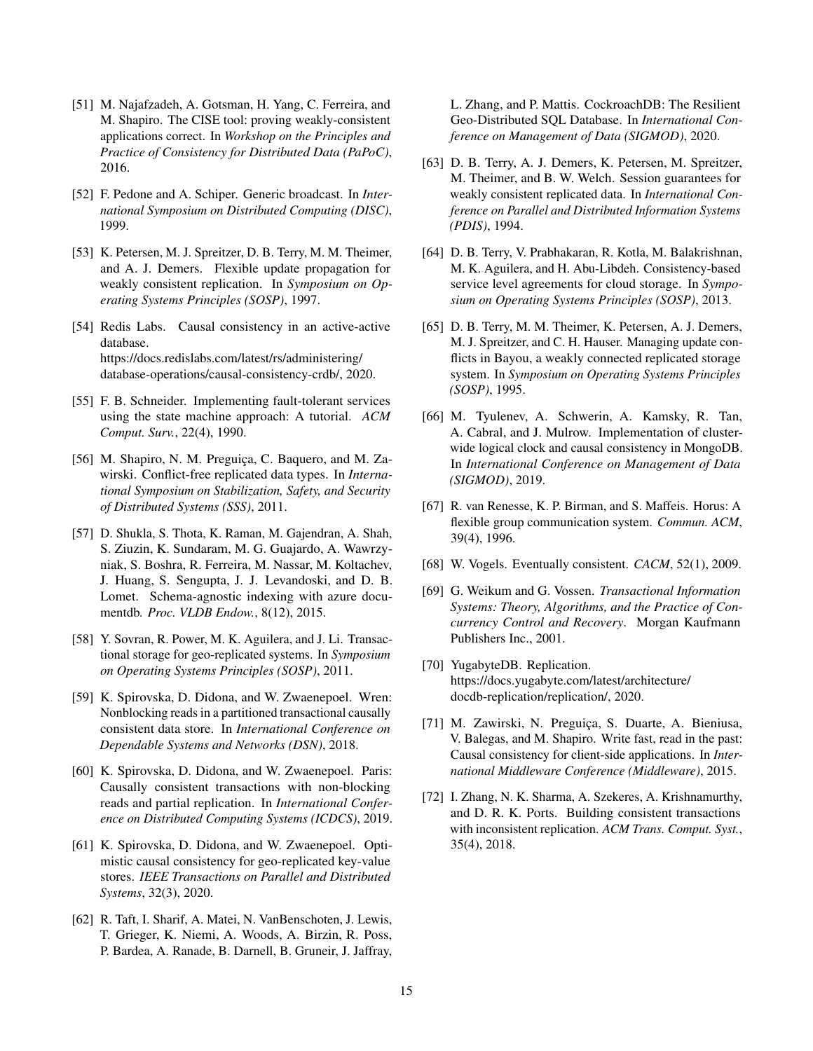- <span id="page-14-17"></span>[51] M. Najafzadeh, A. Gotsman, H. Yang, C. Ferreira, and M. Shapiro. The CISE tool: proving weakly-consistent applications correct. In *Workshop on the Principles and Practice of Consistency for Distributed Data (PaPoC)*, 2016.
- <span id="page-14-21"></span>[52] F. Pedone and A. Schiper. Generic broadcast. In *International Symposium on Distributed Computing (DISC)*, 1999.
- <span id="page-14-12"></span>[53] K. Petersen, M. J. Spreitzer, D. B. Terry, M. M. Theimer, and A. J. Demers. Flexible update propagation for weakly consistent replication. In *Symposium on Operating Systems Principles (SOSP)*, 1997.
- <span id="page-14-5"></span>[54] Redis Labs. Causal consistency in an active-active database. https://docs.redislabs.com/latest/rs/administering/ database-operations/causal-consistency-crdb/, 2020.
- <span id="page-14-9"></span>[55] F. B. Schneider. Implementing fault-tolerant services using the state machine approach: A tutorial. *ACM Comput. Surv.*, 22(4), 1990.
- <span id="page-14-11"></span>[56] M. Shapiro, N. M. Preguiça, C. Baquero, and M. Zawirski. Conflict-free replicated data types. In *International Symposium on Stabilization, Safety, and Security of Distributed Systems (SSS)*, 2011.
- <span id="page-14-8"></span>[57] D. Shukla, S. Thota, K. Raman, M. Gajendran, A. Shah, S. Ziuzin, K. Sundaram, M. G. Guajardo, A. Wawrzyniak, S. Boshra, R. Ferreira, M. Nassar, M. Koltachev, J. Huang, S. Sengupta, J. J. Levandoski, and D. B. Lomet. Schema-agnostic indexing with azure documentdb. *Proc. VLDB Endow.*, 8(12), 2015.
- <span id="page-14-15"></span>[58] Y. Sovran, R. Power, M. K. Aguilera, and J. Li. Transactional storage for geo-replicated systems. In *Symposium on Operating Systems Principles (SOSP)*, 2011.
- <span id="page-14-18"></span>[59] K. Spirovska, D. Didona, and W. Zwaenepoel. Wren: Nonblocking reads in a partitioned transactional causally consistent data store. In *International Conference on Dependable Systems and Networks (DSN)*, 2018.
- <span id="page-14-20"></span>[60] K. Spirovska, D. Didona, and W. Zwaenepoel. Paris: Causally consistent transactions with non-blocking reads and partial replication. In *International Conference on Distributed Computing Systems (ICDCS)*, 2019.
- <span id="page-14-19"></span>[61] K. Spirovska, D. Didona, and W. Zwaenepoel. Optimistic causal consistency for geo-replicated key-value stores. *IEEE Transactions on Parallel and Distributed Systems*, 32(3), 2020.
- <span id="page-14-1"></span>[62] R. Taft, I. Sharif, A. Matei, N. VanBenschoten, J. Lewis, T. Grieger, K. Niemi, A. Woods, A. Birzin, R. Poss, P. Bardea, A. Ranade, B. Darnell, B. Gruneir, J. Jaffray,

L. Zhang, and P. Mattis. CockroachDB: The Resilient Geo-Distributed SQL Database. In *International Conference on Management of Data (SIGMOD)*, 2020.

- <span id="page-14-10"></span>[63] D. B. Terry, A. J. Demers, K. Petersen, M. Spreitzer, M. Theimer, and B. W. Welch. Session guarantees for weakly consistent replicated data. In *International Conference on Parallel and Distributed Information Systems (PDIS)*, 1994.
- <span id="page-14-7"></span>[64] D. B. Terry, V. Prabhakaran, R. Kotla, M. Balakrishnan, M. K. Aguilera, and H. Abu-Libdeh. Consistency-based service level agreements for cloud storage. In *Symposium on Operating Systems Principles (SOSP)*, 2013.
- <span id="page-14-3"></span>[65] D. B. Terry, M. M. Theimer, K. Petersen, A. J. Demers, M. J. Spreitzer, and C. H. Hauser. Managing update conflicts in Bayou, a weakly connected replicated storage system. In *Symposium on Operating Systems Principles (SOSP)*, 1995.
- <span id="page-14-6"></span>[66] M. Tyulenev, A. Schwerin, A. Kamsky, R. Tan, A. Cabral, and J. Mulrow. Implementation of clusterwide logical clock and causal consistency in MongoDB. In *International Conference on Management of Data (SIGMOD)*, 2019.
- <span id="page-14-16"></span>[67] R. van Renesse, K. P. Birman, and S. Maffeis. Horus: A flexible group communication system. *Commun. ACM*, 39(4), 1996.
- <span id="page-14-4"></span>[68] W. Vogels. Eventually consistent. *CACM*, 52(1), 2009.
- <span id="page-14-0"></span>[69] G. Weikum and G. Vossen. *Transactional Information Systems: Theory, Algorithms, and the Practice of Concurrency Control and Recovery*. Morgan Kaufmann Publishers Inc., 2001.
- <span id="page-14-2"></span>[70] YugabyteDB. Replication. https://docs.yugabyte.com/latest/architecture/ docdb-replication/replication/, 2020.
- <span id="page-14-13"></span>[71] M. Zawirski, N. Preguiça, S. Duarte, A. Bieniusa, V. Balegas, and M. Shapiro. Write fast, read in the past: Causal consistency for client-side applications. In *International Middleware Conference (Middleware)*, 2015.
- <span id="page-14-14"></span>[72] I. Zhang, N. K. Sharma, A. Szekeres, A. Krishnamurthy, and D. R. K. Ports. Building consistent transactions with inconsistent replication. *ACM Trans. Comput. Syst.*, 35(4), 2018.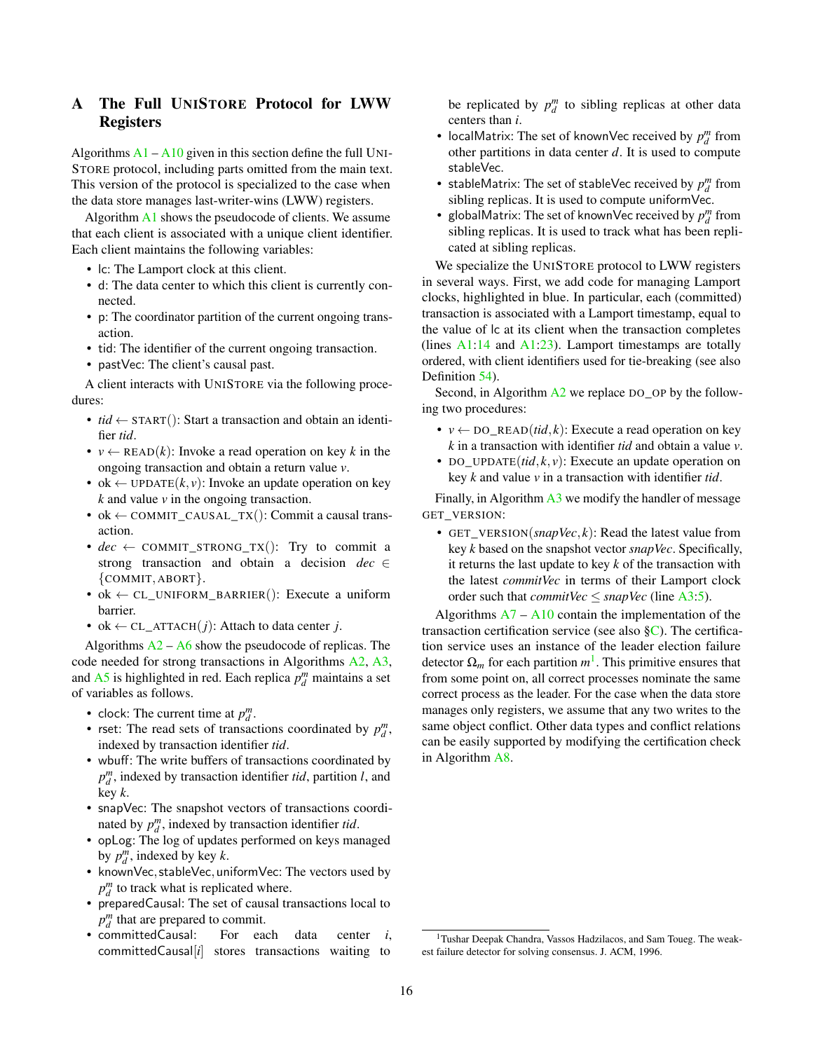# <span id="page-15-0"></span>A The Full UNISTORE Protocol for LWW Registers

Algorithms  $A1 - A10$  $A1 - A10$  $A1 - A10$  given in this section define the full UNI-STORE protocol, including parts omitted from the main text. This version of the protocol is specialized to the case when the data store manages last-writer-wins (LWW) registers.

Algorithm [A1](#page-5-0) shows the pseudocode of clients. We assume that each client is associated with a unique client identifier. Each client maintains the following variables:

- lc: The Lamport clock at this client.
- d: The data center to which this client is currently connected.
- p: The coordinator partition of the current ongoing transaction.
- tid: The identifier of the current ongoing transaction.
- pastVec: The client's causal past.

A client interacts with UNISTORE via the following procedures:

- $tid \leftarrow \text{START}()$ : Start a transaction and obtain an identifier *tid*.
- $v \leftarrow \text{READ}(k)$ : Invoke a read operation on key k in the ongoing transaction and obtain a return value *v*.
- ok  $\leftarrow$  UPDATE $(k, v)$ : Invoke an update operation on key *k* and value *v* in the ongoing transaction.
- ok  $\leftarrow$  COMMIT\_CAUSAL\_TX(): Commit a causal transaction.
- $dec \leftarrow \text{COMMIT\_STRONG_TX}$ ): Try to commit a strong transaction and obtain a decision *dec* ∈ {COMMIT, ABORT}.
- ok  $\leftarrow$  CL\_UNIFORM\_BARRIER(): Execute a uniform barrier.
- ok  $\leftarrow$  CL\_ATTACH $(j)$ : Attach to data center *j*.

Algorithms  $A2 - A6$  $A2 - A6$  $A2 - A6$  show the pseudocode of replicas. The code needed for strong transactions in Algorithms [A2,](#page-6-0) [A3,](#page-8-0) and  $A5$  is highlighted in red. Each replica  $p_d^m$  maintains a set of variables as follows.

- clock: The current time at  $p_d^m$ .
- rset: The read sets of transactions coordinated by  $p_d^m$ , indexed by transaction identifier *tid*.
- wbuff: The write buffers of transactions coordinated by  $p_d^m$ , indexed by transaction identifier *tid*, partition *l*, and key *k*.
- snapVec: The snapshot vectors of transactions coordinated by  $p_d^m$ , indexed by transaction identifier *tid*.
- opLog: The log of updates performed on keys managed by  $p_d^m$ , indexed by key *k*.
- knownVec, stableVec, uniformVec: The vectors used by  $p_d^m$  to track what is replicated where.
- preparedCausal: The set of causal transactions local to  $p_d^m$  that are prepared to commit.
- committedCausal: For each data center *i*, committedCausal[*i*] stores transactions waiting to

be replicated by  $p_d^m$  to sibling replicas at other data centers than *i*.

- localMatrix: The set of knownVec received by  $p_d^m$  from other partitions in data center *d*. It is used to compute stableVec.
- stableMatrix: The set of stableVec received by  $p_d^m$  from sibling replicas. It is used to compute uniformVec.
- globalMatrix: The set of knownVec received by  $p_d^m$  from sibling replicas. It is used to track what has been replicated at sibling replicas.

We specialize the UNISTORE protocol to LWW registers in several ways. First, we add code for managing Lamport clocks, highlighted in blue. In particular, each (committed) transaction is associated with a Lamport timestamp, equal to the value of lc at its client when the transaction completes (lines  $A1:14$  and  $A1:23$ ). Lamport timestamps are totally ordered, with client identifiers used for tie-breaking (see also Definition [54\)](#page-37-0).

Second, in Algorithm  $A2$  we replace DO\_OP by the following two procedures:

- $v \leftarrow \text{DO\_READ}(tid, k)$ : Execute a read operation on key *k* in a transaction with identifier *tid* and obtain a value *v*.
- DO UPDATE $(id, k, v)$ : Execute an update operation on key *k* and value *v* in a transaction with identifier *tid*.

Finally, in Algorithm [A3](#page-8-0) we modify the handler of message GET\_VERSION:

• GET\_VERSION(*snapVec*, *k*): Read the latest value from key *k* based on the snapshot vector *snapVec*. Specifically, it returns the last update to key *k* of the transaction with the latest *commitVec* in terms of their Lamport clock order such that *commitVec*  $\leq$  *snapVec* (line [A3:5\)](#page-8-0).

Algorithms  $A7 - A10$  $A7 - A10$  $A7 - A10$  contain the implementation of the transaction certification service (see also  $\S$ C). The certification service uses an instance of the leader election failure detector  $\Omega_m$  for each partition  $m^1$  $m^1$ . This primitive ensures that from some point on, all correct processes nominate the same correct process as the leader. For the case when the data store manages only registers, we assume that any two writes to the same object conflict. Other data types and conflict relations can be easily supported by modifying the certification check in Algorithm [A8.](#page-21-1)

<sup>1</sup>Tushar Deepak Chandra, Vassos Hadzilacos, and Sam Toueg. The weakest failure detector for solving consensus. J. ACM, 1996.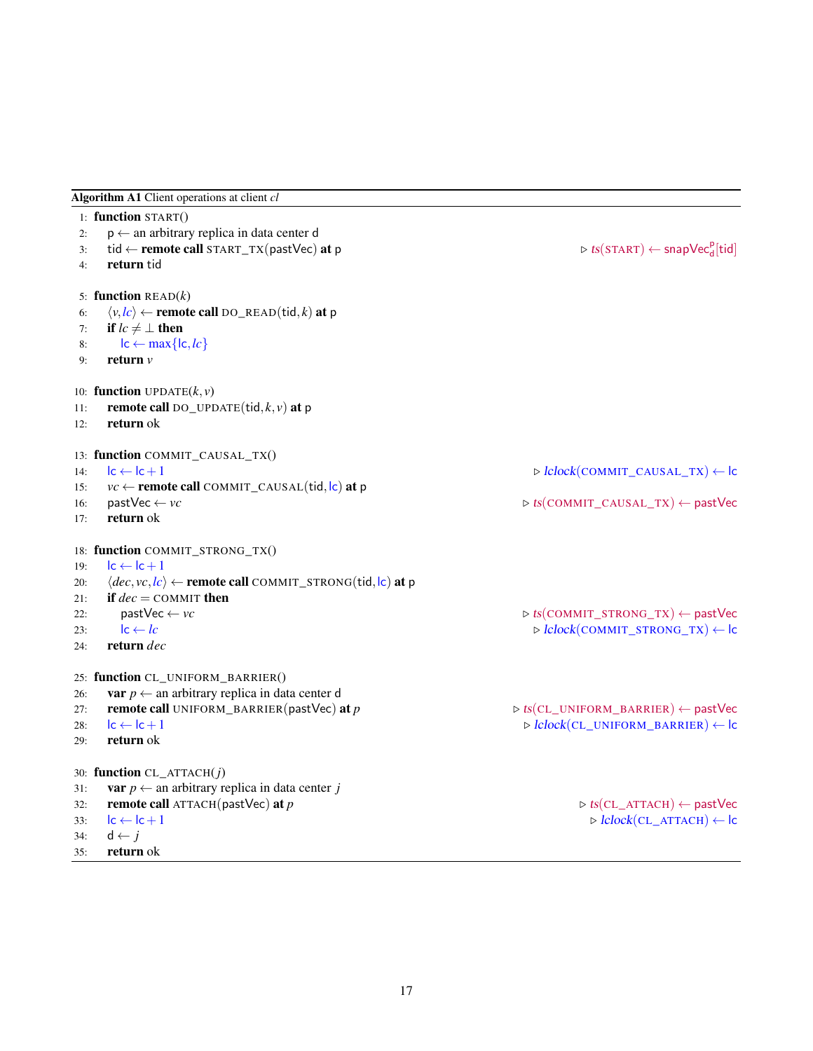Algorithm A1 Client operations at client *cl*

|     | 1: function START()                                                              |                                                                    |
|-----|----------------------------------------------------------------------------------|--------------------------------------------------------------------|
| 2:  | $p \leftarrow$ an arbitrary replica in data center d                             |                                                                    |
| 3:  | tid $\leftarrow$ remote call START_TX(pastVec) at p                              | $\triangleright$ ts(START) $\leftarrow$ snapVec <sub>d</sub> [tid] |
| 4:  | return tid                                                                       |                                                                    |
|     | 5: function $READ(k)$                                                            |                                                                    |
| 6:  | $\langle v, lc \rangle \leftarrow$ remote call DO_READ(tid, k) at p              |                                                                    |
| 7:  | if $lc \neq \perp$ then                                                          |                                                                    |
| 8:  | $\mathsf{lc} \leftarrow \max\{\mathsf{lc},\mathsf{lc}\}$                         |                                                                    |
| 9:  | return $\nu$                                                                     |                                                                    |
|     | 10: function UPDATE $(k, v)$                                                     |                                                                    |
| 11: | remote call DO_UPDATE(tid, $k$ , $v$ ) at p                                      |                                                                    |
| 12: | return ok                                                                        |                                                                    |
|     | 13: function COMMIT_CAUSAL_TX()                                                  |                                                                    |
| 14: | $lc \leftarrow lc + 1$                                                           | $\triangleright$ $lclock$ (COMMIT_CAUSAL_TX) $\leftarrow$ lc       |
| 15: | $vc \leftarrow$ remote call COMMIT_CAUSAL(tid,  c) at p                          |                                                                    |
| 16: | $pastVec \leftarrow vc$                                                          | $\triangleright$ ts(COMMIT_CAUSAL_TX) $\leftarrow$ pastVec         |
| 17: | return ok                                                                        |                                                                    |
|     | 18: function COMMIT_STRONG_TX()                                                  |                                                                    |
| 19: | $lc \leftarrow lc + 1$                                                           |                                                                    |
| 20: | $\langle dec, vc, lc \rangle \leftarrow$ remote call COMMIT_STRONG(tid, lc) at p |                                                                    |
| 21: | if $dec = \text{COMMIT}$ then                                                    |                                                                    |
| 22: | $pastVec \leftarrow vc$                                                          | $\triangleright$ ts(COMMIT_STRONG_TX) $\leftarrow$ pastVec         |
| 23: | $lc \leftarrow lc$                                                               | $\triangleright$ lclock(COMMIT_STRONG_TX) $\leftarrow$ lc          |
| 24: | return dec                                                                       |                                                                    |
|     | 25: function CL_UNIFORM_BARRIER()                                                |                                                                    |
| 26: | <b>var</b> $p \leftarrow$ an arbitrary replica in data center d                  |                                                                    |
| 27: | remote call UNIFORM_BARRIER(pastVec) at p                                        | $\triangleright$ ts(CL_UNIFORM_BARRIER) $\leftarrow$ pastVec       |
| 28: | $\mathsf{lc} \leftarrow \mathsf{lc} + 1$                                         | $\triangleright$ $lclock$ (CL_UNIFORM_BARRIER) $\leftarrow$ lc     |
| 29: | return ok                                                                        |                                                                    |
|     | 30: function $CL\_ATTACH(j)$                                                     |                                                                    |
| 31: | <b>var</b> $p \leftarrow$ an arbitrary replica in data center j                  |                                                                    |
| 32: | remote call $ATTACH(pastVec)$ at p                                               | $\triangleright$ ts(CL_ATTACH) $\leftarrow$ pastVec                |
| 33: | $lc \leftarrow lc + 1$                                                           | $\triangleright$ lclock(CL_ATTACH) $\leftarrow$ lc                 |
| 34: | $d \leftarrow j$                                                                 |                                                                    |
| 35: | return ok                                                                        |                                                                    |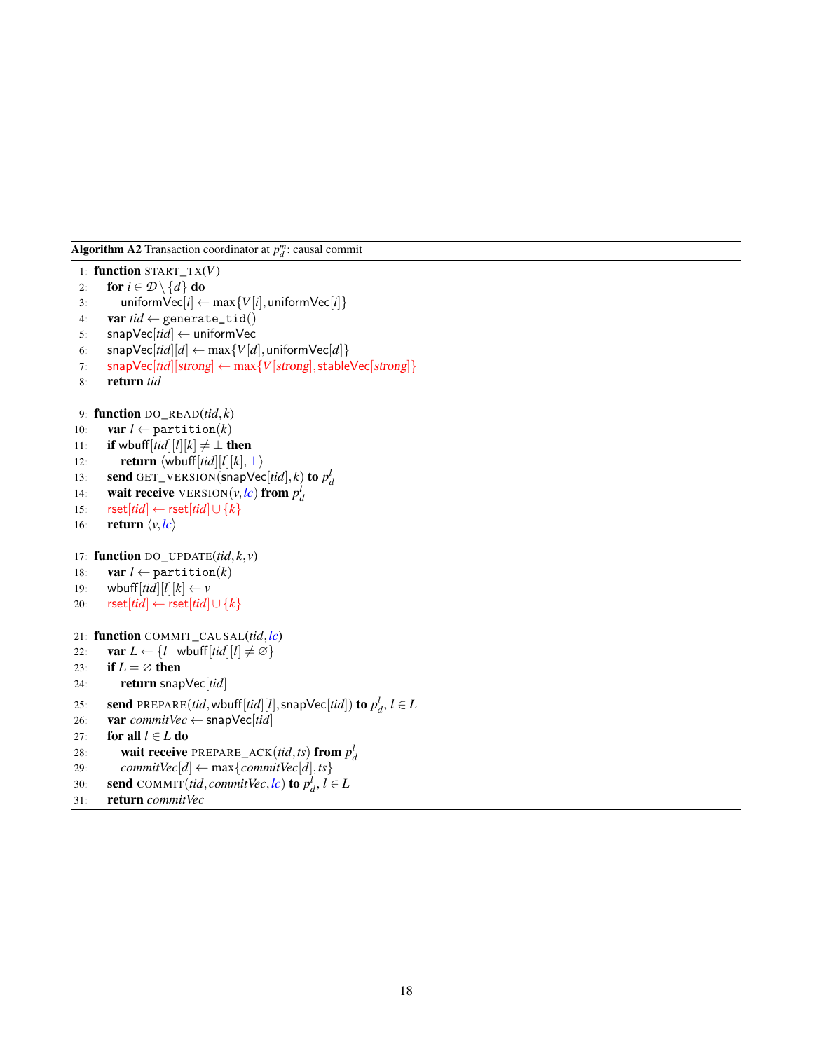Algorithm A2 Transaction coordinator at  $p_d^m$ : causal commit

```
1: function START_TX(V)
 2: for i \in \mathcal{D} \setminus \{d\} do
 3: uniform\text{Vec}[i] \leftarrow \max\{V[i], \text{uniformVec}[i]\}4: var tid \leftarrow generate_tid()
 5: snapVec[tid] ← uniformVec
 6: snapVec[tid][d] \leftarrow max\{V[d],uniformVec[d]}
 7: snapVec[tid][strong] ← max{V[strong],stableVec[strong]}
 8: return tid
 9: function DO_READ(tid, k)
10: var l \leftarrow partition(k)
11: if wbuff[tid][l][k] \neq \perp then
12: return \langle \text{wbuffer}[tid][l][k], \perp \rangle13: send GET_VERSION(snapVec[tid], k) to p_d^l14: wait receive VERSION(v, lc) from p_d^j15: rset[tid] ← rset[tid]∪ {k}
16: return \langle v, lc \rangle17: function DO UPDATE(tid, k, v)18: var l \leftarrow partition(k)
19: wbuff[tid][l][k] \leftarrow v20: rset[tid] ← rset[tid]∪ {k}
21: function COMMIT_CAUSAL(tid,lc)
22: var L \leftarrow \{l \mid \text{wbuff}[\text{tid}][l] \neq \emptyset\}23: if L = \emptyset then
24: return snapVec[tid]
25: send PREPARE(tid, wbuff[tid][l], snapVec[tid]) to p_d^l, l \in L26: var commitVec ← snapVec[tid]
27: for all l ∈ L do
28: wait receive PREPARE_ACK(tid,ts) from p_d^l29: commitVec[d] ← max{commitVec[d],ts}
30: send COMMIT(tid, commitVec, lc) to p_d^l, l \in L31: return commitVec
```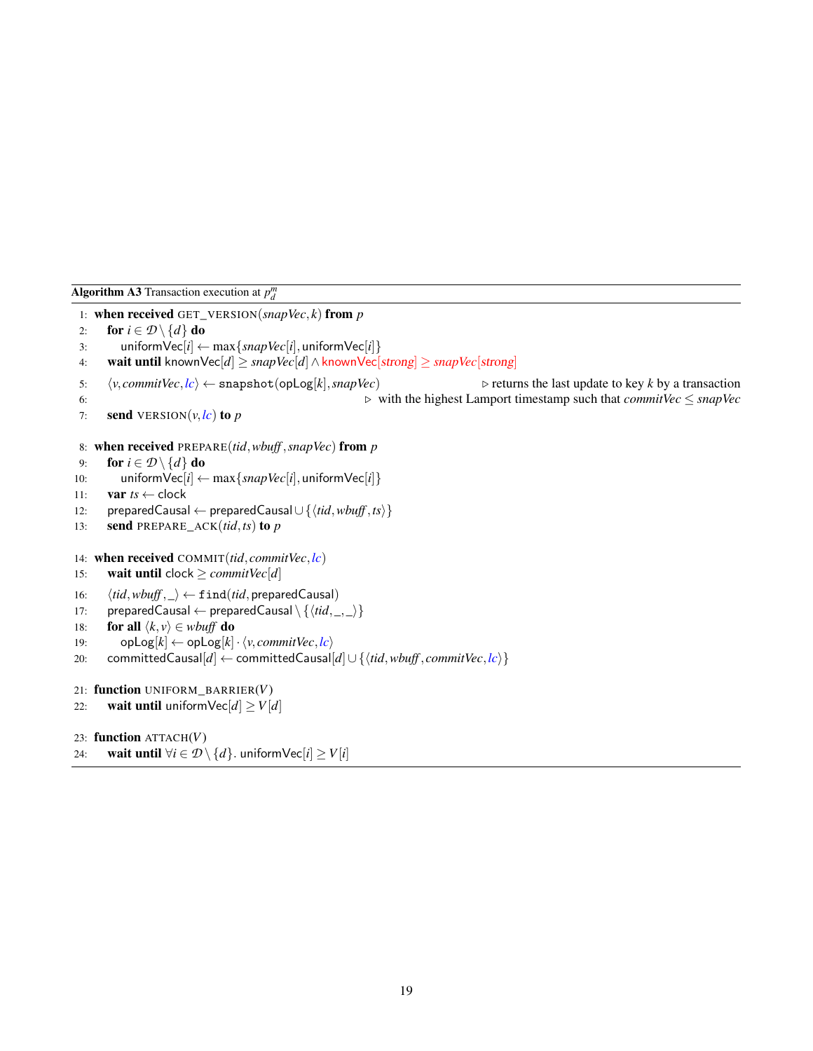```
Algorithm A3 Transaction execution at p_d^m
```

```
1: when received GET_VERSION(snapVec, k) from p
 2: for i \in \mathcal{D} \setminus \{d\} do
 3: uniform\text{Vec}[i] \leftarrow \max\{\text{snapVec}[i], \text{uniformVec}[i]\}4: wait until knownVec[d] ≥ snapVec[d]∧knownVec[strong] ≥ snapVec[strong]
 5: \langle v, commitVec, lc \rangle \leftarrow snapshot(opLog[k], snapVec) . returns the last update to key k by a transaction
 6: . with the highest Lamport timestamp such that commitVec ≤ snapVec
 7: send VERSION(v, \mathbf{lc}) to p8: when received PREPARE(tid,wbuff ,snapVec) from p
 9: for i \in \mathcal{D} \setminus \{d\} do
10: uniform\text{Vec}[i] \leftarrow \max\{\text{snapVec}[i], \text{uniformVec}[i]\}11: var ts \leftarrow clock12: preparedCausal ← preparedCausal∪ {htid,wbuff ,tsi}
13: send PREPARE_ACK(tid,ts) to p
14: when received COMMIT(tid, commitVec,lc)
15: wait until clock \geq commitVec[d]
16: \langle tid, wbuff, \_\rangle \leftarrow \texttt{find}(tid, \texttt{preparedCausal})17: preparedCausal ← preparedCausal \ \{ \langle tid, \_, \_ \rangle \}18: for all \langle k, v \rangle \in \textit{wbuffer} do
19: opLog[k] \leftarrow opLog[k] \cdot \langle v, commitVec, lc \rangle20: committedCausal[d] ← committedCausal[d]∪{{tid,wbuff,commitVec,lc}}
21: function UNIFORM_BARRIER(V)
22: wait until uniform\text{Vec}[d] \ge V[d]23: function ATTACH(V)
24: wait until \forall i \in \mathcal{D} \setminus \{d\}. uniform\text{Vec}[i] \geq V[i]
```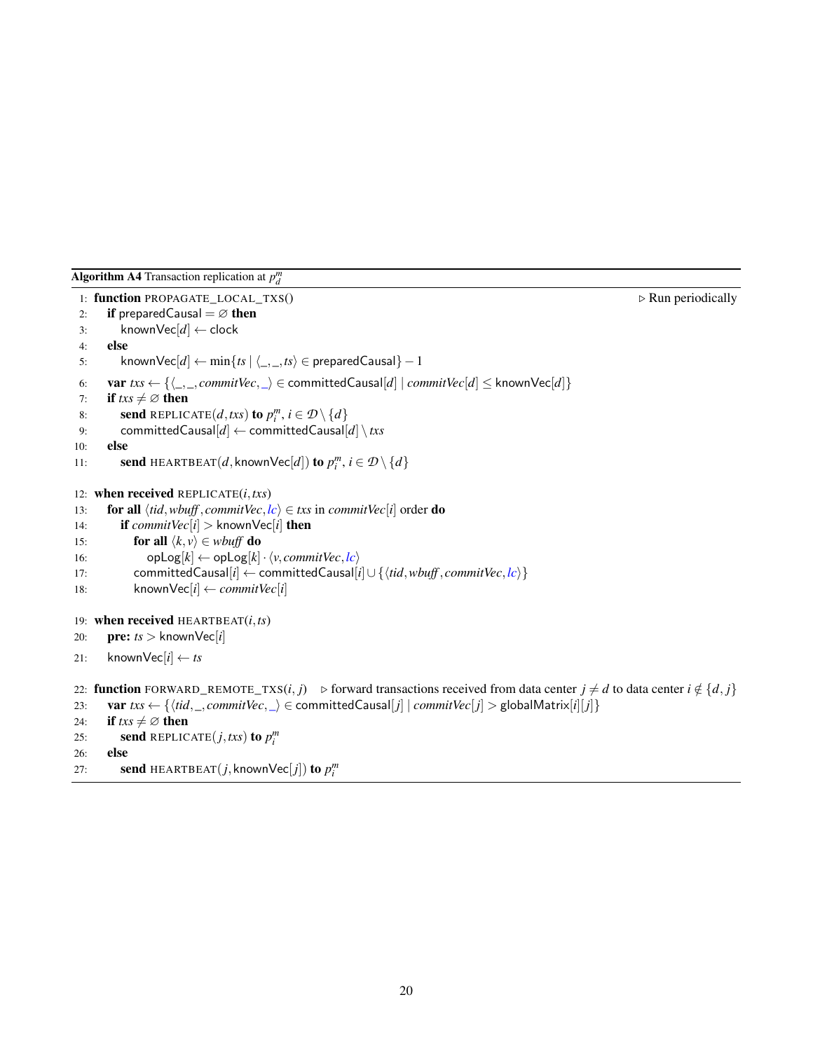<span id="page-19-0"></span>Algorithm A4 Transaction replication at  $p_d^m$ 

```
1: function PROPAGATE_LOCAL_TXS() \triangleright Run periodically
2: if prepared Causal = \varnothing then
3: knownVec[d] ← clock
4: else
5: knownVec[d] \leftarrow min\{ts \mid \langle \_, \_, ts \rangle \in preparedCausal\} - 16: var txs \leftarrow {\{\dots, commitVec,\dots} \in committedCausal[d] \mid commitVec[d] \leq knownVec[d]\}}7: if txs \neq \emptyset then
 8: send REPLICATE(d, txs) to p_i^m, i \in \mathcal{D} \setminus \{d\}9: committedCausal[d] ← committedCausal[d] \ txs
10: else
11: send HEARTBEAT(d, known\text{Vec}[d]) to p_i^m, i \in \mathcal{D} \setminus \{d\}12: when received REPLICATE(i,txs)
13: for all \langle tid, wbuff, commitVec, lc \rangle \in txs in commitVec[i] order do
14: if commitVec[i] > knownVec[i] then
15: for all \langle k, v \rangle \in \textit{wbuff} do
16: opLog[k] \leftarrow opLog[k] \cdot \langle v, commitVec, lc \rangle17: committedCausal[i] ← committedCausal[i]∪ {htid,wbuff , commitVec,lci}
18: knownVec[i] \leftarrow \text{commitVec}[i]19: when received HEARTBEAT(i,ts)
20: pre: ts > knownVec[i]
21: knownVec[i] \leftarrow ts22: function FORWARD_REMOTE_TXS(i, j) ⊳ forward transactions received from data center j ≠ d to data center i ∉ {d, j}
23: var txs \leftarrow \{\langle tid, \_, commitVec, \_ \rangle \in committedCausal[ j] \mid commitVec[j] > \text{globalMatrix}[ i][ j] \}24: if txs \neq \emptyset then
25: send REPLICATE(j, txs) to p_i^m26: else
27: send HEARTBEAT(j, known\text{Vec}[j]) to p_i^m
```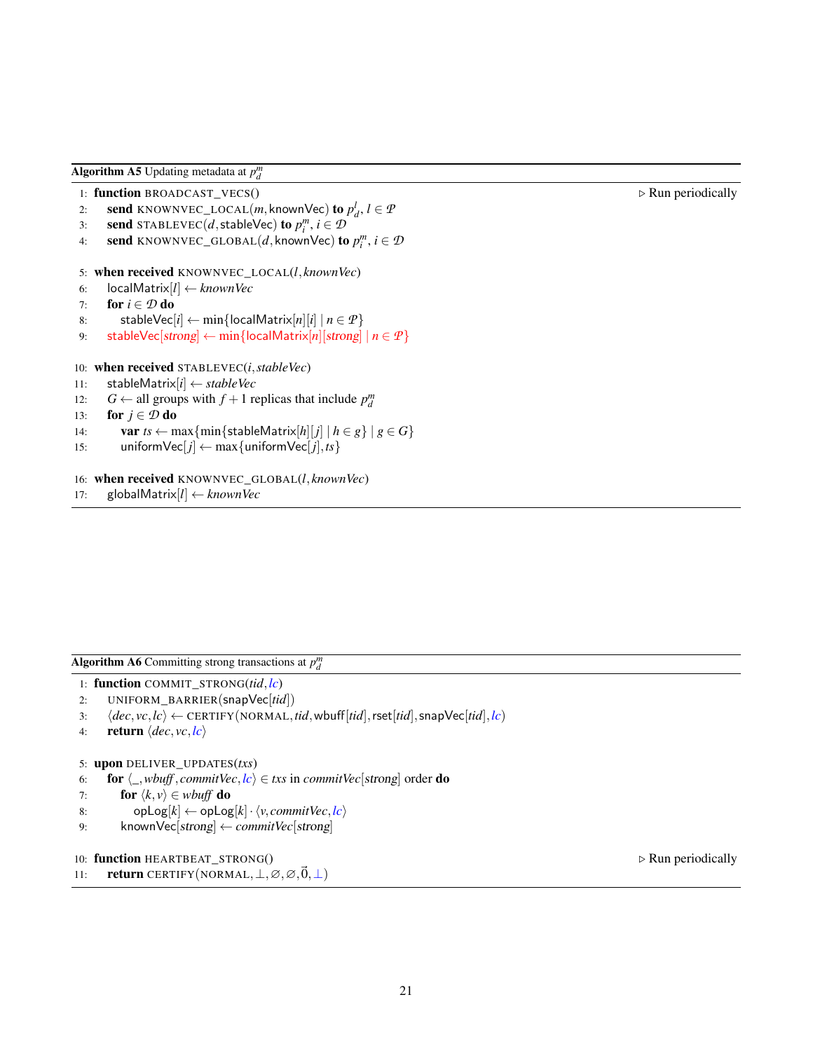<span id="page-20-1"></span>Algorithm A5 Updating metadata at  $p_d^m$ 

```
1: function BROADCAST_VECS() \triangleright Run periodically
```

```
2: send KNOWNVEC_LOCAL(m, knownVec) to p_d^l, l \in \mathcal{P}
```
- 3: **send** STABLEVEC(*d*, stableVec) to  $p_i^m$ ,  $i \in \mathcal{D}$
- 4: **send** KNOWNVEC\_GLOBAL(*d*, knownVec) to  $p_i^m$ ,  $i \in \mathcal{D}$

```
5: when received KNOWNVEC_LOCAL(l, knownVec)
```
- 6: localMatrix[*l*] ← *knownVec*
- 7: **for**  $i \in \mathcal{D}$  **do**
- 8: stableVec[ $i$ ] ← min{localMatrix[ $n$ ][ $i$ ] |  $n \in \mathcal{P}$ }
- 9: stableVec[strong]  $\leftarrow$  min{localMatrix[n][strong] |  $n \in \mathcal{P}$  }

```
10: when received STABLEVEC(i,stableVec)
```
- 11: stableMatrix[*i*] ← *stableVec*
- 12:  $G \leftarrow$  all groups with  $f + 1$  replicas that include  $p_d^m$
- 13: **for**  $j \in \mathcal{D}$  **do**
- 14: **var** *ts*  $\leftarrow$  max $\{\min\{\text{stableMatrix}[h][j] \mid h \in g\} \mid g \in G\}$
- 15: uniform $\text{Vec}[j] \leftarrow \max\{\text{uniformVec}[j],\text{ts}\}\$
- 16: when received KNOWNVEC\_GLOBAL(*l*, *knownVec*)
- 17: globalMatrix[*l*] ← *knownVec*

<span id="page-20-0"></span>Algorithm A6 Committing strong transactions at  $p_d^m$ 

- 1: function COMMIT\_STRONG(*tid*,*lc*)
- 2: UNIFORM\_BARRIER(snapVec[*tid*])
- 3:  $\langle dec, vc, lc \rangle \leftarrow \text{CERTIFY}(\text{NORMAL}, tid,wbuff[tid],\text{rset}[tid],\text{snapVec}[tid],lc)$
- 4: **return**  $\langle dec, vc, lc \rangle$

```
5: upon DELIVER_UPDATES(txs)
```
- 6: **for**  $\langle$ <sub>-</sub>*,wbuff, commitVec*,*lc* $\rangle \in txs$  in *commitVec*[strong] order **do**
- 7: **for**  $\langle k, v \rangle \in \text{wbuffer}$  **do**
- 8: opLog[ $k$ ]  $\leftarrow$  opLog[ $k$ ] ·  $\langle v, commitVec, lc \rangle$
- 9: knownVec[strong] ← *commitVec*[strong]

```
10: function HEARTBEAT_STRONG() \triangleright Run periodically
```

```
11: return CERTIFY(NORMAL, \bot, \varnothing, \varnothing, \vec{0}, \bot)
```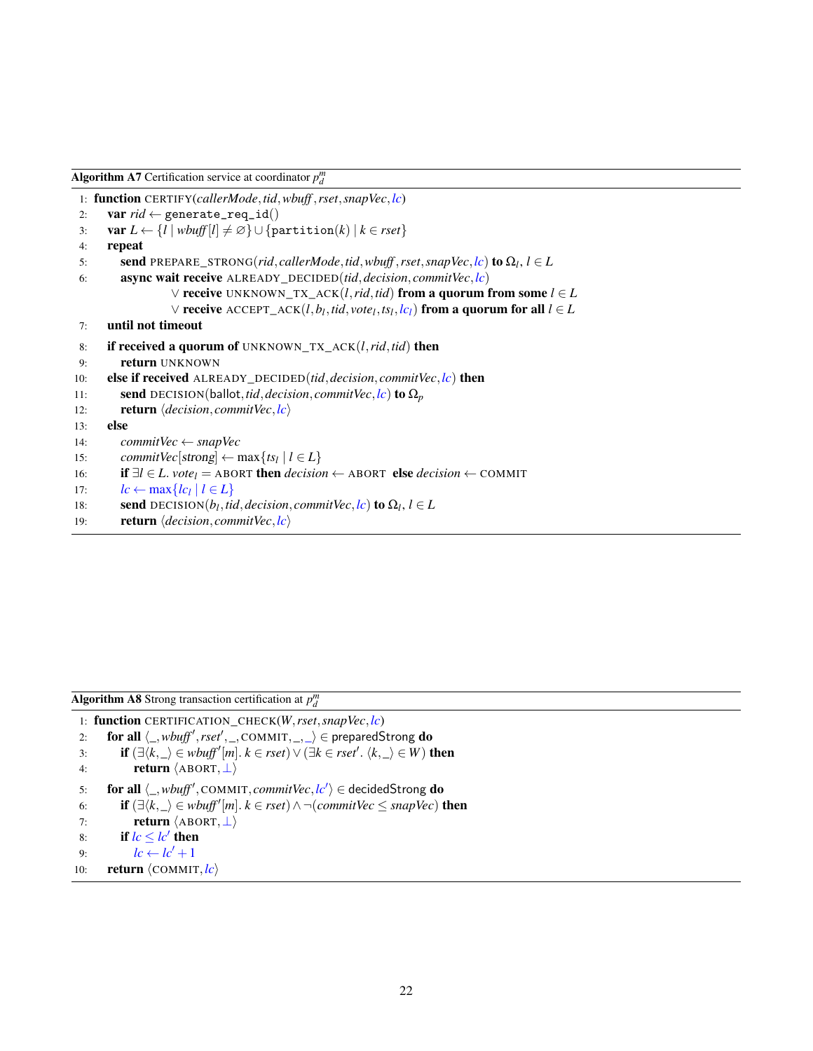<span id="page-21-0"></span>

| <b>Algorithm A7</b> Certification service at coordinator $p_d^m$ |  |
|------------------------------------------------------------------|--|
|------------------------------------------------------------------|--|

```
1: function CERTIFY(callerMode,tid,wbuff ,rset,snapVec,lc)
 2: var rid \leftarrow generate_req_id()
 3: var L \leftarrow \{l \mid \textit{wbuff}[l] \neq \emptyset\} \cup \{\text{partition}(k) \mid k \in \textit{rset}\}\4: repeat
 5: send PREPARE_STRONG(rid, callerMode, tid, wbuff, rset, snapVec, lc) to \Omega_l, l \in L
 6: async wait receive ALREADY_DECIDED(tid,decision, commitVec,lc)
                   ∨ receive UNKNOWN_TX_ACK(l,rid,tid) from a quorum from some l ∈ L
                   \lor receive <code>ACCEPT_ACK(l,b_l,tid,vote_l, ts_l, lc_l) from a quorum for all l \in L</code>
 7: until not timeout
 8: if received a quorum of UNKNOWN_TX_ACK(l,rid,tid) then
 9: return UNKNOWN
10: else if received ALREADY_DECIDED(tid,decision, commitVec,lc) then
11: send DECISION(ballot, tid, decision, commitVec, lc) to \Omega_p12: return \langle decision, commitVec, lc \rangle13: else
14: commitVec ← snapVec
15: commitVec[strong] \leftarrow max{ts<sub>l</sub> | l \in L}
16: if ∃l ∈ L. votel = ABORT then decision ← ABORT else decision ← COMMIT
17: lc \leftarrow \max\{lc_l \mid l \in L\}18: send DECISION(b_l, tid, decision, commitVec, lc) to \Omega_l, l \in L19: return \langle decision, commitVec, lc \rangle
```
<span id="page-21-1"></span>Algorithm A8 Strong transaction certification at  $p_d^m$ 

1: function CERTIFICATION\_CHECK(*W*,*rset*,*snapVec*,*lc*) 2: **for all**  $\langle$  *,wbuff',rset',* \_, COMMIT, \_, \_ $\rangle \in$  preparedStrong **do** 3: **if**  $(\exists \langle k, \_\rangle \in \textit{wbuff}'[m], k \in \textit{rset}) \vee (\exists k \in \textit{rset}'. \langle k, \_\rangle \in W)$  then 4: **return**  $\langle ABORT, \perp \rangle$ 5: **for all**  $\langle$  *, wbuff'*, COMMIT, *commitVec*,  $\langle c' \rangle \in$  decidedStrong **do** 6: **if**  $(\exists \langle k, \_\rangle \in \textit{wbuff}'[m]. \, k \in \textit{rset}) \land \neg(\textit{commitVec} \leq \textit{snapVec})$  then 7: **return**  $\langle ABORT, \perp \rangle$ 8: if  $lc \le lc'$  then 9:  $lc \leftarrow lc' + 1$ 10: **return**  $\langle$  COMMIT,  $\langle c \rangle$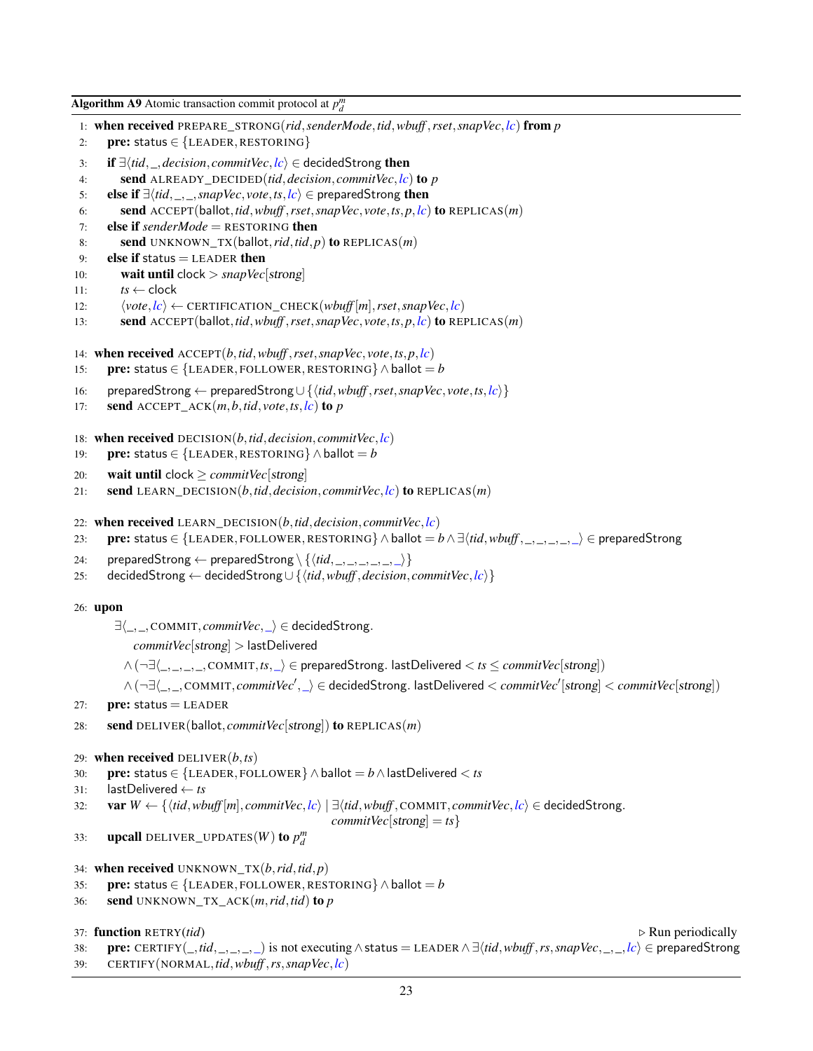```
Algorithm A9 Atomic transaction commit protocol at p_d^m1: when received PREPARE_STRONG(rid,senderMode,tid,wbuff ,rset,snapVec,lc) from p
 2: pre: status \in {LEADER, RESTORING}
 3: if ∃\tid, , decision, commitVec, lc) ∈ decidedStrong then
 4: send ALREADY_DECIDED(tid,decision, commitVec,lc) to p
 5: else if ∃\langle tid, \_, \_, \, \text{snapVec}, \text{vote}, \text{ts}, \text{lc} \rangle \in preparedStrong then
 6: send ACCEPT(ballot,tid,wbuff ,rset,snapVec, vote,ts,p,lc) to REPLICAS(m)
 7: else if senderMode = RESTORING then
 8: send UNKNOWN_TX(ballot,rid,tid,p) to REPLICAS(m)
 9: else if status = LEADER then
10: wait until clock > snapVec[strong]
11: ts \leftarrow clock12: \langle vote, lc \rangle \leftarrow \text{CERTIFICATION\_CHECK}(wbuff[m], \text{rset}, \text{snapVec}, lc)13: send ACCEPT(ballot,tid,wbuff ,rset,snapVec, vote,ts,p,lc) to REPLICAS(m)
14: when received ACCEPT(b,tid,wbuff ,rset,snapVec, vote,ts,p,lc)
15: pre: status \in {LEADER, FOLLOWER, RESTORING} \wedge ballot = b
16: preparedStrong ← preparedStrong∪ {htid,wbuff ,rset,snapVec, vote,ts,lci}
17: send ACCEPT ACK(m, b, tid, vote, ts, lc) to p
18: when received DECISION(b,tid,decision, commitVec,lc)
19: pre: status \in {LEADER, RESTORING} \wedge ballot = b
20: wait until clock \geq commitVec[strong]
21: send LEARN DECISION(b,tid,decision, commitVec, lc) to REPLICAS(m)
22: when received LEARN_DECISION(b, tid, decision, commitVec, \mathbf{lc})
23: pre: status ∈ {LEADER, FOLLOWER, RESTORING} \wedge ballot = b \wedge \exists \langle tid, wbuff, \_,\_,\_,\rangle ∈ preparedStrong
24: preparedStrong ← preparedStrong \ \{ \langle tid, \_,\_,\_,\_,\_\rangle\}25: decidedStrong ← decidedStrong∪ {htid,wbuff ,decision, commitVec,lci}
26: upon
       ∃h_,_, COMMIT, commitVec,_i ∈ decidedStrong.
           commitVec[strong] > lastDelivered
         ∧(¬∃h_,_,_,_, COMMIT,ts,_i ∈ preparedStrong. lastDelivered < ts ≤ commitVec[strong])
         \wedge (¬∃\langle_,_, COMMIT, commitVec<sup>1</sup>, _\rangle ∈ decidedStrong. lastDelivered < commitVec<sup>1</sup> [strong] < commitVec<sup>[</sup>strong])
27: pre: status = LEADER
28: send DELIVER(ballot, commitVec[strong]) to REPLICAS(m)
29: when received DELIVER(b,ts)
30: pre: status ∈ {LEADER, FOLLOWER} ∧ballot = b∧lastDelivered < ts
31: lastDelivered ← ts
32: var W \leftarrow \{ \langle tid, wbuff[m], commitVec, lc \rangle \mid \exists \langle tid, whutf, \text{COMMIT}, commitVec, lc \rangle \in \text{decidedStrong}.commitVec[strong] = ts }
33: upcall DELIVER_UPDATES(W) to p_d^m34: when received UNKNOWN_TX(b,rid,tid,p)
35: pre: status \in {LEADER, FOLLOWER, RESTORING} \wedge ballot = b
36: send UNKNOWN_TX_ACK(m,rid,tid) to p
37: function RETRY(tid) \triangleright Run periodically
38: pre: CERTIFY(_,tid,_,_,_,_) is not executing∧status = LEADER ∧ ∃htid,wbuff ,rs,snapVec,_,_,lci ∈ preparedStrong
39: CERTIFY(NORMAL,tid,wbuff ,rs,snapVec,lc)
```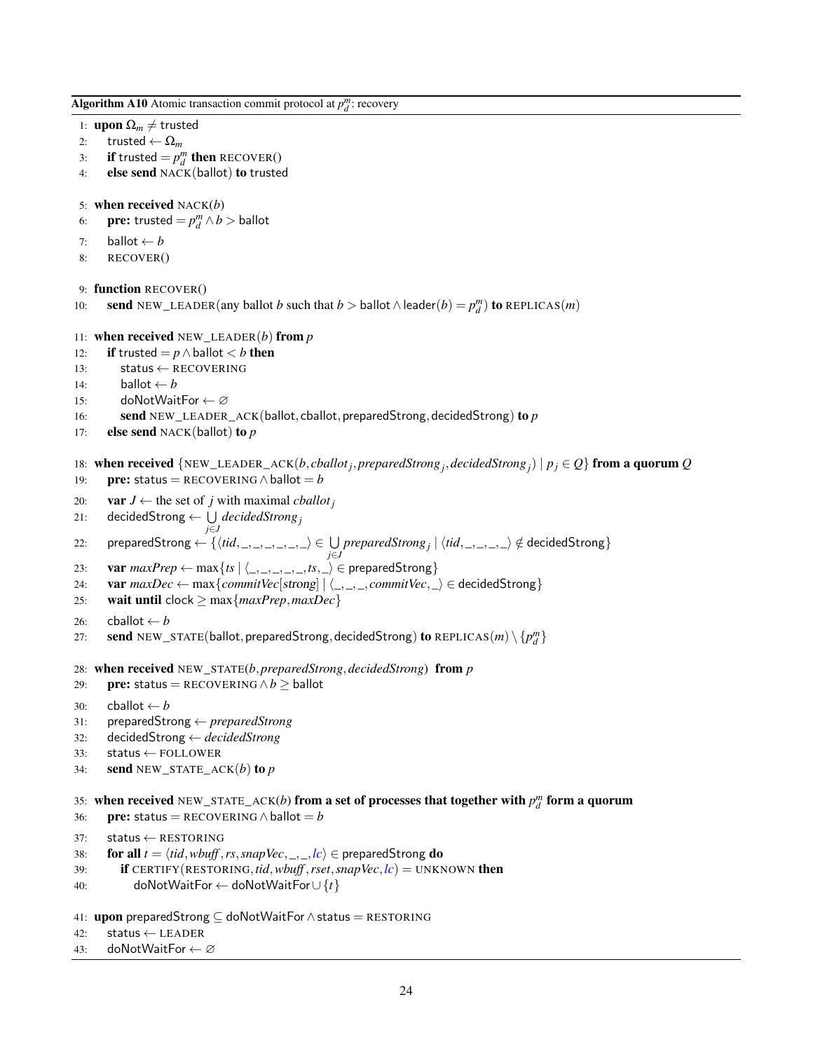<span id="page-23-0"></span>Algorithm A10 Atomic transaction commit protocol at  $p_d^m$ : recovery 1: **upon**  $\Omega_m \neq$  trusted 2: trusted  $\leftarrow \Omega_m$ 3: **if** trusted  $= p_d^m$  then RECOVER() 4: else send NACK(ballot) to trusted 5: when received NACK(*b*) 6: **pre:** trusted  $= p_d^m \wedge b >$  ballot 7: **ballot**  $\leftarrow b$ 8: RECOVER() 9: function RECOVER() 10: **send** NEW\_LEADER(any ballot *b* such that  $b >$  ballot  $\wedge$  leader( $b$ ) =  $p_d^m$ ) to REPLICAS(*m*) 11: **when received** NEW\_LEADER $(b)$  from  $p$ 12: **if** trusted =  $p \wedge$  ballot  $\lt b$  then 13: status ← RECOVERING 14: **ballot**  $\leftarrow$  *b* 15: doNotWaitFor ← ∅ 16: **send** NEW\_LEADER\_ACK(ballot, cballot, preparedStrong, decidedStrong) to *p* 17: else send NACK(ballot) to *p* 18: when received  $\{NEW\_LEADER\_ACK(b,\t;ballot_j, preparedStrong_j,decidedStrong_j) | p_j \in Q\}$  from a quorum  $Q$ 19: **pre:** status = RECOVERING  $\land$  ballot = *b* 20: **var**  $J \leftarrow$  the set of *j* with maximal *cballot*<sub>*j*</sub> 21: decidedStrong  $\leftarrow \bigcup \mathit{decidedStrong}_j$ *j*∈*J*  $22: \quad \text{ preparedStrong} \leftarrow \{\langle tid, \_,\_,\_,\_,\rangle \in \bigcup_{j \in J} preparedStrong_j \mid \langle tid, \_,\_,\_,\rangle \notin \text{decidedStrong} \}$ 23: **var**  $maxPrep \leftarrow max\{ts \mid \langle \_, \_, \_, \_s, \_ \rangle \in preparedStrong\}$ 24: var  $maxDec \leftarrow max{commitVec[strong] | \langle ..., \rangle}, commitVec, \rangle \in decidedStrong\}$ 25: **wait until** clock  $\geq$  max ${maxPrep, maxDec}$ 26: cballot  $\leftarrow b$ 27: **send** NEW\_STATE(ballot, preparedStrong, decidedStrong) to REPLICAS $(m) \setminus \{p_d^m\}$ 28: when received NEW\_STATE(*b*,*preparedStrong*,*decidedStrong*) from *p* 29: pre: status = RECOVERING ∧*b* ≥ ballot 30: cballot  $\leftarrow b$ 31: preparedStrong ← *preparedStrong* 32: decidedStrong ← *decidedStrong* 33: status ← FOLLOWER 34: **send** NEW\_STATE\_ACK $(b)$  to  $p$ 35: when received NEW\_STATE\_ACK(*b*) from a set of processes that together with  $p_d^m$  form a quorum 36: **pre:** status = RECOVERING  $\land$  ballot = *b* 37: status ← RESTORING 38: **for all**  $t = \langle tid, wbuff, rs, snapVec, ..., k\rangle \in preparedStrong do$ 39: if CERTIFY(RESTORING,*tid*,*wbuff* ,*rset*,*snapVec*,*lc*) = UNKNOWN then 40: doNotWaitFor ← doNotWaitFor∪ {*t*} 41: upon preparedStrong ⊆ doNotWaitFor∧status = RESTORING

- 42: status ← LEADER
- 43: doNotWaitFor ← ∅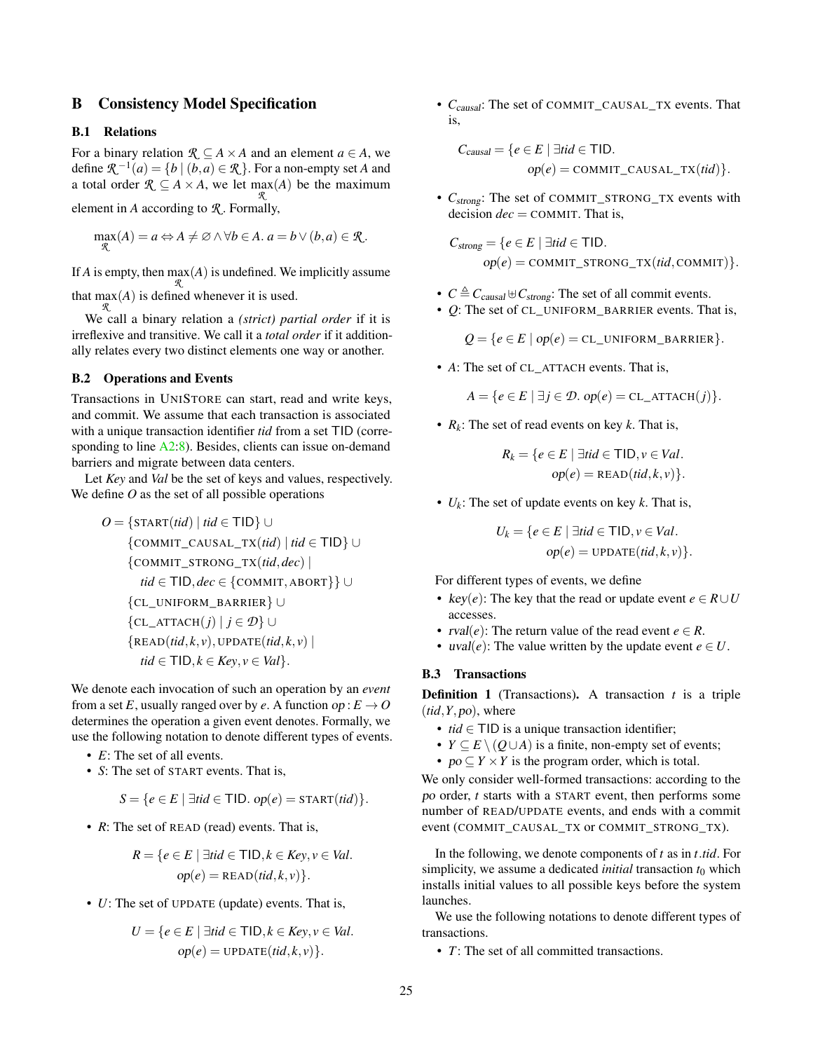# <span id="page-24-0"></span>B Consistency Model Specification

# B.1 Relations

For a binary relation  $\mathcal{R} \subseteq A \times A$  and an element  $a \in A$ , we define  $\mathcal{R}^{-1}(a) = \{b \mid (b, a) \in \mathcal{R}\}$ . For a non-empty set A and a total order  $\mathcal{R} \subseteq A \times A$ , we let  $\max_{\mathcal{R}}(A)$  be the maximum

element in *A* according to *R* . Formally,

$$
\max_{\mathcal{R}}(A) = a \Leftrightarrow A \neq \emptyset \land \forall b \in A. a = b \lor (b, a) \in \mathcal{R}.
$$

If *A* is empty, then  $\max_{\mathcal{R}}(A)$  is undefined. We implicitly assume that  $\max_{\mathcal{R}}(A)$  is defined whenever it is used.

We call a binary relation a *(strict) partial order* if it is irreflexive and transitive. We call it a *total order* if it additionally relates every two distinct elements one way or another.

# B.2 Operations and Events

Transactions in UNISTORE can start, read and write keys, and commit. We assume that each transaction is associated with a unique transaction identifier *tid* from a set TID (corre-sponding to line [A2:8\)](#page-6-0). Besides, clients can issue on-demand barriers and migrate between data centers.

Let *Key* and *Val* be the set of keys and values, respectively. We define *O* as the set of all possible operations

$$
O = \{ \text{START}(tid) \mid tid \in \text{TID} \} \cup
$$
  

$$
\{ \text{COMMIT\_CAUSAL\_TX}(tid) \mid tid \in \text{TID} \} \cup
$$
  

$$
\{ \text{COMMIT\_STRONG\_TX}(tid, dec) \mid
$$
  

$$
tid \in \text{TID}, dec \in \{ \text{COMMIT}, \text{ABORT} \} \} \cup
$$
  

$$
\{ \text{CL\_UNIFORM\_BARRIER} \} \cup
$$
  

$$
\{ \text{CL\_ATTACH}(j) \mid j \in \mathcal{D} \} \cup
$$
  

$$
\{ \text{READ}(tid, k, v), \text{UPDATE}(tid, k, v) \mid
$$
  

$$
tid \in \text{TID}, k \in Key, v \in Val \}.
$$

We denote each invocation of such an operation by an *event* from a set *E*, usually ranged over by *e*. A function op :  $E \rightarrow O$ determines the operation a given event denotes. Formally, we use the following notation to denote different types of events.

- *E*: The set of all events.
- *S*: The set of START events. That is,

$$
S = \{e \in E \mid \exists tid \in \mathsf{TID}. op(e) = \mathsf{START}(tid)\}.
$$

• *R*: The set of READ (read) events. That is,

$$
R = \{e \in E \mid \exists tid \in \mathsf{TID}, k \in Key, v \in Val.
$$

$$
op(e) = \text{READ}(tid, k, v)\}.
$$

• *U*: The set of UPDATE (update) events. That is,

$$
U = \{e \in E \mid \exists tid \in \mathsf{TID}, k \in \mathit{Key}, v \in \mathit{Val}.
$$

$$
op(e) = \text{UPDATE}(tid, k, v)\}.
$$

• *C*<sub>causal</sub>: The set of COMMIT\_CAUSAL\_TX events. That is,

$$
C_{causal} = \{e \in E \mid \exists tid \in \mathsf{TID}.
$$
  
 
$$
op(e) = \text{COMMIT\_CAUSAL\_TX}(tid)\}.
$$

•  $C_{\text{strong}}$ : The set of COMMIT\_STRONG\_TX events with decision  $dec = \text{COMMIT}$ . That is,

 $C_{\text{strong}} = \{e \in E \mid \exists \textit{tid} \in \mathsf{TID}.$  $op(e) = \text{COMMIT\_STRONG\_TX}(tid, \text{COMMIT})$ .

- $C \triangleq C_{causal} \biguplus C_{strong}$ : The set of all commit events.
- *O*: The set of CL\_UNIFORM\_BARRIER events. That is,

 $Q = \{e \in E \mid op(e) = \text{CL} \text{ UNIFORM BARRIER}\}.$ 

• A: The set of CL ATTACH events. That is,

 $A = \{e \in E \mid \exists j \in \mathcal{D}.\text{ op}(e) = \text{CL}.\text{ATTACH}(j)\}.$ 

•  $R_k$ : The set of read events on key  $k$ . That is,

$$
R_k = \{e \in E \mid \exists tid \in \mathsf{TID}, v \in Val.
$$

$$
op(e) = \mathsf{READ}(tid, k, v)\}.
$$

•  $U_k$ : The set of update events on key  $k$ . That is,

$$
U_k = \{ e \in E \mid \exists tid \in \mathsf{TID}, v \in Val.
$$

$$
op(e) = \text{UPDATE}(tid, k, v) \}.
$$

For different types of events, we define

- key(*e*): The key that the read or update event  $e \in R \cup U$ accesses.
- $rval(e)$ : The return value of the read event  $e \in R$ .
- uval(*e*): The value written by the update event  $e \in U$ .

#### B.3 Transactions

**Definition 1** (Transactions). A transaction  $t$  is a triple  $(tid, Y, po)$ , where

- *tid* ∈ TID is a unique transaction identifier;
- $Y \subseteq E \setminus (Q \cup A)$  is a finite, non-empty set of events;
- $po \subseteq Y \times Y$  is the program order, which is total.

We only consider well-formed transactions: according to the po order, *t* starts with a START event, then performs some number of READ/UPDATE events, and ends with a commit event (COMMIT\_CAUSAL\_TX or COMMIT\_STRONG\_TX).

In the following, we denote components of *t* as in *t*.*tid*. For simplicity, we assume a dedicated *initial* transaction  $t_0$  which installs initial values to all possible keys before the system launches.

We use the following notations to denote different types of transactions.

• *T*: The set of all committed transactions.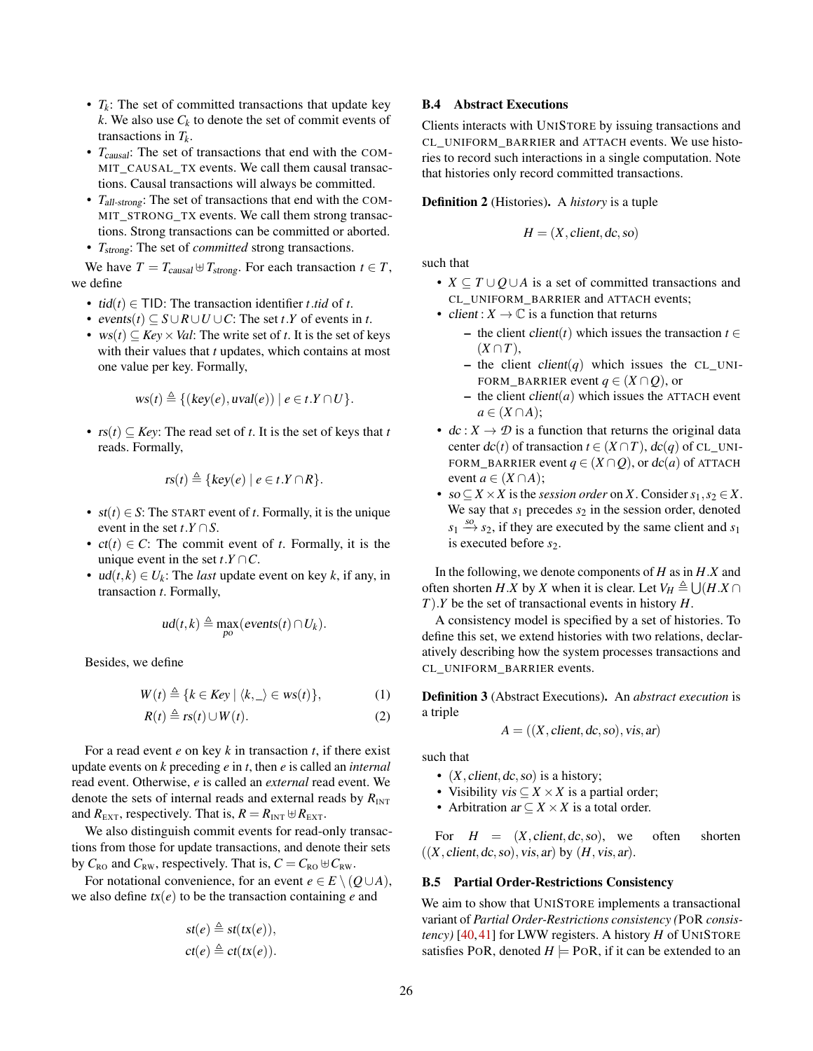- *Tk*: The set of committed transactions that update key *k*. We also use  $C_k$  to denote the set of commit events of transactions in *Tk*.
- *T<sub>causal</sub>*: The set of transactions that end with the COM-MIT\_CAUSAL\_TX events. We call them causal transactions. Causal transactions will always be committed.
- *T*all-strong: The set of transactions that end with the COM-MIT\_STRONG\_TX events. We call them strong transactions. Strong transactions can be committed or aborted.
- *T*strong: The set of *committed* strong transactions.

We have  $T = T_{causal} \oplus T_{strong}$ . For each transaction  $t \in T$ , we define

- $tid(t) \in TID$ : The transaction identifier *t*.*tid* of *t*.
- events( $t$ )  $\subseteq$  *S* $\cup$ *R* $\cup$ *U* $\cup$ *C*: The set  $t$ .*Y* of events in  $t$ .
- $ws(t) \subseteq Key \times Val$ : The write set of *t*. It is the set of keys with their values that *t* updates, which contains at most one value per key. Formally,

$$
ws(t) \triangleq \{ (key(e), uval(e)) \mid e \in t.Y \cap U \}.
$$

•  $rs(t) \subseteq Key$ : The read set of *t*. It is the set of keys that *t* reads. Formally,

$$
rs(t) \triangleq \{ key(e) \mid e \in t.Y \cap R \}.
$$

- $st(t) \in S$ : The START event of *t*. Formally, it is the unique event in the set  $t \cdot Y \cap S$ .
- $ct(t) \in C$ : The commit event of *t*. Formally, it is the unique event in the set  $t \cdot Y \cap C$ .
- $ud(t, k) \in U_k$ : The *last* update event on key *k*, if any, in transaction *t*. Formally,

$$
ud(t,k)\triangleq \max_{po}(\text{events}(t)\cap U_k).
$$

Besides, we define

$$
W(t) \triangleq \{k \in Key \mid \langle k, \_rangle \in ws(t)\},\tag{1}
$$

$$
R(t) \triangleq rs(t) \cup W(t). \tag{2}
$$

For a read event *e* on key *k* in transaction *t*, if there exist update events on *k* preceding *e* in *t*, then *e* is called an *internal* read event. Otherwise, *e* is called an *external* read event. We denote the sets of internal reads and external reads by  $R_{\text{INT}}$ and  $R_{\text{EXT}}$ , respectively. That is,  $R = R_{\text{INT}} \oplus R_{\text{EXT}}$ .

We also distinguish commit events for read-only transactions from those for update transactions, and denote their sets by  $C_{\text{RO}}$  and  $C_{\text{RW}}$ , respectively. That is,  $C = C_{\text{RO}} \oplus C_{\text{RW}}$ .

For notational convenience, for an event  $e \in E \setminus (Q \cup A)$ , we also define  $tx(e)$  to be the transaction containing *e* and

$$
st(e) \triangleq st(tx(e)),
$$
  

$$
ct(e) \triangleq ct(tx(e)).
$$

#### B.4 Abstract Executions

Clients interacts with UNISTORE by issuing transactions and CL\_UNIFORM\_BARRIER and ATTACH events. We use histories to record such interactions in a single computation. Note that histories only record committed transactions.

Definition 2 (Histories). A *history* is a tuple

$$
H = (X, client, dc, so)
$$

such that

- $X \subseteq T \cup Q \cup A$  is a set of committed transactions and CL\_UNIFORM\_BARRIER and ATTACH events;
- client :  $X \to \mathbb{C}$  is a function that returns
	- the client client(*t*) which issues the transaction *t* ∈  $(X \cap T)$ ,
	- the client client(q) which issues the CL\_UNI-FORM\_BARRIER event  $q \in (X \cap Q)$ , or
	- $-$  the client *client*(*a*) which issues the ATTACH event  $a \in (X \cap A)$ ;
- $dc: X \to \mathcal{D}$  is a function that returns the original data center  $dc(t)$  of transaction  $t \in (X \cap T)$ ,  $dc(q)$  of CL\_UNI-FORM\_BARRIER event  $q \in (X \cap Q)$ , or  $dc(a)$  of ATTACH event  $a \in (X \cap A)$ ;
- so  $\subseteq$  *X*  $\times$  *X* is the *session order* on *X*. Consider  $s_1, s_2 \in X$ . We say that  $s_1$  precedes  $s_2$  in the session order, denoted  $s_1 \stackrel{so}{\rightarrow} s_2$ , if they are executed by the same client and  $s_1$ is executed before  $s_2$ .

In the following, we denote components of *H* as in *H*.*X* and often shorten *H*.*X* by *X* when it is clear. Let  $V_H \triangleq \bigcup (H.X \cap$ *T*).*Y* be the set of transactional events in history *H*.

A consistency model is specified by a set of histories. To define this set, we extend histories with two relations, declaratively describing how the system processes transactions and CL\_UNIFORM\_BARRIER events.

<span id="page-25-1"></span><span id="page-25-0"></span>Definition 3 (Abstract Executions). An *abstract execution* is a triple

$$
A = ((X, client, dc, so), vis, ar)
$$

such that

- $(X, client, dc, so)$  is a history;
- Visibility vis  $\subset X \times X$  is a partial order;
- Arbitration  $ar \subseteq X \times X$  is a total order.

For  $H = (X, client, dc, so)$ , we often shorten  $((X, client, dc, so), vis, ar)$  by  $(H, vis, ar)$ .

#### B.5 Partial Order-Restrictions Consistency

We aim to show that UNISTORE implements a transactional variant of *Partial Order-Restrictions consistency (*POR *consistency)* [\[40,](#page-13-6)[41\]](#page-13-7) for LWW registers. A history *H* of UNISTORE satisfies POR, denoted  $H \models \text{PoR}$ , if it can be extended to an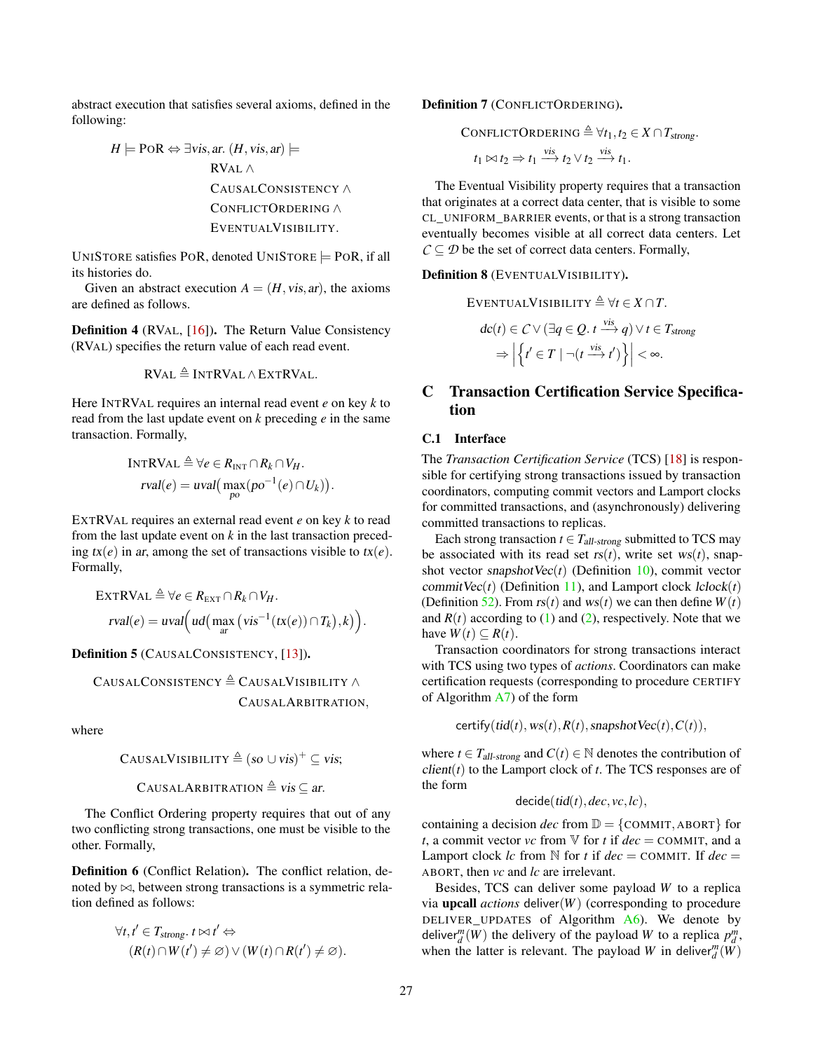abstract execution that satisfies several axioms, defined in the following:

$$
H \models \text{PoR} \Leftrightarrow \exists \text{vis, ar. } (H, \text{vis, ar}) \models
$$
  
\n
$$
\text{RVAL} \land
$$
  
\n
$$
\text{CausalConsistency} \land
$$
  
\n
$$
\text{CONELICTORDERING} \land
$$
  
\n
$$
\text{EVENTUALVISIBILITY}.
$$

UNISTORE satisfies POR, denoted UNISTORE  $\models$  POR, if all its histories do.

Given an abstract execution  $A = (H, vis, ar)$ , the axioms are defined as follows.

Definition 4 (RVAL, [\[16\]](#page-12-13)). The Return Value Consistency (RVAL) specifies the return value of each read event.

$$
RVAL \triangleq INTRVAL \wedge EXTRVAL.
$$

Here INTRVAL requires an internal read event *e* on key *k* to read from the last update event on *k* preceding *e* in the same transaction. Formally,

$$
\begin{aligned} \text{INTRVAL} &\triangleq \forall e \in R_{\text{INT}} \cap R_k \cap V_H. \\ \text{rval}(e) &= \text{uval}\big(\max_{po} (po^{-1}(e) \cap U_k)\big). \end{aligned}
$$

EXTRVAL requires an external read event *e* on key *k* to read from the last update event on *k* in the last transaction preceding  $tx(e)$  in ar, among the set of transactions visible to  $tx(e)$ . Formally,

$$
\begin{aligned} \text{EXTRVAL} &\triangleq \forall e \in R_{\text{EXT}} \cap R_k \cap V_H. \\ \text{rval}(e) &= \text{uval}\Big(\text{ud}\big(\max_{ar} \big(\text{vis}^{-1}(\text{tx}(e)) \cap T_k\big), k\big)\Big). \end{aligned}
$$

Definition 5 (CAUSALCONSISTENCY, [\[13\]](#page-12-16)).

$$
\begin{array}{c}\text{CausalConsistency} \triangleq \text{CausalVisibility} \wedge \\ \text{CausalArbitration}, \end{array}
$$

where

$$
CAUSALVISIBILITY \triangleq (so \cup vis)^+ \subseteq vis;
$$

CAUSALARBITRATION  $\triangleq$  vis  $\subseteq$  ar.

The Conflict Ordering property requires that out of any two conflicting strong transactions, one must be visible to the other. Formally,

Definition 6 (Conflict Relation). The conflict relation, denoted by  $\bowtie$ , between strong transactions is a symmetric relation defined as follows:

$$
\forall t, t' \in T_{strong}. t \bowtie t' \Leftrightarrow (R(t) \cap W(t') \neq \varnothing) \vee (W(t) \cap R(t') \neq \varnothing).
$$

Definition 7 (CONFLICTORDERING).

CONFLICTORDERING  $\triangleq \forall t_1, t_2 \in X \cap T_{strong}.$ 

 $t_1 \bowtie t_2 \Rightarrow t_1 \stackrel{\text{vis}}{\longrightarrow} t_2 \vee t_2 \stackrel{\text{vis}}{\longrightarrow} t_1.$ 

The Eventual Visibility property requires that a transaction that originates at a correct data center, that is visible to some CL\_UNIFORM\_BARRIER events, or that is a strong transaction eventually becomes visible at all correct data centers. Let  $C \subseteq \mathcal{D}$  be the set of correct data centers. Formally,

#### Definition 8 (EVENTUALVISIBILITY).

$$
\begin{aligned} \text{EVENTUALVISIBILITY} &\triangleq \forall t \in X \cap T. \\ &dc(t) \in C \vee (\exists q \in Q. \ t \xrightarrow{vis} q) \vee t \in T_{strong} \\ &\Rightarrow \left| \left\{ t' \in T \mid \neg(t \xrightarrow{vis} t') \right\} \right| < \infty. \end{aligned}
$$

# <span id="page-26-0"></span>C Transaction Certification Service Specification

## C.1 Interface

The *Transaction Certification Service* (TCS) [\[18\]](#page-12-10) is responsible for certifying strong transactions issued by transaction coordinators, computing commit vectors and Lamport clocks for committed transactions, and (asynchronously) delivering committed transactions to replicas.

Each strong transaction  $t \in T_{all\text{-strong}}$  submitted to TCS may be associated with its read set  $rs(t)$ , write set  $ws(t)$ , snapshot vector snapshot $Vec(t)$  (Definition [10\)](#page-28-1), commit vector commitVec $(t)$  (Definition [11\)](#page-28-2), and Lamport clock  $lclock(t)$ (Definition [52\)](#page-37-1). From  $rs(t)$  and  $ws(t)$  we can then define  $W(t)$ and  $R(t)$  according to [\(1\)](#page-25-0) and [\(2\)](#page-25-1), respectively. Note that we have  $W(t) \subseteq R(t)$ .

Transaction coordinators for strong transactions interact with TCS using two types of *actions*. Coordinators can make certification requests (corresponding to procedure CERTIFY of Algorithm [A7\)](#page-21-0) of the form

certify(tid(t),  $ws(t)$ ,  $R(t)$ , snapshotVec(t),  $C(t)$ ),

where  $t \in T_{all\text{-strong}}$  and  $C(t) \in \mathbb{N}$  denotes the contribution of  $client(t)$  to the Lamport clock of  $t$ . The TCS responses are of the form

$$
decide(id(t),dec,vc,lc),
$$

containing a decision *dec* from  $D = \{COMMIT, ABORT\}$  for *t*, a commit vector *vc* from  $\nabla$  for *t* if  $dec = \text{COMMIT}$ , and a Lamport clock *lc* from  $N$  for *t* if  $dec = \text{COMMIT}$ . If  $dec =$ ABORT, then *vc* and *lc* are irrelevant.

Besides, TCS can deliver some payload *W* to a replica via upcall *actions* deliver(*W*) (corresponding to procedure DELIVER\_UPDATES of Algorithm [A6\)](#page-20-0). We denote by deliver<sup>*m*</sup>(*W*) the delivery of the payload *W* to a replica  $p_d^m$ , when the latter is relevant. The payload *W* in deliver $_{d}^{m}(\vec{W})$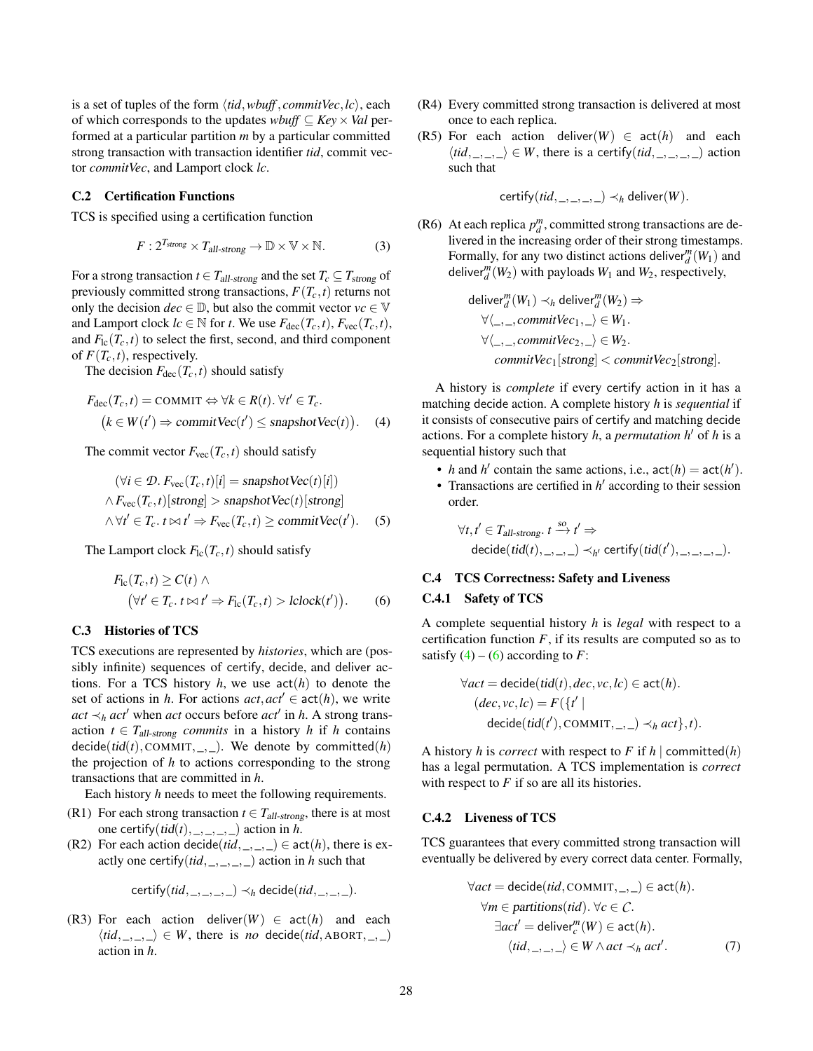is a set of tuples of the form  $\langle tid, wbuff, commitVec, lc \rangle$ , each of which corresponds to the updates *wbuff* ⊆ *Key*×*Val* performed at a particular partition *m* by a particular committed strong transaction with transaction identifier *tid*, commit vector *commitVec*, and Lamport clock *lc*.

## C.2 Certification Functions

TCS is specified using a certification function

$$
F: 2^{T_{strong}} \times T_{all\text{-strong}} \to \mathbb{D} \times \mathbb{V} \times \mathbb{N}.
$$
 (3)

For a strong transaction  $t \in T_{all\text{-strong}}$  and the set  $T_c \subseteq T_{strong}$  of previously committed strong transactions,  $F(T_c, t)$  returns not only the decision  $dec \in \mathbb{D}$ , but also the commit vector  $vc \in \mathbb{V}$ and Lamport clock  $lc \in \mathbb{N}$  for *t*. We use  $F_{\text{dec}}(T_c, t)$ ,  $F_{\text{vec}}(T_c, t)$ , and  $F_{\text{lc}}(T_c,t)$  to select the first, second, and third component of  $F(T_c,t)$ , respectively.

The decision  $F_{\text{dec}}(T_c, t)$  should satisfy

$$
F_{\text{dec}}(T_c, t) = \text{COMMIT} \Leftrightarrow \forall k \in R(t). \forall t' \in T_c.
$$
  

$$
(k \in W(t') \Rightarrow \text{commitVec}(t') \le \text{snapshotVec}(t)). \tag{4}
$$

The commit vector  $F_{\text{vec}}(T_c, t)$  should satisfy

$$
(\forall i \in \mathcal{D}. F_{\text{vec}}(T_c, t)[i] = \text{snapshotVec}(t)[i])
$$
  
 
$$
\land F_{\text{vec}}(T_c, t)[\text{strong}] > \text{snapshotVec}(t)[\text{strong}]
$$
  
 
$$
\land \forall t' \in T_c. t \bowtie t' \Rightarrow F_{\text{vec}}(T_c, t) \ge \text{commitVec}(t'). \quad (5)
$$

The Lamport clock  $F_{\text{lc}}(T_c, t)$  should satisfy

$$
F_{\rm lc}(T_c, t) \ge C(t) \wedge
$$
  
\n
$$
(\forall t' \in T_c. \ t \bowtie t' \Rightarrow F_{\rm lc}(T_c, t) > \text{lclock}(t')).
$$
 (6)

#### C.3 Histories of TCS

TCS executions are represented by *histories*, which are (possibly infinite) sequences of certify, decide, and deliver actions. For a TCS history  $h$ , we use  $act(h)$  to denote the set of actions in *h*. For actions  $act, act' \in act(h)$ , we write  $act \prec_h act'$  when *act* occurs before  $act'$  in *h*. A strong transaction  $t \in T_{all\text{-strong}}$  *commits* in a history *h* if *h* contains decide(tid(t), COMMIT, \_, \_). We denote by committed(h) the projection of *h* to actions corresponding to the strong transactions that are committed in *h*.

Each history *h* needs to meet the following requirements.

- (R1) For each strong transaction  $t \in T_{all\text{-strong}}$ , there is at most one certify( $tid(t)$ , \_, \_, \_, \_) action in *h*.
- (R2) For each action decide( $tid, \_, \_, \_$ )  $\in$  act(h), there is exactly one certify $(tid, \_,\_,\_,\_)$  action in *h* such that

$$
certify(tid, \_,\_,\_,\_)) \prec_h \mathsf{decide}(tid, \_,\_,\_).
$$

<span id="page-27-7"></span>(R3) For each action deliver( $W$ )  $\in$  act( $h$ ) and each  $\langle tid, \_, \_ \rangle \in W$ , there is *no* decide(*tid*, ABORT, \_, \_) action in *h*.

- (R4) Every committed strong transaction is delivered at most once to each replica.
- <span id="page-27-6"></span>(R5) For each action deliver( $W$ )  $\in$  act( $h$ ) and each  $\langle tid, \_, \_ \rangle \in W$ , there is a certify(*tid*, \_, \_, \_, \_) action such that

certify(*tid*, \_, \_, \_, \_)  $\prec_h$  deliver(*W*).

<span id="page-27-5"></span><span id="page-27-3"></span>(R6) At each replica  $p_d^m$ , committed strong transactions are delivered in the increasing order of their strong timestamps. Formally, for any two distinct actions deliver  $\binom{m}{d}(W_1)$  and deliver<sup>*m*</sup><sub>*d*</sub></sub> $(W_2)$  with payloads  $W_1$  and  $W_2$ , respectively,

$$
\begin{aligned}\n\text{deliver}_{d}^{m}(W_{1}) &\prec_{h} \text{deliver}_{d}^{m}(W_{2}) \Rightarrow \\
&\forall \langle \_, \_, commitVec_{1}, \_ \rangle \in W_{1}.\n\end{aligned}
$$
\n
$$
\forall \langle \_, \_, commitVec_{2}, \_ \rangle \in W_{2}.\n\begin{aligned}\n\text{commitVec}_{1}[\text{strong}] &< commitVec_{2}[\text{strong}].\n\end{aligned}
$$

<span id="page-27-0"></span>A history is *complete* if every certify action in it has a matching decide action. A complete history *h* is *sequential* if it consists of consecutive pairs of certify and matching decide actions. For a complete history *h*, a *permutation h*<sup> $\prime$ </sup> of *h* is a sequential history such that

- *h* and *h*<sup> $\prime$ </sup> contain the same actions, i.e.,  $act(h) = act(h')$ .
- <span id="page-27-4"></span>• Transactions are certified in  $h'$  according to their session order.

$$
\forall t, t' \in T_{all\text{-strong}}.\ t \stackrel{\text{so}}{\rightarrow} t' \Rightarrow
$$
  

$$
\text{decide}(\text{tid}(t), \ldots, \ldots) \prec_{h'} \text{certify}(\text{tid}(t'), \ldots, \ldots, \ldots).
$$

### C.4 TCS Correctness: Safety and Liveness

#### <span id="page-27-1"></span>C.4.1 Safety of TCS

A complete sequential history *h* is *legal* with respect to a certification function  $F$ , if its results are computed so as to satisfy  $(4) - (6)$  $(4) - (6)$  $(4) - (6)$  according to *F*:

$$
\forall act = \text{decide}(\text{tid}(t), dec, vc, lc) \in \text{act}(h).
$$

$$
(dec, vc, lc) = F({t' |
$$

$$
\text{decide}(\text{tid}(t'), \text{COMMIT}, \_, \_) \prec_h act}, t).
$$

A history *h* is *correct* with respect to *F* if *h*  $\vert$  committed(*h*) has a legal permutation. A TCS implementation is *correct* with respect to *F* if so are all its histories.

#### C.4.2 Liveness of TCS

TCS guarantees that every committed strong transaction will eventually be delivered by every correct data center. Formally,

<span id="page-27-2"></span>
$$
\forall act = decide(tid, \text{COMMIT}, \_,\_) \in act(h).
$$

$$
\forall m \in partitions(tid). \forall c \in C.
$$

$$
\exists act' = deliver_c^m(W) \in act(h).
$$

$$
\langle tid, \_,\_,\rangle \in W \land act \prec_h act'.
$$

$$
(7)
$$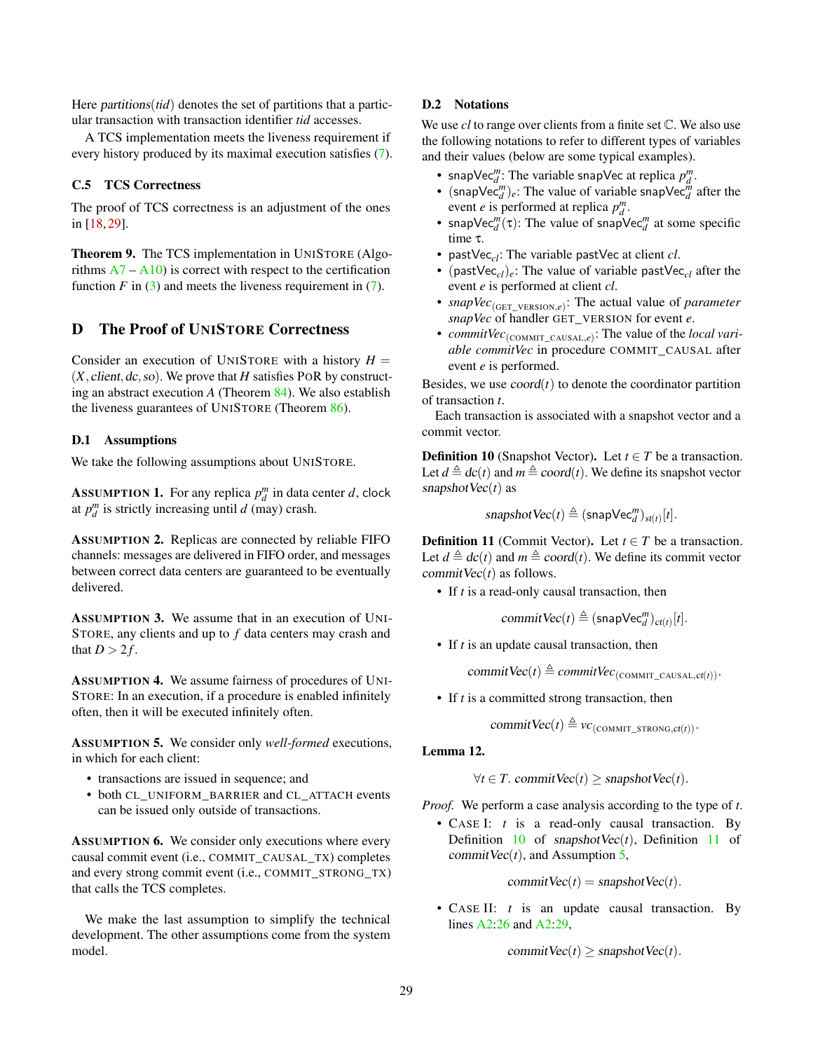Here *partitions*(*tid*) denotes the set of partitions that a particular transaction with transaction identifier *tid* accesses.

A TCS implementation meets the liveness requirement if every history produced by its maximal execution satisfies [\(7\)](#page-27-2).

## C.5 TCS Correctness

The proof of TCS correctness is an adjustment of the ones in [\[18,](#page-12-10) [29\]](#page-13-15).

<span id="page-28-7"></span>Theorem 9. The TCS implementation in UNISTORE (Algorithms  $A7 - A10$  $A7 - A10$  is correct with respect to the certification function  $F$  in [\(3\)](#page-27-3) and meets the liveness requirement in [\(7\)](#page-27-2).

# <span id="page-28-0"></span>D The Proof of UNISTORE Correctness

Consider an execution of UNISTORE with a history  $H =$  $(X, client, dc, so)$ . We prove that  $H$  satisfies POR by constructing an abstract execution *A* (Theorem [84\)](#page-43-0). We also establish the liveness guarantees of UNISTORE (Theorem [86\)](#page-43-1).

#### D.1 Assumptions

We take the following assumptions about UNISTORE.

<span id="page-28-4"></span>**ASSUMPTION 1.** For any replica  $p_d^m$  in data center *d*, clock at  $p_d^m$  is strictly increasing until *d* (may) crash.

<span id="page-28-5"></span>ASSUMPTION 2. Replicas are connected by reliable FIFO channels: messages are delivered in FIFO order, and messages between correct data centers are guaranteed to be eventually delivered.

<span id="page-28-10"></span>ASSUMPTION 3. We assume that in an execution of UNI-STORE, any clients and up to *f* data centers may crash and that  $D > 2f$ .

<span id="page-28-9"></span>ASSUMPTION 4. We assume fairness of procedures of UNI-STORE: In an execution, if a procedure is enabled infinitely often, then it will be executed infinitely often.

<span id="page-28-3"></span>ASSUMPTION 5. We consider only *well-formed* executions, in which for each client:

- transactions are issued in sequence; and
- both CL\_UNIFORM\_BARRIER and CL\_ATTACH events can be issued only outside of transactions.

<span id="page-28-8"></span>ASSUMPTION 6. We consider only executions where every causal commit event (i.e., COMMIT\_CAUSAL\_TX) completes and every strong commit event (i.e., COMMIT\_STRONG\_TX) that calls the TCS completes.

We make the last assumption to simplify the technical development. The other assumptions come from the system model.

## D.2 Notations

We use *cl* to range over clients from a finite set C. We also use the following notations to refer to different types of variables and their values (below are some typical examples).

- snapVec<sup>*m*</sup>: The variable snapVec at replica  $p_d^m$ .
- $(\textsf{snapVec}_{d}^m)_e$ : The value of variable snapVec<sup> $\ddot{m}$ </sup> after the event *e* is performed at replica  $p_d^m$ .
- snapVec<sup>*m*</sup>( $\tau$ ): The value of snapVec<sup>*m*</sup> at some specific time τ.
- pastVec*cl*: The variable pastVec at client *cl*.
- (past $Vec_{cl}$ )<sub>e</sub>: The value of variable past $Vec_{cl}$  after the event *e* is performed at client *cl*.
- *snapVec*<sub>(GET\_VERSION,*e*): The actual value of *parameter*</sub> *snapVec* of handler GET\_VERSION for event *e*.
- *commitVec*<sub>(COMMIT\_CAUSAL,e)</sub>: The value of the *local variable commitVec* in procedure COMMIT\_CAUSAL after event *e* is performed.

Besides, we use  $coord(t)$  to denote the coordinator partition of transaction *t*.

Each transaction is associated with a snapshot vector and a commit vector.

<span id="page-28-1"></span>**Definition 10** (Snapshot Vector). Let  $t \in T$  be a transaction. Let  $d \triangleq dc(t)$  and  $m \triangleq coord(t)$ . We define its snapshot vector snapshotVec(*t*) as

 $s$ napshot $Vec(t) \triangleq (s$ nap $Vec_d^m)$ <sub>st(*t*)</sub>[*t*].

<span id="page-28-2"></span>**Definition 11** (Commit Vector). Let  $t \in T$  be a transaction. Let  $d \triangleq dc(t)$  and  $m \triangleq coord(t)$ . We define its commit vector commit $Vec(t)$  as follows.

• If *t* is a read-only causal transaction, then

 $commitVec(t) \triangleq (snapVec_d^m)_{ct(t)}[t].$ 

• If *t* is an update causal transaction, then

 $commitVec(t) \triangleq commitVec_{(COMMIT\_CAUSAL,ct(t))}.$ 

• If *t* is a committed strong transaction, then

commit  $Vec(t) \triangleq vc$ <sub>(COMMIT</sub> STRONG,ct(t)).

## <span id="page-28-6"></span>Lemma 12.

 $\forall t \in T$ . commit Vec $(t)$  > snapshot Vec $(t)$ .

*Proof.* We perform a case analysis according to the type of *t*.

• CASE I: *t* is a read-only causal transaction. By Definition  $10$  of snapshotVec $(t)$ , Definition  $11$  of commit  $Vec(t)$ , and Assumption [5,](#page-28-3)

commit  $Vec(t) =$  snapshot  $Vec(t)$ .

• CASE II: *t* is an update causal transaction. By lines [A2:26](#page-6-0) and [A2:29,](#page-6-0)

commit  $\text{Vec}(t) \geq$  snapshot  $\text{Vec}(t)$ .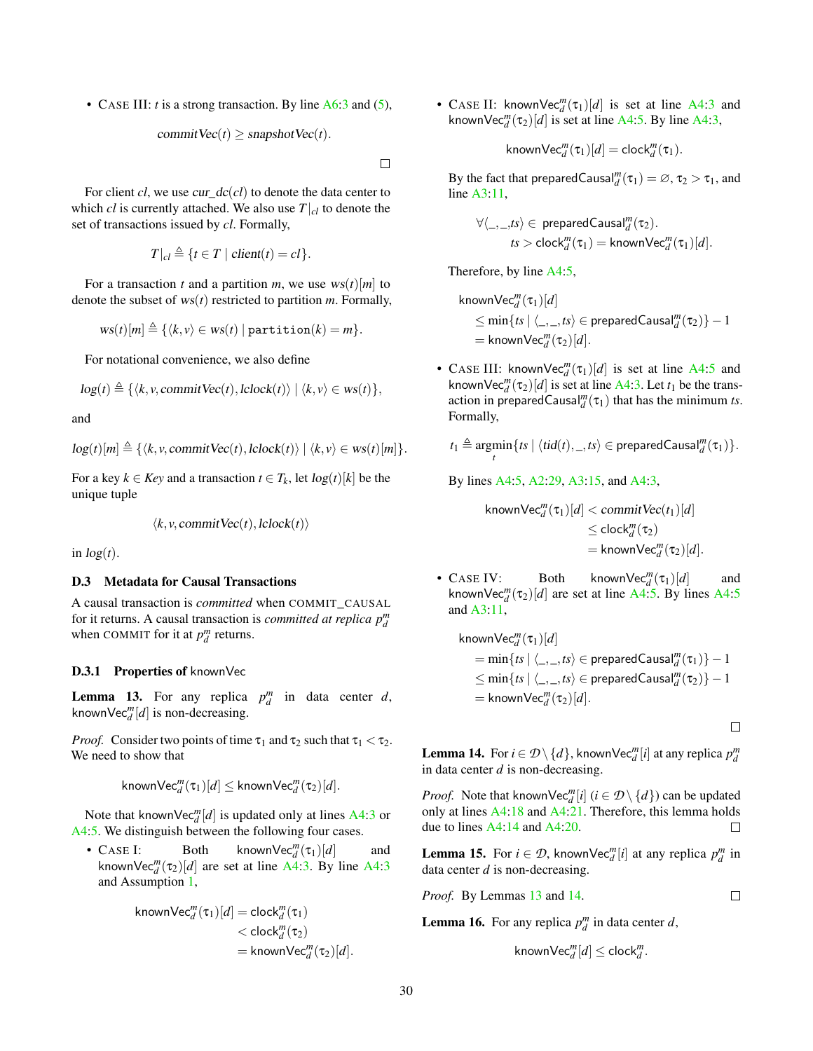• CASE III: *t* is a strong transaction. By line [A6:3](#page-20-0) and [\(5\)](#page-27-4),

$$
commitVec(t) \geq snapshotVec(t).
$$

 $\Box$ 

For client *cl*, we use *cur\_dc(cl)* to denote the data center to which *cl* is currently attached. We also use  $T|_{cl}$  to denote the set of transactions issued by *cl*. Formally,

$$
T|_{cl} \triangleq \{t \in T \mid client(t) = cl\}.
$$

For a transaction *t* and a partition *m*, we use  $ws(t)[m]$  to denote the subset of ws(*t*) restricted to partition *m*. Formally,

$$
ws(t)[m] \triangleq \{ \langle k, v \rangle \in ws(t) \mid \text{partition}(k) = m \}.
$$

For notational convenience, we also define

$$
log(t) \triangleq \{ \langle k, v, commitVec(t), !clock(t) \rangle \mid \langle k, v \rangle \in ws(t) \},
$$

and

$$
log(t)[m] \triangleq \{ \langle k, v, commitVec(t), clock(t) \rangle \mid \langle k, v \rangle \in ws(t)[m] \}.
$$

For a key  $k \in Key$  and a transaction  $t \in T_k$ , let  $log(t)[k]$  be the unique tuple

$$
\langle k, v, commitVec(t), clock(t) \rangle
$$

in  $log(t)$ .

#### D.3 Metadata for Causal Transactions

A causal transaction is *committed* when COMMIT\_CAUSAL for it returns. A causal transaction is *committed at replica*  $p_d^m$ when COMMIT for it at  $p_d^m$  returns.

#### D.3.1 Properties of knownVec

<span id="page-29-0"></span>**Lemma 13.** For any replica  $p_d^m$  in data center *d*, known $\text{Vec}_{d}^{m}[d]$  is non-decreasing.

*Proof.* Consider two points of time  $\tau_1$  and  $\tau_2$  such that  $\tau_1 < \tau_2$ . We need to show that

$$
\mathsf{knownVec}_{d}^m(\tau_1)[d] \leq \mathsf{knownVec}_{d}^m(\tau_2)[d].
$$

Note that known $\text{Vec}_{d}^{m}[d]$  is updated only at lines [A4:3](#page-19-0) or [A4:5.](#page-19-0) We distinguish between the following four cases.

• CASE I: Both known $\text{Vec}_{d}^{m}(\tau_1)[d]$  and known $\text{Vec}_{d}^{m}(\tau_2)[d]$  are set at line [A4:3.](#page-19-0) By line [A4:3](#page-19-0) and Assumption [1,](#page-28-4)

$$
knownVec_{d}^{m}(\tau_{1})[d] = clock_{d}^{m}(\tau_{1})
$$
  
< 
$$
< clock_{d}^{m}(\tau_{2})
$$
  

$$
= knownVec_{d}^{m}(\tau_{2})[d].
$$

• CASE II: known $\text{Vec}_{d}^{m}(\tau_1)[d]$  is set at line [A4:3](#page-19-0) and known $\text{Vec}_{d}^{m}(\tau_2)[d]$  is set at line [A4:5.](#page-19-0) By line [A4:3,](#page-19-0)

$$
\mathsf{knownVec}_{d}^m(\tau_1)[d] = \mathsf{clock}_{d}^m(\tau_1).
$$

By the fact that preparedCausal<sup>m</sup><sub>d</sub> $(\tau_1) = \emptyset$ ,  $\tau_2 > \tau_1$ , and line [A3:11,](#page-8-0)

$$
\forall \langle \_,\_, \mathit{ss} \rangle \in \text{ preparedCausal}_{d}^{m}(\tau_2).
$$
\n
$$
\mathit{ts} > \text{clock}_{d}^{m}(\tau_1) = \text{knownVec}_{d}^{m}(\tau_1)[d].
$$

Therefore, by line [A4:5,](#page-19-0)

$$
\begin{aligned} &\text{knownVec}_{d}^{m}(\tau_{1})[d] \\ &\leq \min\{ts \mid \langle \_,-,ts \rangle \in \text{preparedCausal}_{d}^{m}(\tau_{2})\} - 1 \\ &= \text{knownVec}_{d}^{m}(\tau_{2})[d]. \end{aligned}
$$

• CASE III: known $\text{Vec}_{d}^{m}(\tau_1)[d]$  is set at line [A4:5](#page-19-0) and known $\text{Vec}_{d}^{m}(\tau_2)[d]$  is set at line [A4:3.](#page-19-0) Let  $t_1$  be the transaction in preparedCausal<sup>m</sup>( $\tau_1$ ) that has the minimum *ts*. Formally,

$$
t_1 \triangleq \underset{t}{\operatorname{argmin}} \{ts \mid \langle tid(t), \_, ts \rangle \in \text{preparedCausal}^m_d(\tau_1) \}.
$$

By lines [A4:5,](#page-19-0) [A2:29,](#page-6-0) [A3:15,](#page-8-0) and [A4:3,](#page-19-0)

$$
\mathsf{knownVec}_{d}^{m}(\tau_{1})[d] < \mathsf{commitVec}(t_{1})[d] \\ < \mathsf{clock}_{d}^{m}(\tau_{2}) \\ = \mathsf{knownVec}_{d}^{m}(\tau_{2})[d].
$$

• CASE IV: Both known $\text{Vec}_{d}^{m}(\tau_1)[d]$  and known $\text{Vec}_{d}^{m}(\tau_2)[d]$  are set at line [A4:5.](#page-19-0) By lines [A4:5](#page-19-0) and [A3:11,](#page-8-0)

$$
\begin{aligned} &\mathsf{knownVec}_{d}^m(\tau_1)[d] \\ &= \min\{ts \mid \langle \_, \_, ts \rangle \in \mathsf{preparedCausal}_d^m(\tau_1)\} - 1 \\ &\leq \min\{ts \mid \langle \_, \_, ts \rangle \in \mathsf{preparedCausal}_d^m(\tau_2)\} - 1 \\ &= \mathsf{knownVec}_{d}^m(\tau_2)[d]. \end{aligned}
$$

 $\Box$ 

<span id="page-29-1"></span>**Lemma 14.** For  $i \in \mathcal{D} \setminus \{d\}$ , knownVec $_{d}^{m}[i]$  at any replica  $p_{d}^{m}$ in data center *d* is non-decreasing.

*Proof.* Note that known $\text{Vec}_{d}^{m}[i]$   $(i \in \mathcal{D} \setminus \{d\})$  can be updated only at lines [A4:18](#page-19-0) and [A4:21.](#page-19-0) Therefore, this lemma holds due to lines [A4:14](#page-19-0) and [A4:20.](#page-19-0) П

<span id="page-29-3"></span>**Lemma 15.** For  $i \in \mathcal{D}$ , knownVec $_{d}^{m}[i]$  at any replica  $p_{d}^{m}$  in data center *d* is non-decreasing.

*Proof.* By Lemmas [13](#page-29-0) and [14.](#page-29-1)

$$
\Box
$$

<span id="page-29-2"></span>**Lemma 16.** For any replica  $p_d^m$  in data center *d*,

$$
\mathsf{knownVec}_{d}^{m}[d]\leq \mathsf{clock}_{d}^{m}.
$$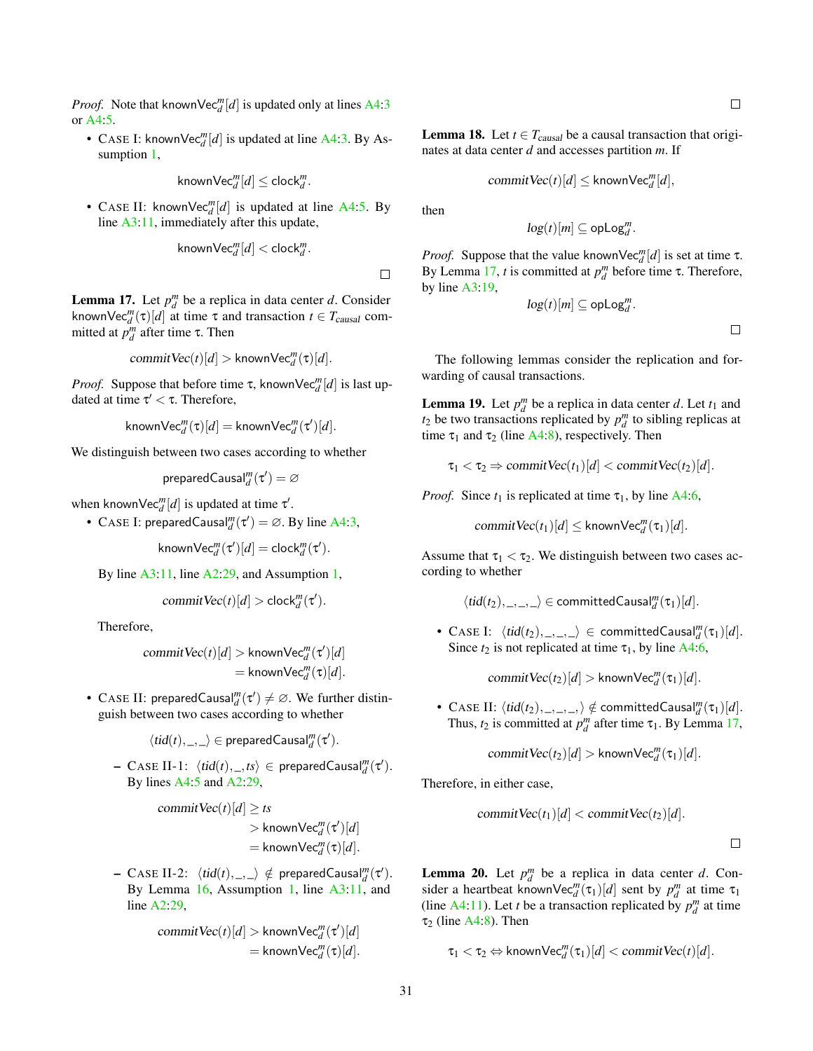*Proof.* Note that known $\text{Vec}_{d}^{m}[d]$  is updated only at lines [A4:3](#page-19-0) or [A4:5.](#page-19-0)

• CASE I: known $\text{Vec}_{d}^{m}[d]$  is updated at line [A4:3.](#page-19-0) By Assumption [1,](#page-28-4)

$$
\mathsf{knownVec}_{d}^{m}[d]\leq \mathsf{clock}_{d}^{m}.
$$

• CASE II: known $\text{Vec}_{d}^{m}[d]$  is updated at line [A4:5.](#page-19-0) By line [A3:11,](#page-8-0) immediately after this update,

$$
{\sf knownVec}_{d}^m[d] < {\sf clock}_{d}^m.
$$

<span id="page-30-0"></span>**Lemma 17.** Let  $p_d^m$  be a replica in data center *d*. Consider known $\text{Vec}_{d}^{m}(\tau)[d]$  at time  $\tau$  and transaction  $t \in T_{causal}$  committed at  $p_d^m$  after time  $\tau$ . Then

$$
commitVec(t)[d] > knownVec^m_d(\tau)[d].
$$

*Proof.* Suppose that before time  $\tau$ , known $\text{Vec}_{d}^{m}[d]$  is last updated at time  $\tau' < \tau$ . Therefore,

$$
\mathsf{knownVec}_{d}^m(\tau)[d] = \mathsf{knownVec}_{d}^m(\tau')[d].
$$

We distinguish between two cases according to whether

$$
\mathsf{preparedCausal}_d^m(\tau') = \varnothing
$$

when known $\text{Vec}_{d}^{m}[d]$  is updated at time  $\tau'$ .

• CASE I: preparedCausal $_{d}^{m}(\tau') = \varnothing$ . By line [A4:3,](#page-19-0)

 $\mathsf{knownVec}_{d}^{m}(\tau')[d] = \mathsf{clock}_{d}^{m}(\tau').$ 

By line [A3:11,](#page-8-0) line [A2:29,](#page-6-0) and Assumption [1,](#page-28-4)

$$
commitVec(t)[d] > clock_d^m(\tau').
$$

Therefore,

$$
commitVec(t)[d] > knownVec_{d}^{m}(\tau')[d]
$$
  
= knownVec\_{d}^{m}(\tau)[d].

• CASE II: preparedCausal $_d^m(\tau') \neq \emptyset$ . We further distinguish between two cases according to whether

$$
\langle tid(t),\_,\_\rangle\in \text{preparedCausal}^m_d(\tau').
$$

 $-$  CASE II-1:  $\langle tid(t), \_,ts \rangle \in$  preparedCausal $_d^m(\tau').$ By lines [A4:5](#page-19-0) and [A2:29,](#page-6-0)

$$
\operatorname{commitVec}(t)[d] \geq ts
$$

> knownVec<sub>d</sub><sup>m</sup>(
$$
\tau'
$$
)[ $d$ ]  
= knownVec<sub>d</sub><sup>m</sup>( $\tau$ )[ $d$ ].

 $-$  CASE II-2:  $\langle tid(t), \_\rangle \notin$  preparedCausal $_d^m(\tau').$ By Lemma [16,](#page-29-2) Assumption [1,](#page-28-4) line [A3:11,](#page-8-0) and line [A2:29,](#page-6-0)

$$
commitVec(t)[d] > knownVec_{d}^{m}(\tau')[d]
$$
  
= knownVec\_{d}^{m}(\tau)[d].

<span id="page-30-3"></span>**Lemma 18.** Let  $t \in T_{causal}$  be a causal transaction that originates at data center *d* and accesses partition *m*. If

$$
commitVec(t)[d] \leq knownVec_d^m[d],
$$

then

 $\Box$ 

$$
\log(t)[m] \subseteq \mathsf{opLog}_d^m.
$$

*Proof.* Suppose that the value known $\text{Vec}_{d}^{m}[d]$  is set at time  $\tau$ . By Lemma [17,](#page-30-0) *t* is committed at  $p_d^m$  before time τ. Therefore, by line [A3:19,](#page-8-0)

$$
\log(t)[m] \subseteq \mathsf{opLog}_d^m.
$$

The following lemmas consider the replication and forwarding of causal transactions.

<span id="page-30-1"></span>**Lemma 19.** Let  $p_d^m$  be a replica in data center *d*. Let  $t_1$  and  $t_2$  be two transactions replicated by  $p_d^m$  to sibling replicas at time  $\tau_1$  and  $\tau_2$  (line [A4:8\)](#page-19-0), respectively. Then

$$
\tau_1 < \tau_2 \Rightarrow \text{commitVec}(t_1)[d] < \text{commitVec}(t_2)[d].
$$

*Proof.* Since  $t_1$  is replicated at time  $\tau_1$ , by line [A4:6,](#page-19-0)

 $commitVec(t_1)[d] \leq$  known $Vec^m_d(\tau_1)[d]$ .

Assume that  $\tau_1 < \tau_2$ . We distinguish between two cases according to whether

$$
\langle tid(t_2),\_,\_,\_\rangle\in\mathsf{committedCausal}_d^m(\tau_1)[d].
$$

• CASE I:  $\langle tid(t_2), \_,\_\rangle \in committedCausal_{d}^{m}(\tau_1)[d].$ Since  $t_2$  is not replicated at time  $\tau_1$ , by line [A4:6,](#page-19-0)

commit $\text{Vec}(t_2)[d] > \text{knownVec}_{d}^{m}(\tau_1)[d]$ .

• CASE II:  $\langle tid(t_2),\_,\_,\rangle \notin \text{committedCausal}_{d}^{m}(\tau_1)[d].$ Thus,  $t_2$  is committed at  $p_d^m$  after time  $\tau_1$ . By Lemma [17,](#page-30-0)

commit $\text{Vec}(t_2)[d] > \text{knownVec}_{d}^{m}(\tau_1)[d]$ .

Therefore, in either case,

$$
commitVec(t_1)[d] < commitVec(t_2)[d].
$$

 $\Box$ 

<span id="page-30-2"></span>**Lemma 20.** Let  $p_d^m$  be a replica in data center *d*. Consider a heartbeat knownVec<sup>*m*</sup>( $\tau_1$ )[*d*] sent by  $p_d^m$  at time  $\tau_1$ (line [A4:11\)](#page-19-0). Let *t* be a transaction replicated by  $p_d^m$  at time  $\tau_2$  (line [A4:8\)](#page-19-0). Then

 $\tau_1 < \tau_2 \Leftrightarrow$  known $\mathsf{Vec}_{d}^m(\tau_1)[d] < \mathsf{commitVec}(t)[d].$ 

 $\Box$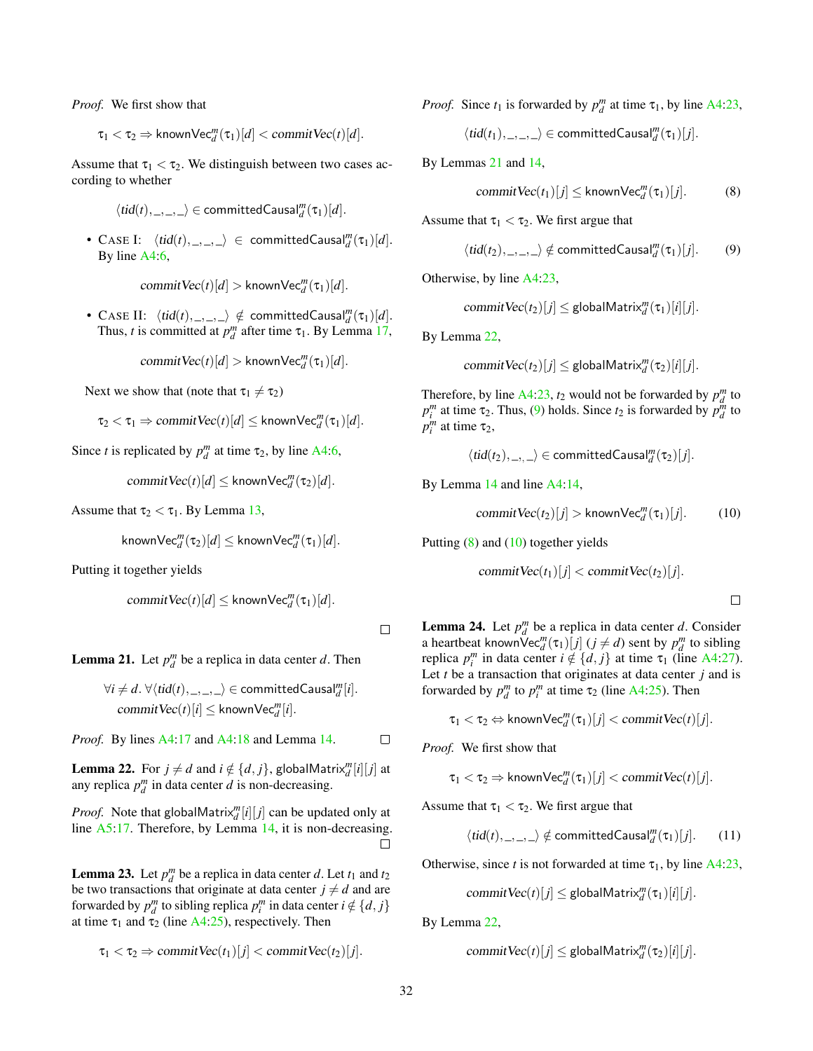*Proof.* We first show that

 $\tau_1 < \tau_2 \Rightarrow$  known $\mathsf{Vec}_{d}^m(\tau_1)[d] < \mathsf{commitVec}(t)[d].$ 

Assume that  $\tau_1 < \tau_2$ . We distinguish between two cases according to whether

$$
\langle tid(t),\_,\_,\_\rangle\in\mathsf{committedCausal}_d^m(\tau_1)[d].
$$

• CASE I:  $\langle tid(t), \_,\_\rangle \in committedCausal_{d}^{m}(\tau_{1})[d].$ By line [A4:6,](#page-19-0)

 $commitVec(t)[d] >$  known $Vec_{d}^{m}(\tau_{1})[d]$ .

• CASE II:  $\langle tid(t), \_,\_) \notin committedCausal_{d}^{m}(\tau_{1})[d].$ Thus, *t* is committed at  $p_d^m$  after time  $\tau_1$ . By Lemma [17,](#page-30-0)

$$
\mathit{commitVec}(t)[d] > \mathsf{knownVec}_d^m(\tau_1)[d].
$$

Next we show that (note that  $\tau_1 \neq \tau_2$ )

$$
\tau_2 < \tau_1 \Rightarrow commitVec(t)[d] \leq knownVec_d^m(\tau_1)[d].
$$

Since *t* is replicated by  $p_d^m$  at time  $\tau_2$ , by line [A4:6,](#page-19-0)

 $commitVec(t)[d] \leq$  known $Vec_{d}^{m}(\tau_2)[d]$ .

Assume that  $\tau_2 < \tau_1$ . By Lemma [13,](#page-29-0)

$$
\mathsf{knownVec}_{d}^{m}(\tau_2)[d] \leq \mathsf{knownVec}_{d}^{m}(\tau_1)[d].
$$

Putting it together yields

 $commitVec(t)[d] \leq$  known $Vec_{d}^{m}(\tau_1)[d]$ .

 $\Box$ 

<span id="page-31-0"></span>**Lemma 21.** Let  $p_d^m$  be a replica in data center *d*. Then

$$
\forall i \neq d. \ \forall \langle tid(t), \_,\_, \rangle \in committedCausal_{d}^{m}[i]. \newline commitVec(t)[i] \leq knownVec_{d}^{m}[i].
$$

*Proof.* By lines [A4:17](#page-19-0) and [A4:18](#page-19-0) and Lemma [14.](#page-29-1)  $\Box$ 

<span id="page-31-1"></span>**Lemma 22.** For  $j \neq d$  and  $i \notin \{d, j\}$ , globalMatrix $_{d}^{m}[i][j]$  at any replica  $p_d^m$  in data center *d* is non-decreasing.

*Proof.* Note that globalMatrix<sup>*m*</sup>[*i*][*j*] can be updated only at line [A5:17.](#page-20-1) Therefore, by Lemma [14,](#page-29-1) it is non-decreasing.  $\Box$ 

<span id="page-31-6"></span>**Lemma 23.** Let  $p_d^m$  be a replica in data center *d*. Let  $t_1$  and  $t_2$ be two transactions that originate at data center  $j \neq d$  and are forwarded by  $p_d^m$  to sibling replica  $p_i^m$  in data center  $i \notin \{d, j\}$ at time  $\tau_1$  and  $\tau_2$  (line [A4:25\)](#page-19-0), respectively. Then

$$
\tau_1 < \tau_2 \Rightarrow \text{commitVec}(t_1)[j] < \text{commitVec}(t_2)[j].
$$

*Proof.* Since  $t_1$  is forwarded by  $p_d^m$  at time  $\tau_1$ , by line [A4:23,](#page-19-0)

 $\langle tid(t_1),\_,\_\rangle \in \text{committedCausal}_d^m(\tau_1)[j].$ 

By Lemmas [21](#page-31-0) and [14,](#page-29-1)

<span id="page-31-3"></span><span id="page-31-2"></span>
$$
\text{commitVec}(t_1)[j] \le \text{knownVec}_d^m(\tau_1)[j]. \tag{8}
$$

Assume that  $\tau_1 < \tau_2$ . We first argue that

$$
\langle tid(t_2),\_,\_,\_\rangle \notin committedCausal_{d}^m(\tau_1)[j]. \qquad (9)
$$

Otherwise, by line [A4:23,](#page-19-0)

$$
commitVec(t_2)[j] \le \mathsf{globalMatrix}^m_d(\tau_1)[i][j].
$$

By Lemma [22,](#page-31-1)

$$
commitVec(t_2)[j] \le \mathsf{globalMatrix}_{d}^{m}(\tau_2)[i][j].
$$

Therefore, by line  $A4:23$ ,  $t_2$  would not be forwarded by  $p_d^m$  to  $p_l^m$  at time  $\tau_2$ . Thus, [\(9\)](#page-31-2) holds. Since  $t_2$  is forwarded by  $p_d^m$  to  $p_i^m$  at time  $\tau_2$ ,

 $\langle tid(t_2), \_, \_\rangle \in \text{committedCausal}_{d}^{m}(\tau_2)[j].$ 

By Lemma [14](#page-29-1) and line [A4:14,](#page-19-0)

$$
\text{commitVec}(t_2)[j] > \text{knownVec}^m_d(\tau_1)[j]. \tag{10}
$$

Putting  $(8)$  and  $(10)$  together yields

commit  $\text{Vec}(t_1)[j] < \text{commit}\,\text{Vec}(t_2)[j].$ 

<span id="page-31-5"></span><span id="page-31-4"></span> $\Box$ 

<span id="page-31-7"></span>**Lemma 24.** Let  $p_d^m$  be a replica in data center *d*. Consider a heartbeat known  $Vec_{d}^{m}(\tau_{1})$   $[j]$  ( $j \neq d$ ) sent by  $p_{d}^{m}$  to sibling replica  $p_i^m$  in data center  $i \notin \{d, j\}$  at time  $\tau_1$  (line [A4:27\)](#page-19-0). Let *t* be a transaction that originates at data center *j* and is forwarded by  $p_d^m$  to  $p_i^m$  at time  $\tau_2$  (line [A4:25\)](#page-19-0). Then

$$
\tau_1 < \tau_2 \Leftrightarrow \mathsf{knownVec}_{d}^{m}(\tau_1)[j] < commitVec(t)[j].
$$

*Proof.* We first show that

$$
\tau_1 < \tau_2 \Rightarrow \text{knownVec}_{d}^{m}(\tau_1)[j] < commitVec(t)[j].
$$

Assume that  $\tau_1 < \tau_2$ . We first argue that

$$
\langle tid(t), \_,\_,\rangle \notin committedCausal_{d}^{m}(\tau_{1})[j].
$$
 (11)

Otherwise, since *t* is not forwarded at time  $\tau_1$ , by line [A4:23,](#page-19-0)

 $commitVec(t)[j] \le$  globalMatrix $_{d}^{m}(\tau_{1})[i][j]$ .

By Lemma [22,](#page-31-1)

$$
commitVec(t)[j] \le \mathsf{globalMatrix}_{d}^{m}(\tau_2)[i][j].
$$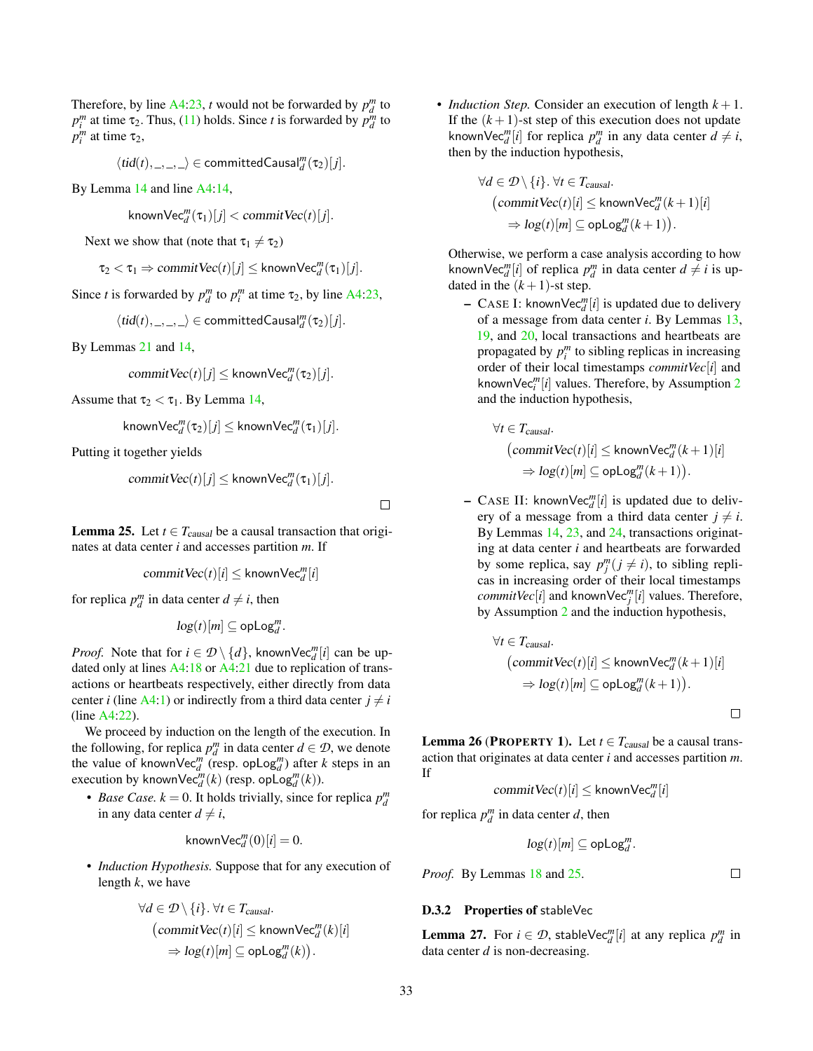Therefore, by line  $A4:23$ , *t* would not be forwarded by  $p_d^m$  to  $p_l^m$  at time  $\tau_2$ . Thus, [\(11\)](#page-31-5) holds. Since *t* is forwarded by  $p_d^m$  to  $p_i^m$  at time  $\tau_2$ ,

$$
\langle tid(t),\_,\_,\_\rangle\in\mathsf{committedCausal}_d^m(\tau_2)[j].
$$

By Lemma [14](#page-29-1) and line [A4:14,](#page-19-0)

$$
\mathsf{knownVec}_d^m(\tau_1)[j] < \mathit{commitVec}(t)[j].
$$

Next we show that (note that  $\tau_1 \neq \tau_2$ )

$$
\tau_2 < \tau_1 \Rightarrow commitVec(t)[j] \leq knownVec_d^m(\tau_1)[j].
$$

Since *t* is forwarded by  $p_d^m$  to  $p_i^m$  at time  $\tau_2$ , by line [A4:23,](#page-19-0)

 $\langle tid(t),\_,\_,\rangle \in committedCausal''_d(\tau_2)[j].$ 

By Lemmas [21](#page-31-0) and [14,](#page-29-1)

$$
\textit{commitVec}(t)[j] \leq \mathsf{knownVec}^m_d(\tau_2)[j].
$$

Assume that  $\tau_2 < \tau_1$ . By Lemma [14,](#page-29-1)

$$
\mathsf{knownVec}_{d}^{m}(\tau_{2})[j] \leq \mathsf{knownVec}_{d}^{m}(\tau_{1})[j].
$$

Putting it together yields

$$
\text{commitVec}(t)[j] \leq \text{knownVec}_{d}^{m}(\tau_1)[j].
$$

 $\Box$ 

<span id="page-32-0"></span>**Lemma 25.** Let  $t \in T_{causal}$  be a causal transaction that originates at data center *i* and accesses partition *m*. If

$$
\textit{commitVec}(t)[i] \leq \mathsf{knownVec}^m_d[i]
$$

for replica  $p_d^m$  in data center  $d \neq i$ , then

$$
\log(t)[m] \subseteq \mathsf{opLog}_d^m.
$$

*Proof.* Note that for  $i \in \mathcal{D} \setminus \{d\}$ , knownVec $_{d}^{m}[i]$  can be updated only at lines [A4:18](#page-19-0) or [A4:21](#page-19-0) due to replication of transactions or heartbeats respectively, either directly from data center *i* (line  $A4:1$ ) or indirectly from a third data center  $j \neq i$ (line [A4:22\)](#page-19-0).

We proceed by induction on the length of the execution. In the following, for replica  $p_d^m$  in data center  $d \in \mathcal{D}$ , we denote the value of knownVec<sup>*m*</sup> (resp. opLog<sup>*m*</sup>) after *k* steps in an execution by known $\text{Vec}_{d}^{m}(k)$  (resp. op $\text{Log}_{d}^{m}(k)$ ).

• *Base Case.*  $k = 0$ . It holds trivially, since for replica  $p_d^m$ in any data center  $d \neq i$ ,

$$
\mathsf{knownVec}_{d}^{m}(0)[i] = 0.
$$

• *Induction Hypothesis.* Suppose that for any execution of length *k*, we have

$$
\forall d \in \mathcal{D} \setminus \{i\}. \forall t \in T_{causal}.
$$
  
\n
$$
(\text{commitVec}(t)[i] \le \text{knownVec}_{d}^{m}(k)[i])
$$
  
\n
$$
\Rightarrow \log(t)[m] \subseteq \text{opLog}_{d}^{m}(k)).
$$

• *Induction Step.* Consider an execution of length *k* + 1. If the  $(k+1)$ -st step of this execution does not update known $\text{Vec}_{d}^{m}[i]$  for replica  $p_d^m$  in any data center  $d \neq i$ , then by the induction hypothesis,

$$
\forall d \in \mathcal{D} \setminus \{i\}. \forall t \in T_{causal}.\tag{committVec}(t)[i] \leq \text{knownVec}^m_d(k+1)[i] \Rightarrow \log(t)[m] \subseteq \text{opLog}^m_d(k+1)).
$$

Otherwise, we perform a case analysis according to how knownVec<sup>*m*</sup>[*i*] of replica  $p_d^m$  in data center  $d \neq i$  is updated in the  $(k+1)$ -st step.

 $-$  CASE I: knownVec<sup>*m*</sup><sub>*d*</sub><sup> $[$ *i*</sup>] is updated due to delivery of a message from data center *i*. By Lemmas [13,](#page-29-0) [19,](#page-30-1) and [20,](#page-30-2) local transactions and heartbeats are propagated by  $p_i^m$  to sibling replicas in increasing order of their local timestamps *commitVec*[*i*] and knownVec*<sup>m</sup> i* [*i*] values. Therefore, by Assumption [2](#page-28-5) and the induction hypothesis,

$$
\forall t \in T_{causal}.\tag{committVec(t)[i] \leq knownVec_{d}^{m}(k+1)[i]}\Rightarrow log(t)[m] \subseteq opLog_{d}^{m}(k+1)).
$$

 $-$  CASE II: knownVec $_{d}^{m}[i]$  is updated due to delivery of a message from a third data center  $j \neq i$ . By Lemmas [14,](#page-29-1) [23,](#page-31-6) and [24,](#page-31-7) transactions originating at data center *i* and heartbeats are forwarded by some replica, say  $p_j^m (j \neq i)$ , to sibling replicas in increasing order of their local timestamps *commitVec*<sup>[*i*]</sup> and knownVec<sup>*m*</sup><sub>*j*</sub><sup>[*i*]</sup> values. Therefore, by Assumption [2](#page-28-5) and the induction hypothesis,

$$
\forall t \in T_{causal}.\tag{committVec(t)[i] \leq knownVec_{d}^{m}(k+1)[i]}\Rightarrow log(t)[m] \subseteq opLog_{d}^{m}(k+1)).
$$

 $\Box$ 

**Lemma 26 (PROPERTY 1).** Let  $t \in T_{causal}$  be a causal transaction that originates at data center *i* and accesses partition *m*. If

$$
\textit{commitVec}(t)[i] \leq \mathsf{knownVec}^m_d[i]
$$

for replica  $p_d^m$  in data center *d*, then

$$
log(t)[m] \subseteq \mathsf{opLog}_d^m.
$$

 $\Box$ 

# D.3.2 Properties of stableVec

*Proof.* By Lemmas [18](#page-30-3) and [25.](#page-32-0)

<span id="page-32-1"></span>**Lemma 27.** For  $i \in \mathcal{D}$ , stableVec $_{d}^{m}[i]$  at any replica  $p_{d}^{m}$  in data center *d* is non-decreasing.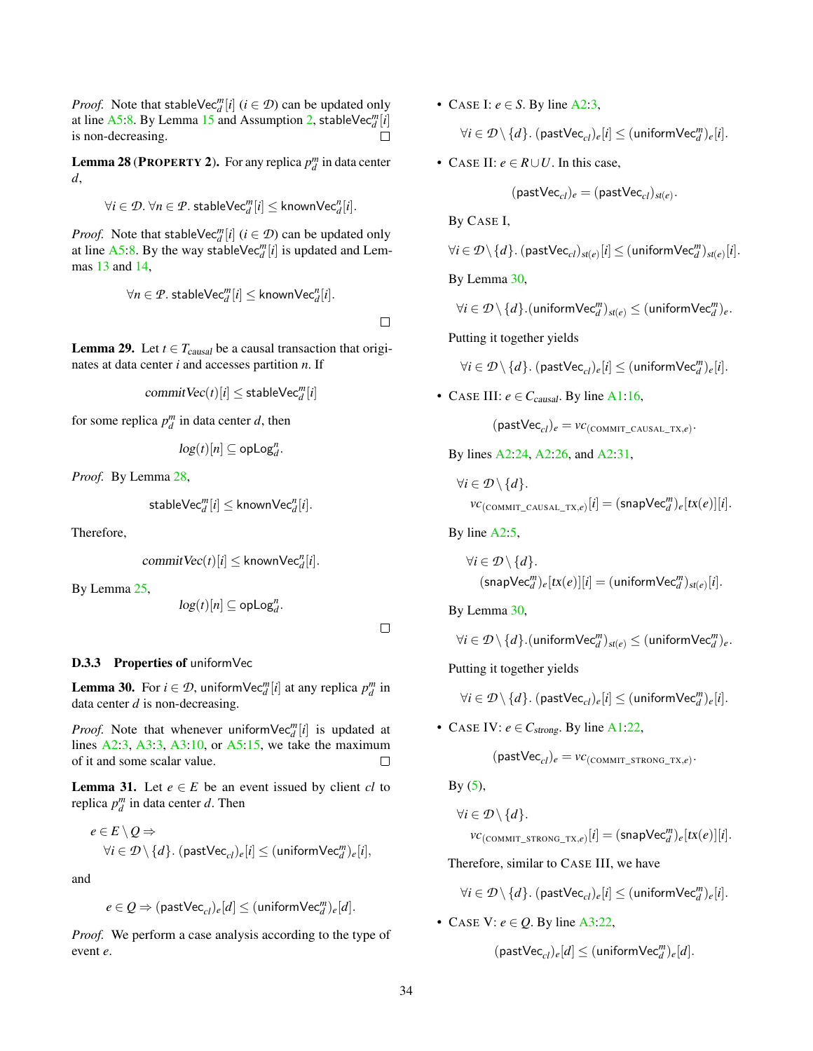*Proof.* Note that stableVec<sup>*m*</sup><sub>*d*</sub></sub> $[i]$  (*i*  $\in \mathcal{D}$ ) can be updated only at line [A5:8.](#page-20-1) By Lemma [15](#page-29-3) and Assumption [2,](#page-28-5) stableVec $_{d}^{m}[i]$ is non-decreasing.

<span id="page-33-0"></span>**Lemma 28 (PROPERTY 2).** For any replica  $p_d^m$  in data center *d*,

$$
\forall i \in \mathcal{D}.\ \forall n \in \mathcal{P}.\ \mathsf{stableVec}_{d}^m[i] \leq \mathsf{knownVec}_{d}^n[i].
$$

*Proof.* Note that stableVec<sup>*m*</sup><sub>*d*</sub></sub> $[i]$  (*i*  $\in \mathcal{D}$ ) can be updated only at line [A5:8.](#page-20-1) By the way stableVec<sup>*m*</sup>[ $i$ ] is updated and Lemmas [13](#page-29-0) and [14,](#page-29-1)

$$
\forall n \in \mathcal{P}.\ \mathsf{stableVec}_{d}^m[i] \leq \mathsf{knownVec}_{d}^n[i].
$$

 $\Box$ 

**Lemma 29.** Let  $t \in T_{causal}$  be a causal transaction that originates at data center *i* and accesses partition *n*. If

$$
commitVec(t)[i] \leq stableVec_d^m[i]
$$

for some replica  $p_d^m$  in data center *d*, then

$$
\log(t)[n] \subseteq \mathsf{opLog}_d^n.
$$

*Proof.* By Lemma [28,](#page-33-0)

$$
\mathsf{stableVec}_{d}^{m}[i] \leq \mathsf{knownVec}_{d}^{n}[i].
$$

Therefore,

$$
commitVec(t)[i] \leq knownVec_d^n[i].
$$

By Lemma [25,](#page-32-0)

 $log(t)[n] \subseteq opLog_d^n$ .

 $\Box$ 

#### D.3.3 Properties of uniformVec

<span id="page-33-1"></span>**Lemma 30.** For  $i \in \mathcal{D}$ , uniform $\forall$ e $c_d^m[i]$  at any replica  $p_d^m$  in data center *d* is non-decreasing.

*Proof.* Note that whenever uniform  $\text{Vec}_{d}^{m}[i]$  is updated at lines  $A2:3$ ,  $A3:3$ ,  $A3:10$ , or  $A5:15$ , we take the maximum of it and some scalar value.  $\Box$ 

<span id="page-33-2"></span>**Lemma 31.** Let  $e \in E$  be an event issued by client *cl* to replica  $p_d^m$  in data center *d*. Then

$$
e \in E \setminus Q \Rightarrow
$$
  
\n
$$
\forall i \in \mathcal{D} \setminus \{d\}. \text{ (pastVec_{cl})_e[i]} \leq (\text{uniformVec}_{d}^m)_e[i],
$$

and

$$
e \in Q \Rightarrow (\mathsf{pastVec}_{cl})_e[d] \le (\mathsf{uniformVec}_{d}^m)_e[d].
$$

*Proof.* We perform a case analysis according to the type of event *e*.

• CASE I:  $e \in S$ . By line [A2:3,](#page-6-0)

$$
\forall i \in \mathcal{D}\setminus\{d\}.\ (\mathsf{pastVec}_{\mathit{cl}})_e[i] \le (\mathsf{uniformVec}_{d}^m)_e[i].
$$

• CASE II:  $e \in R \cup U$ . In this case,

$$
(\mathsf{pastVec}_{cl})_e = (\mathsf{pastVec}_{cl})_{\mathsf{st}(e)}.
$$

By CASE I,

$$
\forall i \in \mathcal{D}\!\setminus\! \{d\}. \ (\mathsf{pastVec}_{\mathit{cl}})_{\mathit{st}(e)}[i] \leq (\mathsf{uniformVec}_{d}^m)_{\mathit{st}(e)}[i].
$$

By Lemma [30,](#page-33-1)

$$
\forall i \in \mathcal{D} \setminus \{d\}.\mathsf{(uniformVec}_{d}^{m})_{\mathit{st}(e)} \leq (\mathsf{uniformVec}_{d}^{m})_{e}.
$$

Putting it together yields

 $\forall i \in \mathcal{D} \setminus \{d\}$ .  $(\mathsf{pastVec}_{cl})_e[i] \leq (\mathsf{uniformVec}_{d}^m)_e[i].$ 

• CASE III:  $e \in C_{causal}$ . By line [A1:16,](#page-5-0)

 $(\text{pastVec}_{cl})_e = vc_{(\text{COMMIT\_CAUSAL\_TX},e)}.$ 

By lines [A2:24,](#page-6-0) [A2:26,](#page-6-0) and [A2:31,](#page-6-0)

$$
\forall i \in \mathcal{D} \setminus \{d\}.
$$
  

$$
vc_{(\text{COMMIT\_CAUSAL\_TX}, e)}[i] = (\text{snapVec}_{d}^{m})_{e}[\text{tx}(e)][i].
$$

By line [A2:5,](#page-6-0)

$$
\forall i \in \mathcal{D} \setminus \{d\}.
$$
  
(snapVec<sub>d</sub><sup>m</sup>)<sub>e</sub>[tx(e)][i] = (uniformVec<sub>d</sub><sup>m</sup>)<sub>st(e)</sub>[i].

By Lemma [30,](#page-33-1)

$$
\forall i \in \mathcal{D}\setminus\{d\}.(\text{uniformVec}_{d}^{m})_{st(e)} \leq (\text{uniformVec}_{d}^{m})_{e}.
$$

Putting it together yields

 $\forall i \in \mathcal{D} \setminus \{d\}$ .  $(\mathsf{pastVec}_{cl})_e[i] \leq (\mathsf{uniformVec}_{d}^m)_e[i].$ 

• CASE IV:  $e \in C_{strong}$ . By line [A1:22,](#page-5-0)

$$
(\mathsf{pastVec}_{cl})_e = \mathit{vc}_{(\mathsf{COMMIT\_STRONG\_TX}, e)}.
$$

 $By (5),$  $By (5),$  $By (5),$ 

$$
\forall i \in \mathcal{D} \setminus \{d\}.
$$
  

$$
vc_{(\text{COMMIT\_STRONG_TX},e)}[i] = (\text{snapVec}_{d}^{m})_{e}[tx(e)][i].
$$

Therefore, similar to CASE III, we have

 $\forall i \in \mathcal{D} \setminus \{d\}$ .  $(\mathsf{pastVec}_{cl})_e[i] \leq (\mathsf{uniformVec}_{d}^m)_e[i].$ 

• CASE V:  $e \in Q$ . By line [A3:22,](#page-8-0)

 $(\textsf{pastVec}_{cl})_e[d] \leq (\textsf{uniformVec}_{d}^m)_e[d].$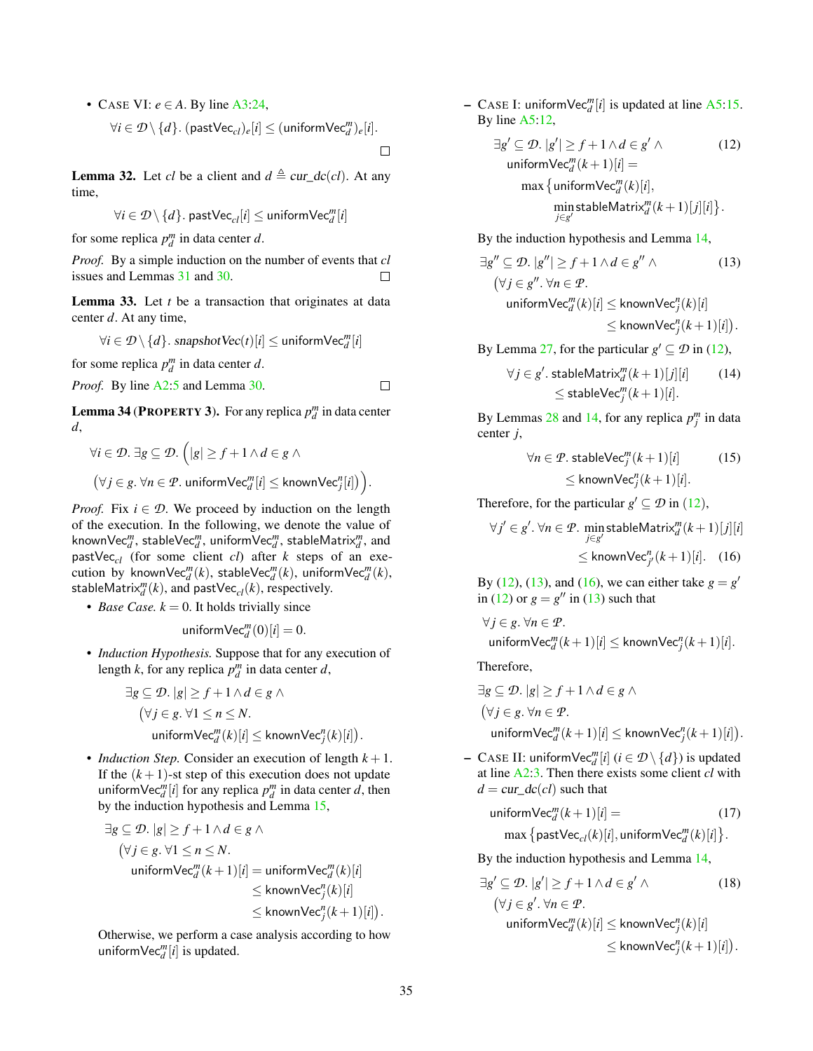• CASE VI:  $e \in A$ . By line [A3:24,](#page-8-0)

$$
\forall i \in \mathcal{D} \setminus \{d\}.\ (\mathsf{pastVec}_{cl})_e[i] \le (\mathsf{uniformVec}_{d}^m)_e[i].
$$

<span id="page-34-3"></span>**Lemma 32.** Let *cl* be a client and  $d \triangleq cur\_dc(cl)$ . At any time,

$$
\forall i \in \mathcal{D}\,\backslash\, \{d\}.\; \mathsf{pastVec}_{\mathit{cl}}[i] \leq \mathsf{uniformVec}_{d}^m[i]
$$

for some replica  $p_d^m$  in data center *d*.

*Proof.* By a simple induction on the number of events that *cl* issues and Lemmas [31](#page-33-2) and [30.](#page-33-1)  $\Box$ 

<span id="page-34-6"></span>Lemma 33. Let *t* be a transaction that originates at data center *d*. At any time,

$$
\forall i \in \mathcal{D} \setminus \{d\}.\; \textit{snapshotVec}(t)[i] \leq \textit{uniformVec}_{d}^m[i]
$$

for some replica  $p_d^m$  in data center *d*.

*Proof.* By line A2:5 and Lemma 30. 
$$
\Box
$$

<span id="page-34-7"></span>**Lemma 34 (PROPERTY 3).** For any replica  $p_d^m$  in data center *d*,

$$
\forall i \in \mathcal{D}. \; \exists g \subseteq \mathcal{D}. \; \Big( |g| \ge f + 1 \land d \in g \land
$$

$$
(\forall j \in g. \; \forall n \in \mathcal{P}. \; \text{uniformVec}_{d}^{m}[i] \le \text{knownVec}_{j}^{n}[i] \Big) \Big).
$$

*Proof.* Fix  $i \in \mathcal{D}$ . We proceed by induction on the length of the execution. In the following, we denote the value of known $\mathsf{Vec}_{d}^m, \, \mathsf{stableVec}_{d}^m, \, \mathsf{uniformVec}_{d}^m, \, \mathsf{stableMatrix}_{d}^m, \, \mathsf{and}$ pastVec*cl* (for some client *cl*) after *k* steps of an execution by known $\mathsf{Vec}_{d}^{m}(k)$ , stable $\mathsf{Vec}_{d}^{m}(k)$ , uniform $\mathsf{Vec}_{d}^{m}(k)$ ,  $\mathsf{stableMatrix}^m_d(k)$ , and  $\mathsf{pastVec}_{cl}(k)$ , respectively.

• *Base Case.*  $k = 0$ . It holds trivially since

$$
\text{uniformVec}_{d}^{m}(0)[i] = 0.
$$

• *Induction Hypothesis.* Suppose that for any execution of length *k*, for any replica  $p_d^m$  in data center *d*,

$$
\exists g \subseteq \mathcal{D}. |g| \ge f + 1 \land d \in g \land
$$
  
\n
$$
(\forall j \in g. \forall 1 \le n \le N.
$$
  
\n
$$
\text{uniformVec}_{d}^{m}(k)[i] \le \text{knownVec}_{j}^{n}(k)[i]).
$$

• *Induction Step.* Consider an execution of length  $k + 1$ . If the  $(k+1)$ -st step of this execution does not update uniform  $\text{Vec}_{d}^{m}[i]$  for any replica  $p_d^m$  in data center *d*, then by the induction hypothesis and Lemma [15,](#page-29-3)

$$
\exists g \subseteq \mathcal{D}. |g| \ge f + 1 \land d \in g \land
$$
  
\n
$$
(\forall j \in g. \forall 1 \le n \le N.
$$
  
\n
$$
\text{uniformVec}_{d}^{m}(k+1)[i] = \text{uniformVec}_{d}^{m}(k)[i]
$$
  
\n
$$
\le \text{knownVec}_{j}^{n}(k+1)[i].
$$
  
\n
$$
\le \text{knownVec}_{j}^{n}(k+1)[i].
$$

Otherwise, we perform a case analysis according to how uniform $\text{Vec}_{d}^{m}[i]$  is updated.

- CASE I: uniform $\text{Vec}_{d}^{m}[i]$  is updated at line [A5:15.](#page-20-1) By line [A5:12,](#page-20-1)

<span id="page-34-0"></span>
$$
\exists g' \subseteq \mathcal{D}. |g'| \ge f + 1 \land d \in g' \land \qquad (12)
$$
  
uniformVec<sub>a</sub><sup>m</sup> $(k+1)[i] =$   
max {uniformVec<sub>a</sub><sup>m</sup> $(k)[i],$   
min stableMatrix<sub>a</sub><sup>m</sup> $(k+1)[j][i]$  }.

By the induction hypothesis and Lemma [14,](#page-29-1)

<span id="page-34-1"></span>
$$
|g'' \subseteq \mathcal{D}. |g''| \ge f + 1 \land d \in g'' \land \tag{13}
$$
  
\n
$$
(\forall j \in g''. \forall n \in \mathcal{P}.
$$
  
\n
$$
\text{uniformVec}_{d}^{m}(k)[i] \le \text{knownVec}_{j}^{n}(k)[i]
$$
  
\n
$$
\le \text{knownVec}_{j}^{n}(k+1)[i]).
$$

By Lemma [27,](#page-32-1) for the particular  $g' \subseteq \mathcal{D}$  in [\(12\)](#page-34-0),

$$
\forall j \in g'. \text{ stableMatrix}_{d}^{m}(k+1)[j][i] \qquad (14)
$$
  

$$
\leq \text{stableVec}_{j}^{m}(k+1)[i].
$$

By Lemmas [28](#page-33-0) and [14,](#page-29-1) for any replica  $p_j^m$  in data center *j*,

<span id="page-34-2"></span>
$$
\forall n \in \mathcal{P}.\ \mathsf{stableVec}_{j}^{m}(k+1)[i] \tag{15}
$$
  

$$
\leq \mathsf{knownVec}_{j}^{n}(k+1)[i].
$$

Therefore, for the particular  $g' \subseteq \mathcal{D}$  in ([12](#page-34-0)),

$$
\forall j' \in g'. \forall n \in \mathcal{P}. \text{ minstableMatrix}_{i}^{m}(k+1)[j][i]
$$

$$
\leq \text{knownVec}_{j'}^{n}(k+1)[i]. \quad (16)
$$

By [\(12\)](#page-34-0), [\(13\)](#page-34-1), and [\(16\)](#page-34-2), we can either take  $g = g'$ in [\(12\)](#page-34-0) or  $g = g''$  in [\(13\)](#page-34-1) such that

$$
\forall j \in g. \ \forall n \in \mathcal{P}.
$$
  
uniformVec<sub>d</sub><sup>m</sup> $(k+1)[i] \le \text{knownVec}_{j}^{n}(k+1)[i].$ 

Therefore,

∃*g*

$$
\begin{aligned}\n\exists g \subseteq \mathcal{D}. |g| &\ge f + 1 \land d \in g \land \\
(\forall j \in g. \forall n \in \mathcal{P}.\n\end{aligned}
$$
\n
$$
\text{uniformVec}_{d}^{m}(k+1)[i] \le \text{knownVec}_{j}^{n}(k+1)[i]).
$$

− CASE II: uniform $\text{Vec}_{d}^{m}[i]$  ( $i \in \mathcal{D} \setminus \{d\}$ ) is updated at line [A2:3.](#page-6-0) Then there exists some client *cl* with  $d = \text{cur}\_ \text{dc}(c_l)$  such that

<span id="page-34-5"></span><span id="page-34-4"></span>
$$
\text{uniformVec}_{d}^{m}(k+1)[i] = \text{(17)}
$$
\n
$$
\max \left\{ \text{pastVec}_{cl}(k)[i], \text{uniformVec}_{d}^{m}(k)[i] \right\}.
$$

By the induction hypothesis and Lemma [14,](#page-29-1)

$$
\exists g' \subseteq \mathcal{D}. |g'| \ge f + 1 \land d \in g' \land \qquad (18)
$$
  

$$
(\forall j \in g'. \forall n \in \mathcal{P}.
$$
  
uniformVec<sub>d</sub><sup>m</sup>(k)[i]  $\le \text{knownVec}_{j}^{n}(k)[i]$   
 $\le \text{knownVec}_{j}^{n}(k+1)[i]).$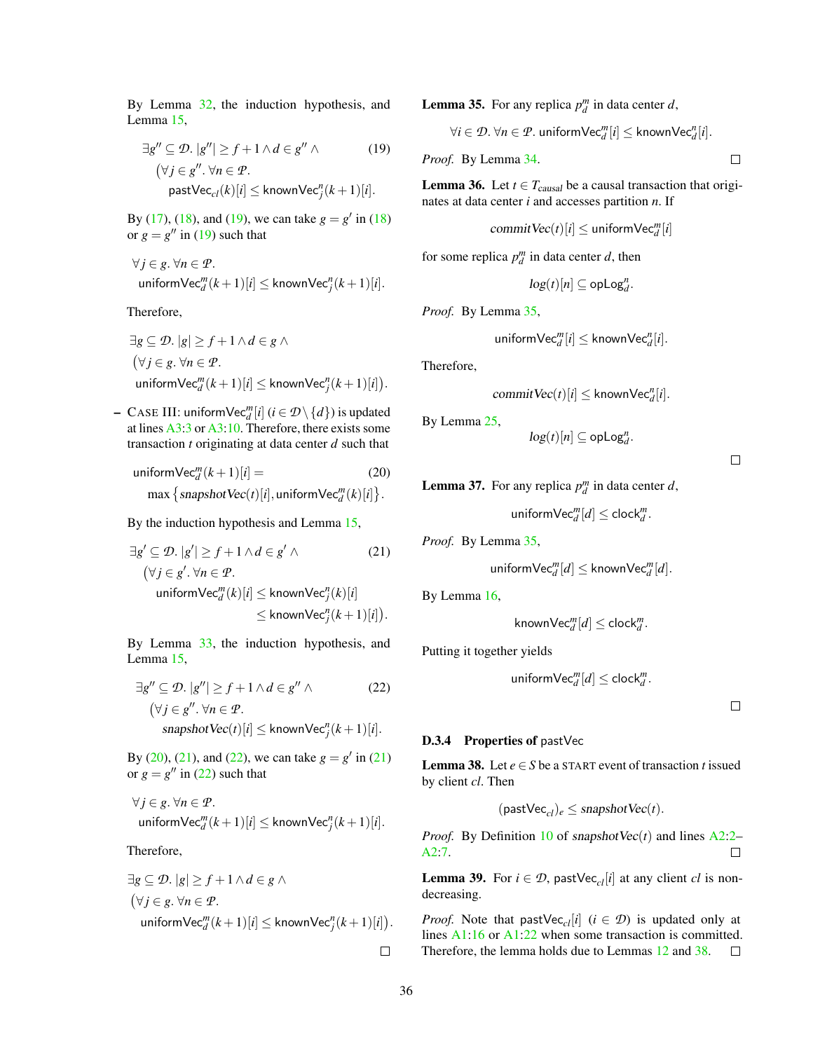By Lemma [32,](#page-34-3) the induction hypothesis, and Lemma [15,](#page-29-3)

$$
\exists g'' \subseteq \mathcal{D}. |g''| \ge f + 1 \land d \in g'' \land \tag{19}
$$
  

$$
(\forall j \in g'', \forall n \in \mathcal{P}.
$$
  

$$
\text{pastVec}_{cl}(k)[i] \le \text{knownVec}_{l}^{n}(k+1)[i].
$$

By [\(17\)](#page-34-4), [\(18\)](#page-34-5), and [\(19\)](#page-35-0), we can take  $g = g'$  in (18) or  $g = g''$  in [\(19\)](#page-35-0) such that

$$
\forall j \in g. \ \forall n \in \mathcal{P}.
$$
  
uniformVec<sub>d</sub><sup>m</sup> $(k+1)[i] \le \text{knownVec}_{j}^{n}(k+1)[i].$ 

Therefore,

$$
\exists g \subseteq \mathcal{D}. |g| \ge f + 1 \land d \in g \land
$$
  
\n
$$
(\forall j \in g. \forall n \in \mathcal{P}.
$$
  
\n
$$
\text{uniformVec}_{d}^{m}(k+1)[i] \le \text{knownVec}_{j}^{n}(k+1)[i]).
$$

− CASE III: uniform $\mathsf{Vec}_{d}^{m}[i]$  ( $i \in \mathcal{D} \setminus \{d\}$ ) is updated at lines [A3:3](#page-8-0) or [A3:10.](#page-8-0) Therefore, there exists some transaction *t* originating at data center *d* such that

$$
\text{uniformVec}_{d}^{m}(k+1)[i] = (20)
$$
\n
$$
\max \{ \text{supshotVec}(t)[i], \text{uniformVec}_{d}^{m}(k)[i] \}.
$$

By the induction hypothesis and Lemma [15,](#page-29-3)

$$
\exists g' \subseteq \mathcal{D}. |g'| \ge f + 1 \land d \in g' \land \tag{21}
$$
  

$$
(\forall j \in g'. \forall n \in \mathcal{P}.
$$
  

$$
\text{uniformVec}_{d}^{m}(k)[i] \le \text{knownVec}_{j}^{n}(k)[i]
$$
  

$$
\le \text{knownVec}_{j}^{n}(k+1)[i]).
$$

By Lemma [33,](#page-34-6) the induction hypothesis, and Lemma [15,](#page-29-3)

$$
\exists g'' \subseteq \mathcal{D}. |g''| \ge f + 1 \land d \in g'' \land \tag{22}
$$
  

$$
(\forall j \in g'', \forall n \in \mathcal{P}.
$$
  
snapshotVec $(t)[i] \le \text{knownVec}_j^n(k+1)[i].$ 

By [\(20\)](#page-35-1), [\(21\)](#page-35-2), and [\(22\)](#page-35-3), we can take  $g = g'$  in (21) or  $g = g''$  in [\(22\)](#page-35-3) such that

$$
\forall j \in g. \ \forall n \in \mathcal{P}.
$$
  
uniformVec<sub>d</sub><sup>m</sup> $(k+1)[i] \le \text{knownVec}_j^n(k+1)[i].$ 

Therefore,

$$
\exists g \subseteq \mathcal{D}. |g| \ge f + 1 \land d \in g \land
$$
  
\n
$$
(\forall j \in g. \forall n \in \mathcal{P}.
$$
  
\n
$$
\text{uniformVec}_{d}^{m}(k+1)[i] \le \text{knownVec}_{j}^{n}(k+1)[i]).
$$

<span id="page-35-4"></span>**Lemma 35.** For any replica  $p_d^m$  in data center *d*,

$$
\forall i \in \mathcal{D}. \ \forall n \in \mathcal{P}. \ \mathsf{uniformVec}_{d}^{m}[i] \leq \mathsf{knownVec}_{d}^{n}[i].
$$

<span id="page-35-0"></span>*Proof.* By Lemma [34.](#page-34-7)

<span id="page-35-7"></span>**Lemma 36.** Let  $t \in T_{causal}$  be a causal transaction that originates at data center *i* and accesses partition *n*. If

$$
\mathit{commitVec}(t)[i] \leq \mathit{uniformVec}^m_d[i]
$$

for some replica  $p_d^m$  in data center *d*, then

$$
\log(t)[n] \subseteq \mathsf{opLog}_d^n.
$$

*Proof.* By Lemma [35,](#page-35-4)

$$
\text{uniformVec}_{d}^{m}[i] \leq \text{knownVec}_{d}^{n}[i].
$$

Therefore,

$$
commitVec(t)[i] \leq knownVec_d^n[i].
$$

By Lemma [25,](#page-32-0)

$$
\log(t)[n] \subseteq \mathsf{opLog}_d^n.
$$

 $\Box$ 

 $\Box$ 

<span id="page-35-1"></span>**Lemma 37.** For any replica  $p_d^m$  in data center *d*,

$$
\text{uniformVec}_{d}^{m}[d] \leq \text{clock}_{d}^{m}.
$$

<span id="page-35-2"></span>*Proof.* By Lemma [35,](#page-35-4)

$$
\text{uniformVec}_{d}^{m}[d] \leq \text{knownVec}_{d}^{m}[d].
$$

By Lemma [16,](#page-29-2)

$$
\mathsf{knownVec}_{d}^m[d] \leq \mathsf{clock}_{d}^m.
$$

<span id="page-35-3"></span>Putting it together yields

$$
\text{uniformVec}_{d}^{m}[d] \leq \text{clock}_{d}^{m}.
$$

 $\Box$ 

#### D.3.4 Properties of pastVec

<span id="page-35-5"></span>**Lemma 38.** Let  $e \in S$  be a START event of transaction *t* issued by client *cl*. Then

$$
(\text{pastVec}_{cl})_e \leq \text{ snapshotVec}(t).
$$

*Proof.* By Definition [10](#page-28-1) of snapshotVec $(t)$  and lines [A2:2–](#page-6-0)  $\Box$ [A2:7.](#page-6-0)

<span id="page-35-6"></span>**Lemma 39.** For  $i \in \mathcal{D}$ , pastVec<sub>cl</sub>[*i*] at any client *cl* is nondecreasing.

*Proof.* Note that pastVec<sub>cl</sub>[*i*] ( $i \in \mathcal{D}$ ) is updated only at lines [A1:16](#page-5-0) or [A1:22](#page-5-0) when some transaction is committed. Therefore, the lemma holds due to Lemmas [12](#page-28-6) and [38.](#page-35-5)  $\Box$ 

 $\Box$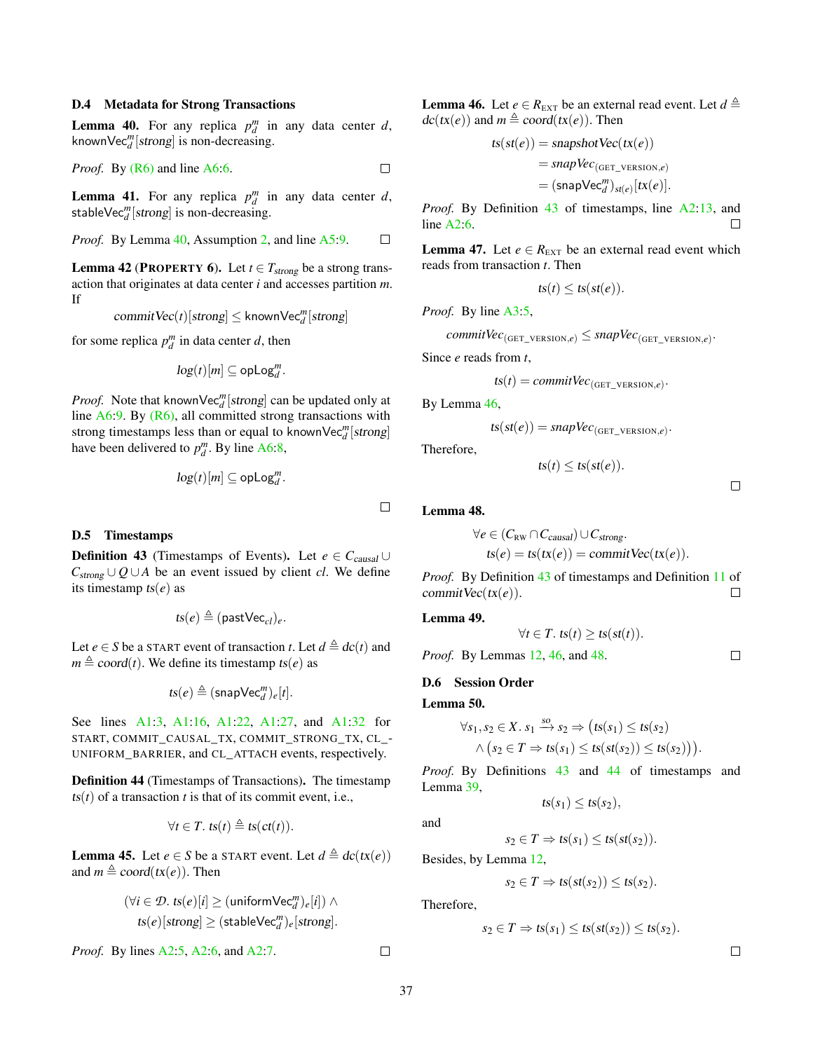#### D.4 Metadata for Strong Transactions

<span id="page-36-0"></span>**Lemma 40.** For any replica  $p_d^m$  in any data center *d*, known $\text{Vec}_{d}^{m}[\text{strong}]$  is non-decreasing.

*Proof.* By 
$$
(R6)
$$
 and line A6:6.

<span id="page-36-9"></span>**Lemma 41.** For any replica  $p_d^m$  in any data center *d*, stable $\text{Vec}_{d}^{m}[\textit{strong}]$  is non-decreasing.

*Proof.* By Lemma 40, Assumption 2, and line A5:9. 
$$
\Box
$$

<span id="page-36-7"></span>**Lemma 42 (PROPERTY 6).** Let  $t \in T_{strong}$  be a strong transaction that originates at data center *i* and accesses partition *m*. If

 $commitVec(t)[strong] \leq knownVec_d^m[strong]$ 

for some replica  $p_d^m$  in data center *d*, then

$$
\log(t)[m] \subseteq \text{opLog}_d^m.
$$

*Proof.* Note that known $\text{Vec}_{d}^{m}$  [strong] can be updated only at line  $A6:9$ . By  $(R6)$ , all committed strong transactions with strong timestamps less than or equal to knownVec<sup>*m*</sup>[strong] have been delivered to  $p_d^m$ . By line [A6:8,](#page-20-0)

$$
\log(t)[m] \subseteq \text{opLog}_d^m.
$$

#### D.5 Timestamps

<span id="page-36-1"></span>**Definition 43** (Timestamps of Events). Let  $e \in C_{causal} \cup$  $C_{strong} ∪ Q ∪ A$  be an event issued by client *cl*. We define its timestamp ts(*e*) as

$$
\mathit{ts}(e) \triangleq (\mathsf{pastVec}_{\mathit{cl}})_e.
$$

Let *e*  $\in$  *S* be a START event of transaction *t*. Let  $d \triangleq dc(t)$  and  $m \triangleq$  coord(*t*). We define its timestamp ts(*e*) as

$$
\mathit{ts}(e) \triangleq (\mathsf{snapVec}_d^m)_e[t].
$$

See lines [A1:3,](#page-5-0) [A1:16,](#page-5-0) [A1:22,](#page-5-0) [A1:27,](#page-5-0) and [A1:32](#page-5-0) for START, COMMIT\_CAUSAL\_TX, COMMIT\_STRONG\_TX, CL\_- UNIFORM\_BARRIER, and CL\_ATTACH events, respectively.

<span id="page-36-4"></span>Definition 44 (Timestamps of Transactions). The timestamp  $ts(t)$  of a transaction *t* is that of its commit event, i.e.,

$$
\forall t \in T. \; \text{ts}(t) \triangleq \text{ts}(\text{ct}(t)).
$$

<span id="page-36-10"></span>**Lemma 45.** Let *e*  $\in$  *S* be a START event. Let  $d \triangleq dc(tx(e))$ and  $m \triangleq$  coord(tx(*e*)). Then

$$
\begin{aligned} (\forall i \in \mathcal{D}.\;ts(e)[i] &\geq (\text{uniformVec}_{d}^{m})_{e}[i]) \land \\ &ts(e)[strong] &\geq (\text{stableVec}_{d}^{m})_{e}[\text{strong}]. \end{aligned}
$$

*Proof.* By lines [A2:5,](#page-6-0) [A2:6,](#page-6-0) and [A2:7.](#page-6-0)

<span id="page-36-2"></span>**Lemma 46.** Let  $e \in R_{\text{EXT}}$  be an external read event. Let  $d \triangleq$  $dc(tx(e))$  and  $m \triangleq coord(tx(e))$ . Then

$$
ts(st(e)) = snapshotVec(tx(e))
$$
  
=  $snapVec_{(GET\_version,e)}$   
=  $(snapVec_{d}^{m})_{st(e)}[tx(e)].$ 

*Proof.* By Definition [43](#page-36-1) of timestamps, line [A2:13,](#page-6-0) and line [A2:6.](#page-6-0)  $\Box$ 

<span id="page-36-8"></span>**Lemma 47.** Let  $e \in R_{\text{EXT}}$  be an external read event which reads from transaction *t*. Then

$$
ts(t) \leq ts(st(e)).
$$

*Proof.* By line [A3:5,](#page-8-0)

$$
commitVec_{(\text{GET\_VERSION}, e)} \leq \text{snapVec}_{(\text{GET\_versION}, e)}.
$$

Since *e* reads from *t*,

$$
ts(t) = commitVec_{(GET\_VERSION,e)}.
$$

By Lemma [46,](#page-36-2)

$$
ts(st(e)) = \text{snapVec}_{(\text{GET\_VERSION}, e)}.
$$

Therefore,

$$
ts(t) \leq ts(st(e)).
$$

 $\Box$ 

 $\Box$ 

### <span id="page-36-3"></span>Lemma 48.

 $\Box$ 

$$
\forall e \in (C_{\text{RW}} \cap C_{\text{causal}}) \cup C_{\text{strong}}.
$$
  

$$
ts(e) = ts(tx(e)) = \text{commitVec}(tx(e)).
$$

*Proof.* By Definition [43](#page-36-1) of timestamps and Definition [11](#page-28-2) of commitVec(tx(*e*)).  $\Box$ 

<span id="page-36-6"></span>Lemma 49.

$$
\forall t \in T. \; ts(t) \geq ts(st(t)).
$$

*Proof.* By Lemmas [12,](#page-28-6) [46,](#page-36-2) and [48.](#page-36-3)

D.6 Session Order

<span id="page-36-5"></span>Lemma 50.

$$
\forall s_1, s_2 \in X. \ s_1 \xrightarrow{s_0} s_2 \Rightarrow \big( ts(s_1) \leq ts(s_2) \land \big( s_2 \in T \Rightarrow ts(s_1) \leq ts(st(s_2)) \leq ts(s(2)) \big) \big).
$$

*Proof.* By Definitions [43](#page-36-1) and [44](#page-36-4) of timestamps and Lemma [39,](#page-35-6)

$$
ts(s_1) \leq ts(s_2),
$$

and

$$
s_2 \in T \Rightarrow ts(s_1) \leq ts(st(s_2)).
$$

Besides, by Lemma [12,](#page-28-6)

$$
s_2 \in T \Rightarrow ts(st(s_2)) \leq ts(s_2).
$$

Therefore,

$$
s_2 \in T \Rightarrow ts(s_1) \leq ts(st(s_2)) \leq ts(s_2).
$$

 $\Box$ 

 $\Box$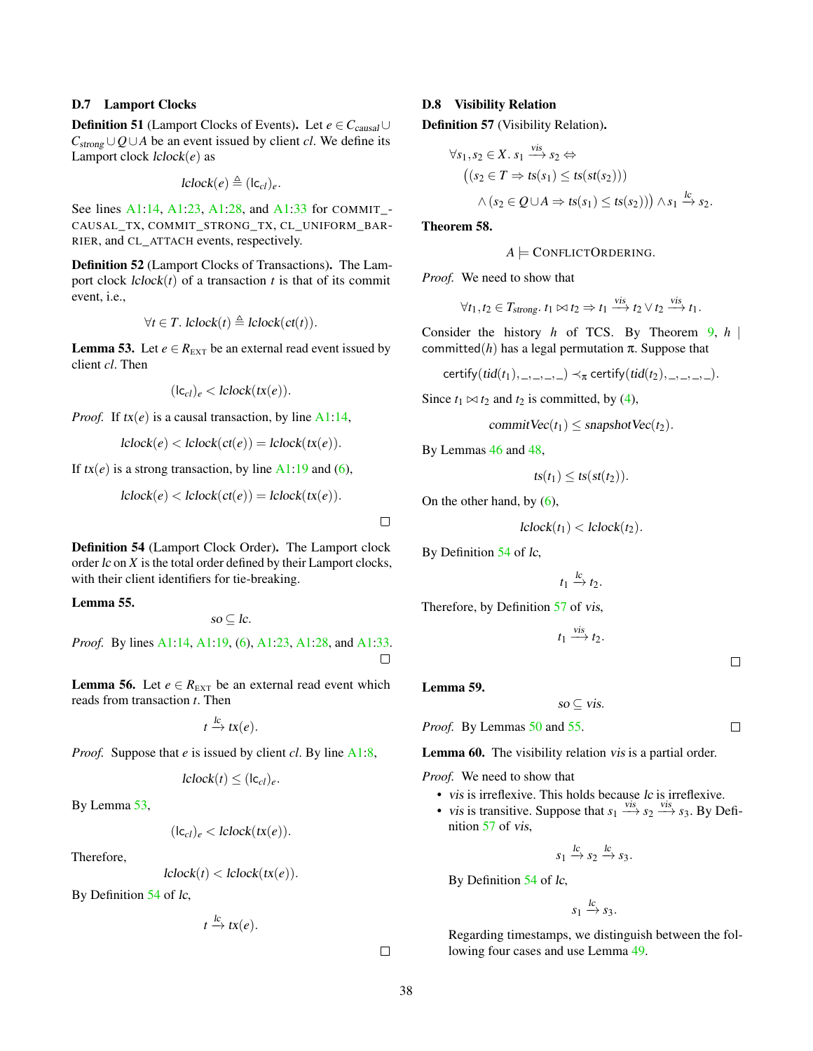## D.7 Lamport Clocks

**Definition 51** (Lamport Clocks of Events). Let  $e \in C_{causal} \cup C$  $C_{strong} \cup Q \cup A$  be an event issued by client *cl*. We define its Lamport clock lclock(*e*) as

$$
lclock(e) \triangleq (lc_{cl})_e.
$$

See lines [A1:14,](#page-5-0) [A1:23,](#page-5-0) [A1:28,](#page-5-0) and [A1:33](#page-5-0) for COMMIT\_- CAUSAL\_TX, COMMIT\_STRONG\_TX, CL\_UNIFORM\_BAR-RIER, and CL\_ATTACH events, respectively.

<span id="page-37-1"></span>Definition 52 (Lamport Clocks of Transactions). The Lamport clock  $lclock(t)$  of a transaction *t* is that of its commit event, i.e.,

$$
\forall t \in T. \text{ } lclock(t) \triangleq lclock(ct(t)).
$$

<span id="page-37-2"></span>**Lemma 53.** Let  $e \in R_{\text{EXT}}$  be an external read event issued by client *cl*. Then

$$
(\mathsf{lc}_\mathit{cl})_e < \mathit{lclock}(\mathit{tx}(e)).
$$

*Proof.* If  $tx(e)$  is a causal transaction, by line  $A1:14$ ,

$$
lclock(e) < lclock(ct(e)) = lclock(tx(e)).
$$

If  $tx(e)$  is a strong transaction, by line  $A1:19$  and [\(6\)](#page-27-1),

$$
lclock(e) < lclock(ct(e)) = lclock(tx(e)).
$$

<span id="page-37-0"></span>Definition 54 (Lamport Clock Order). The Lamport clock order lc on *X* is the total order defined by their Lamport clocks, with their client identifiers for tie-breaking.

<span id="page-37-4"></span>Lemma 55.

$$
so\subseteq lc.
$$

*Proof.* By lines [A1:14,](#page-5-0) [A1:19,](#page-5-0) [\(6\)](#page-27-1), [A1:23,](#page-5-0) [A1:28,](#page-5-0) and [A1:33.](#page-5-0)  $\Box$ 

<span id="page-37-8"></span>**Lemma 56.** Let  $e \in R_{\text{EXT}}$  be an external read event which reads from transaction *t*. Then

$$
t \xrightarrow{lc} tx(e).
$$

*Proof.* Suppose that *e* is issued by client *cl*. By line [A1:8,](#page-5-0)

$$
lclock(t) \leq (lc_{cl})_e.
$$

By Lemma [53,](#page-37-2)

$$
(\mathsf{lc}_{cl})_e < \mathsf{lclock}(\mathsf{tx}(e)).
$$

Therefore,

$$
lclock(t) < lclock(tx(e)).
$$

By Definition [54](#page-37-0) of lc,

$$
t \xrightarrow{lc} tx(e).
$$

 $\Box$ 

 $\Box$ 

## D.8 Visibility Relation

<span id="page-37-3"></span>Definition 57 (Visibility Relation).

$$
\forall s_1, s_2 \in X. \ s_1 \xrightarrow{vis} s_2 \Leftrightarrow
$$
  
\n
$$
((s_2 \in T \Rightarrow ts(s_1) \le ts(st(s_2)))
$$
  
\n
$$
\wedge (s_2 \in Q \cup A \Rightarrow ts(s_1) \le ts(s_2))) \wedge s_1 \xrightarrow{lc} s_2.
$$

<span id="page-37-7"></span>Theorem 58.

$$
A \models
$$
ConflictOrdering.

*Proof.* We need to show that

$$
\forall t_1, t_2 \in T_{strong}. \ t_1 \bowtie t_2 \Rightarrow t_1 \xrightarrow{vis} t_2 \lor t_2 \xrightarrow{vis} t_1.
$$

vis

vis

Consider the history *h* of TCS. By Theorem [9,](#page-28-7) *h* | committed( $h$ ) has a legal permutation  $\pi$ . Suppose that

$$
certify(tid(t_1), \_,\_,\_,\_) \prec_{\pi} certify(tid(t_2), \_,\_,\_,\_)
$$

Since  $t_1 \bowtie t_2$  and  $t_2$  is committed, by [\(4\)](#page-27-0),

$$
commitVec(t_1) \leq snapshotVec(t_2).
$$

By Lemmas [46](#page-36-2) and [48,](#page-36-3)

$$
ts(t_1) \leq ts(st(t_2)).
$$

On the other hand, by  $(6)$ ,

$$
lclock(t_1) < lclock(t_2).
$$

By Definition [54](#page-37-0) of lc,

$$
t_1 \xrightarrow{lc} t_2.
$$

Therefore, by Definition [57](#page-37-3) of vis,

 $t_1 \stackrel{\text{vis}}{\longrightarrow} t_2.$ 

vis.

 $\Box$ 

 $\Box$ 

<span id="page-37-5"></span>Lemma 59.

$$
so \subseteq
$$

*Proof.* By Lemmas [50](#page-36-5) and [55.](#page-37-4)

<span id="page-37-6"></span>Lemma 60. The visibility relation vis is a partial order.

*Proof.* We need to show that

- vis is irreflexive. This holds because lc is irreflexive.
- vis is transitive. Suppose that  $s_1 \xrightarrow{vis} s_2 \xrightarrow{vis} s_3$ . By Definition [57](#page-37-3) of vis,

$$
s_1 \xrightarrow{lc} s_2 \xrightarrow{lc} s_3.
$$

By Definition [54](#page-37-0) of lc,

$$
s_1 \xrightarrow{lc} s_3.
$$

Regarding timestamps, we distinguish between the following four cases and use Lemma [49.](#page-36-6)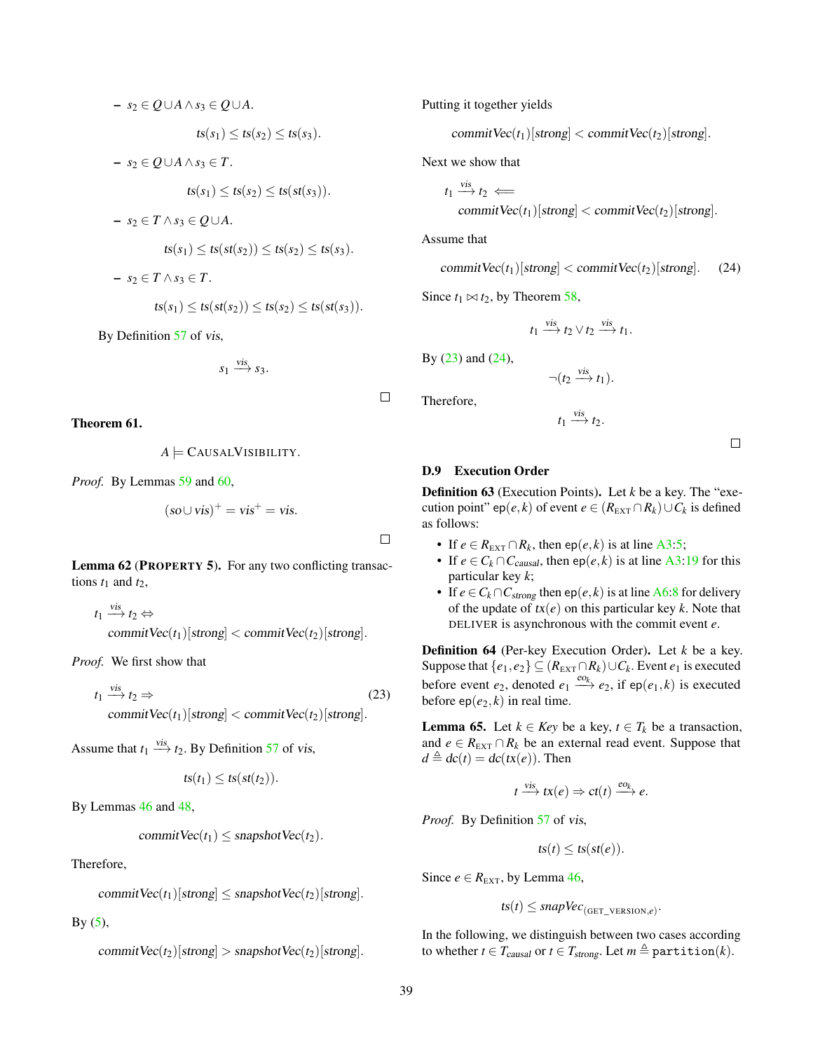$$
- s_2 \in Q \cup A \land s_3 \in Q \cup A.
$$
  
\n
$$
ts(s_1) \le ts(s_2) \le ts(s_3).
$$
  
\n
$$
- s_2 \in Q \cup A \land s_3 \in T.
$$
  
\n
$$
ts(s_1) \le ts(s_2) \le ts(st(s_3)).
$$
  
\n
$$
- s_2 \in T \land s_3 \in Q \cup A.
$$
  
\n
$$
ts(s_1) \le ts(st(s_2)) \le ts(s_2) \le ts(s_3).
$$
  
\n
$$
- s_2 \in T \land s_3 \in T.
$$
  
\n
$$
ts(s_1) \le ts(st(s_2)) \le ts(s_2) \le ts(st(s_3)).
$$
  
\nBy Definition 57 of *vis*,

$$
s_1 \xrightarrow{vis} s_3.
$$

<span id="page-38-4"></span>Theorem 61.

$$
A \models CANSALVISIBILITY.
$$

*Proof.* By Lemmas [59](#page-37-5) and [60,](#page-37-6)

$$
(so \cup vis)^+ = vis^+ = vis.
$$

Lemma 62 (PROPERTY 5). For any two conflicting transactions  $t_1$  and  $t_2$ ,

$$
t_1 \xrightarrow{vis} t_2 \Leftrightarrow
$$
  
commitVec(t\_1)[strong] < commitVec(t\_2)[strong].

*Proof.* We first show that

$$
t_1 \xrightarrow{\text{vis}} t_2 \Rightarrow (23)
$$
\ncommitVec $(t_1)$ [strong] < commitVec $(t_2)$ [strong].

Assume that 
$$
t_1 \xrightarrow{vis} t_2
$$
. By Definition 57 of vis,

$$
ts(t_1) \leq ts(st(t_2)).
$$

By Lemmas [46](#page-36-2) and [48,](#page-36-3)

$$
commitVec(t_1) \leq snapshotVec(t_2).
$$

Therefore,

commit  $Vec(t_1)[strong] \leq snapshotVec(t_2)[strong]$ .

By  $(5)$ ,

$$
commitVec(t_2)[strong] > snapshotVec(t_2)[strong].
$$

Putting it together yields

commit  $Vec(t_1)[strong] < commitVec(t_2)[strong]$ .

Next we show that

$$
t_1 \xrightarrow{\text{vis}} t_2 \Longleftarrow
$$
  
commitVec(t\_1)[strong] < commitVec(t\_2)[strong].

Assume that

$$
commitVec(t_1)[strong] < commitVec(t_2)[strong]. \quad (24)
$$

Since  $t_1 \Join t_2$ , by Theorem [58,](#page-37-7)

$$
t_1 \xrightarrow{vis} t_2 \vee t_2 \xrightarrow{vis} t_1.
$$

By [\(23\)](#page-38-0) and [\(24\)](#page-38-1),

Therefore,

 $\Box$ 

 $\Box$ 

$$
\neg(t_2 \xrightarrow{vis} t_1).
$$

$$
t_1 \xrightarrow{vis} t_2.
$$

<span id="page-38-1"></span> $\Box$ 

## D.9 Execution Order

Definition 63 (Execution Points). Let *k* be a key. The "execution point" ep(*e*, *k*) of event  $e \in (R_{\text{EXT}} \cap R_k) \cup C_k$  is defined as follows:

- If  $e \in R_{\text{EXT}} \cap R_k$ , then ep(*e*, *k*) is at line [A3:5;](#page-8-0)
- If  $e \in C_k \cap C_{causal}$ , then ep $(e, k)$  is at line [A3:19](#page-8-0) for this particular key *k*;
- If  $e \in C_k \cap C_{strong}$  then ep( $e, k$ ) is at line [A6:8](#page-20-0) for delivery of the update of  $tx(e)$  on this particular key  $k$ . Note that DELIVER is asynchronous with the commit event *e*.

<span id="page-38-2"></span><span id="page-38-0"></span>Definition 64 (Per-key Execution Order). Let *k* be a key. Suppose that  $\{e_1, e_2\} \subseteq (R_{\text{EXT}} \cap R_k) \cup C_k$ . Event  $e_1$  is executed before event  $e_2$ , denoted  $e_1 \xrightarrow{e_0} e_2$ , if ep( $e_1, k$ ) is executed before  $ep(e_2, k)$  in real time.

<span id="page-38-3"></span>**Lemma 65.** Let  $k \in Key$  be a key,  $t \in T_k$  be a transaction, and  $e \in R_{\text{EXT}} \cap R_k$  be an external read event. Suppose that  $d \triangleq dc(t) = dc(tx(e)).$  Then

$$
t \xrightarrow{vis} tx(e) \Rightarrow ct(t) \xrightarrow{eo_k} e.
$$

*Proof.* By Definition [57](#page-37-3) of vis,

$$
ts(t) \leq ts(st(e)).
$$

Since  $e \in R_{\text{EXT}}$ , by Lemma [46,](#page-36-2)

 $ts(t) \leq$  snapVec<sub>(GET\_VERSION,e)</sub>.

In the following, we distinguish between two cases according to whether  $t \in T_{causal}$  or  $t \in T_{strong}$ . Let  $m \triangleq$  partition(*k*).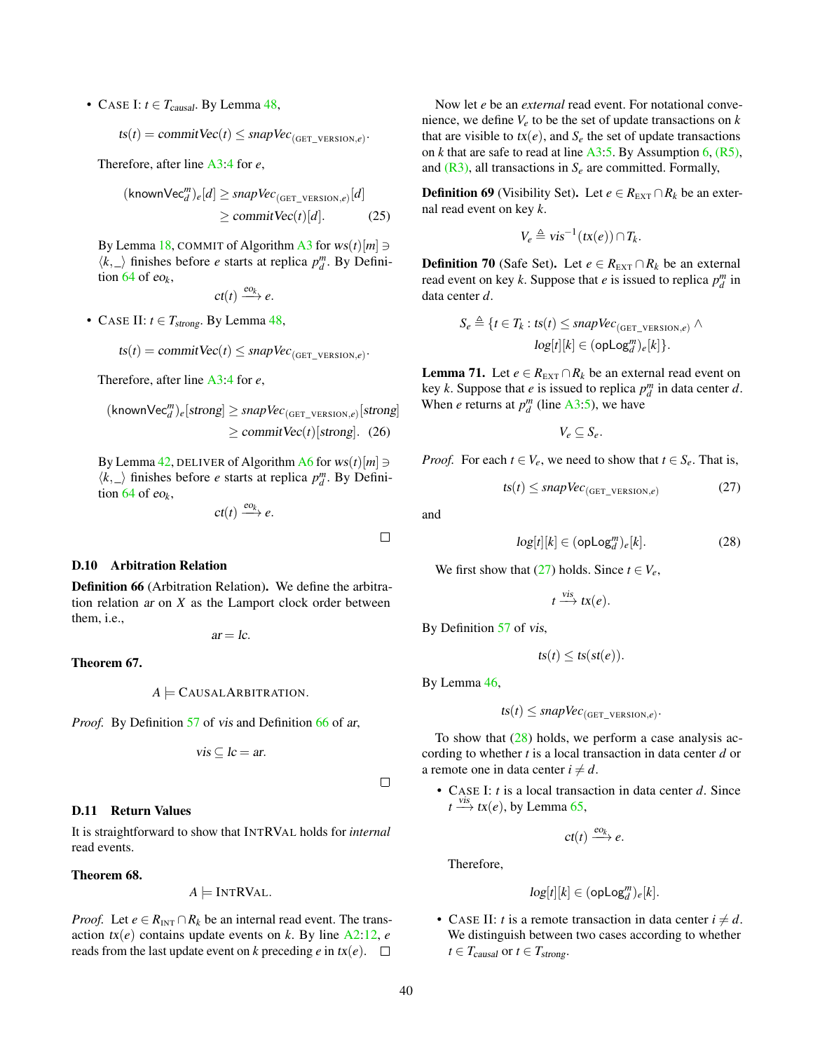• CASE I:  $t \in T_{causal}$ . By Lemma [48,](#page-36-3)

 $\text{ts}(t) = \text{commitVec}(t) \leq \text{snapVec}_{(\text{GET\_VERSION},e)}$ .

Therefore, after line [A3:4](#page-8-0) for *e*,

$$
(\text{knownVec}_{d}^{m})_{e}[d] \ge \text{snapVec}_{(\text{GET\_version}, e)}[d]
$$
  
\n
$$
\ge \text{commitVec}(t)[d]. \tag{25}
$$

By Lemma [18,](#page-30-3) COMMIT of Algorithm [A3](#page-8-0) for  $ws(t)[m] \ni$  $\langle k, \_\rangle$  finishes before *e* starts at replica  $p_d^m$ . By Definition [64](#page-38-2) of eo*k*,

$$
ct(t) \xrightarrow{eo_k} e.
$$

• CASE II:  $t \in T_{strong}$ . By Lemma [48,](#page-36-3)

$$
ts(t) = commitVec(t) \leq snapVec_{(GET\_VERSION,e)}.
$$

Therefore, after line [A3:4](#page-8-0) for *e*,

$$
(\text{knownVec}_{d}^{m})_{e}[\text{strong}] \ge \text{snapVec}_{(\text{GET\_version}, e)}[\text{strong}]
$$

$$
\ge \text{commitVec}(t)[\text{strong}]. \quad (26)
$$

By Lemma [42,](#page-36-7) DELIVER of Algorithm [A6](#page-20-0) for  $ws(t)[m] \ni$  $\langle k, \_\rangle$  finishes before *e* starts at replica  $p_d^m$ . By Definition  $64$  of eo<sub>k</sub>,

$$
ct(t) \xrightarrow{eo_k} e.
$$

#### D.10 Arbitration Relation

<span id="page-39-0"></span>Definition 66 (Arbitration Relation). We define the arbitration relation ar on *X* as the Lamport clock order between them, i.e.,

 $ar = lc$ .

#### <span id="page-39-6"></span>Theorem 67.

$$
A \models
$$
 CAUSALARBITRATION.

*Proof.* By Definition [57](#page-37-3) of vis and Definition [66](#page-39-0) of ar,

$$
vis \subseteq lc = ar.
$$

### D.11 Return Values

It is straightforward to show that INTRVAL holds for *internal* read events.

### <span id="page-39-5"></span>Theorem 68.

 $A \models \text{INTRVAL}.$ 

*Proof.* Let  $e \in R_{\text{INT}} \cap R_k$  be an internal read event. The transaction  $tx(e)$  contains update events on  $k$ . By line  $A2:12$ ,  $e$ reads from the last update event on *k* preceding *e* in  $tx(e)$ .  $\Box$ 

Now let *e* be an *external* read event. For notational convenience, we define  $V_e$  to be the set of update transactions on  $k$ that are visible to  $tx(e)$ , and  $S_e$  the set of update transactions on *k* that are safe to read at line  $A3:5$ . By Assumption [6,](#page-28-8)  $(R5)$ , and  $(R3)$ , all transactions in  $S_e$  are committed. Formally,

<span id="page-39-3"></span>**Definition 69** (Visibility Set). Let  $e \in R_{\text{EXT}} \cap R_k$  be an external read event on key *k*.

$$
V_e \triangleq vis^{-1}(tx(e)) \cap T_k.
$$

**Definition 70** (Safe Set). Let  $e \in R_{\text{EXT}} \cap R_k$  be an external read event on key *k*. Suppose that *e* is issued to replica  $p_d^m$  in data center *d*.

$$
S_e \triangleq \{t \in T_k : ts(t) \leq \text{snapVec}_{(\text{GET\_VENSON}, e)} \land \text{log}[t][k] \in (\text{opLog}_d^m)_e[k]\}.
$$

<span id="page-39-4"></span>**Lemma 71.** Let  $e \in R_{\text{EXT}} \cap R_k$  be an external read event on key *k*. Suppose that *e* is issued to replica  $p_d^m$  in data center *d*. When *e* returns at  $p_d^m$  (line [A3:5\)](#page-8-0), we have

<span id="page-39-1"></span>
$$
V_e \subseteq S_e.
$$

*Proof.* For each  $t \in V_e$ , we need to show that  $t \in S_e$ . That is,

$$
ts(t) \leq \text{snapVec}_{\text{(GET\_VERSION}, e)} \tag{27}
$$

and

 $\Box$ 

 $\Box$ 

$$
log[t][k] \in (\text{opLog}_d^m)_e[k]. \tag{28}
$$

We first show that [\(27\)](#page-39-1) holds. Since  $t \in V_e$ ,

<span id="page-39-2"></span>
$$
t \xrightarrow{vis} tx(e).
$$

By Definition [57](#page-37-3) of vis,

 $ts(t) \leq ts(st(e)).$ 

By Lemma [46,](#page-36-2)

 $ts(t) \leq$  snapVec<sub>(GET\_VERSION,e)</sub>.

To show that  $(28)$  holds, we perform a case analysis according to whether *t* is a local transaction in data center *d* or a remote one in data center  $i \neq d$ .

• CASE I: *t* is a local transaction in data center *d*. Since  $t \stackrel{vis}{\longrightarrow} tx(e)$ , by Lemma [65,](#page-38-3)

$$
ct(t) \xrightarrow{eo_k} e.
$$

Therefore,

$$
log[t][k] \in (\texttt{opLog}_d^m)_e[k].
$$

• CASE II: *t* is a remote transaction in data center  $i \neq d$ . We distinguish between two cases according to whether  $t \in T_{causal}$  or  $t \in T_{strong}.$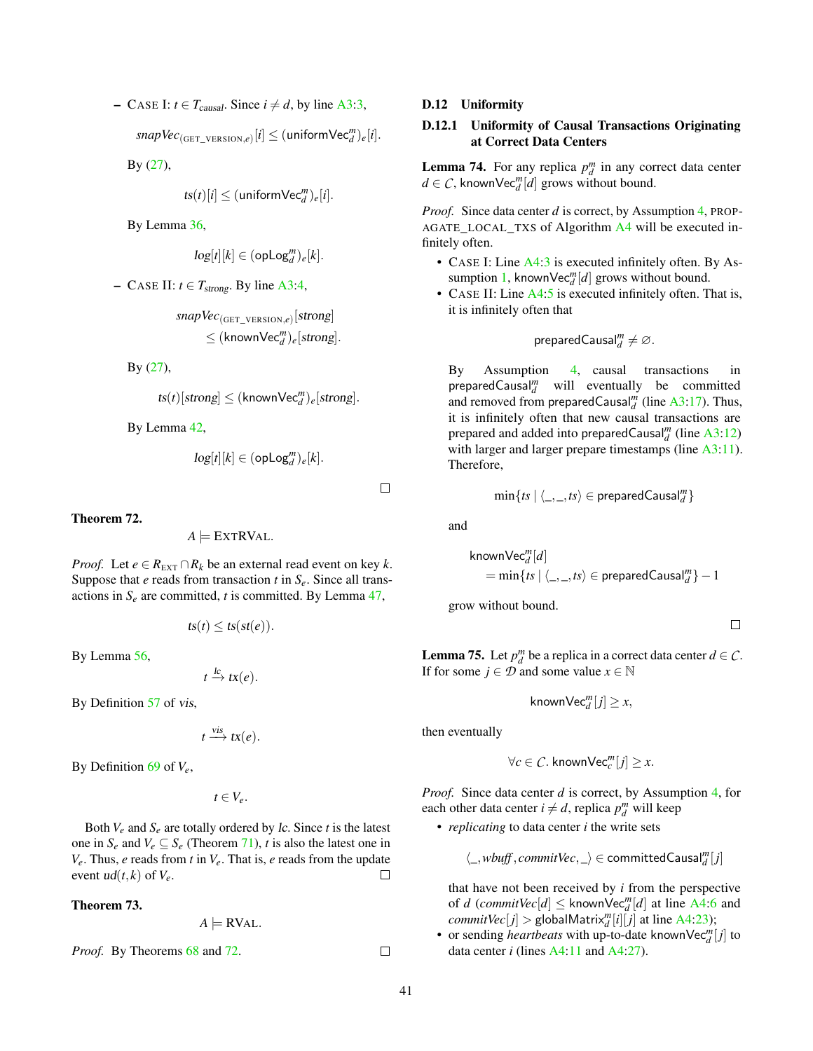− CASE I: *t* ∈ *T*<sub>causal</sub>. Since *i*  $\neq$  *d*, by line [A3:3,](#page-8-0)

 $\textit{snapVec}_{(\texttt{GET\_\text{version},e)}[i] \leq (\texttt{uniformVec}_{d}^{m})_{e}[i].$ </mark>

By [\(27\)](#page-39-1),

$$
ts(t)[i] \leq (\text{uniformVec}_{d}^{m})_{e}[i].
$$

By Lemma [36,](#page-35-7)

$$
log[t][k] \in (\text{opLog}_d^m)_e[k].
$$

 $-$  CASE II:  $t \in T_{strong}$ . By line [A3:4,](#page-8-0)

*snapVec*(GET\_VERSION,*e*) [strong]  $\leq$   $(k \text{nownVec}_{d}^{m})_{e}$ [*strong*].

By [\(27\)](#page-39-1),

$$
ts(t)[strong] \leq (\text{knownVec}_d^m)_e[\text{strong}].
$$

By Lemma [42,](#page-36-7)

$$
log[t][k] \in (\texttt{opLog}^m_d)_e[k].
$$

 $\Box$ 

<span id="page-40-0"></span>Theorem 72.

$$
A \models \text{EXTRVAL}.
$$

*Proof.* Let  $e \in R_{\text{EXT}} \cap R_k$  be an external read event on key  $k$ . Suppose that *e* reads from transaction *t* in *Se*. Since all transactions in  $S_e$  are committed, *t* is committed. By Lemma  $47$ ,

$$
ts(t) \leq ts(st(e)).
$$

By Lemma [56,](#page-37-8)

$$
t \xrightarrow{lc} tx(e).
$$

By Definition [57](#page-37-3) of vis,

$$
t \xrightarrow{vis} tx(e).
$$

By Definition [69](#page-39-3) of *Ve*,

 $t \in V_e$ .

Both  $V_e$  and  $S_e$  are totally ordered by *lc*. Since *t* is the latest one in  $S_e$  and  $V_e \subseteq S_e$  (Theorem [71\)](#page-39-4), *t* is also the latest one in *Ve*. Thus, *e* reads from *t* in *Ve*. That is, *e* reads from the update event  $ud(t, k)$  of  $V_e$ .  $\Box$ 

# <span id="page-40-3"></span>Theorem 73.

$$
A \models \text{RVAL}.
$$

*Proof.* By Theorems [68](#page-39-5) and [72.](#page-40-0)

#### D.12 Uniformity

# D.12.1 Uniformity of Causal Transactions Originating at Correct Data Centers

<span id="page-40-1"></span>**Lemma 74.** For any replica  $p_d^m$  in any correct data center  $d \in \mathcal{C}$ , known  $\text{Vec}_{d}^{m}[d]$  grows without bound.

*Proof.* Since data center *d* is correct, by Assumption [4,](#page-28-9) PROP-AGATE\_LOCAL\_TXS of Algorithm [A4](#page-19-0) will be executed infinitely often.

- CASE I: Line [A4:3](#page-19-0) is executed infinitely often. By As-sumption [1,](#page-28-4) known $\text{Vec}_{d}^{m}[d]$  grows without bound.
- CASE II: Line [A4:5](#page-19-0) is executed infinitely often. That is, it is infinitely often that

$$
\mathsf{preparedCausal}_{d}^{m} \neq \varnothing.
$$

By Assumption [4,](#page-28-9) causal transactions in preparedCausal*<sup>m</sup> <sup>d</sup>* will eventually be committed and removed from preparedCausal $^m_d$  (line [A3:17\)](#page-8-0). Thus, it is infinitely often that new causal transactions are prepared and added into preparedCausal<sup>m</sup><sub>d</sub> (line [A3:12\)](#page-8-0) with larger and larger prepare timestamps (line [A3:11\)](#page-8-0). Therefore,

$$
\min\{ts \mid \langle \_, \_ ,ts \rangle \in \mathsf{preparedCausal}_d^m\}
$$

and

$$
\mathsf{knownVec}_{d}^{m}[d]
$$
\n
$$
= \min\{ts \mid \langle \_, \_, ts \rangle \in \mathsf{preparedCausal}_{d}^{m}\} - 1
$$

grow without bound.

 $\Box$ 

<span id="page-40-2"></span>**Lemma 75.** Let  $p_d^m$  be a replica in a correct data center  $d \in \mathcal{C}$ . If for some *j*  $\in \mathcal{D}$  and some value *x*  $\in \mathbb{N}$ 

 $\mathsf{knownVec}_{d}^{m}[j] \geq x,$ 

then eventually

$$
\forall c \in \mathcal{C}.\; \mathsf{knownVec}_c^m[j] \geq x.
$$

*Proof.* Since data center *d* is correct, by Assumption [4,](#page-28-9) for each other data center  $i \neq d$ , replica  $p_d^m$  will keep

• *replicating* to data center *i* the write sets

 $\langle \_, \mathit{wbuff}, \mathit{commitVec}, \_ \rangle \in \mathsf{committedCausal}^m_d[j]$ 

that have not been received by *i* from the perspective of *d* (*commitVec*[*d*]  $\leq$  knownVec<sup>*m*</sup>[*d*] at line [A4:6](#page-19-0) and  $commitVec[j] >$  globalMatrix $^m_d[i][j]$  at line [A4:23\)](#page-19-0);

• or sending *heartbeats* with up-to-date known $\text{Vec}_{d}^{m}[j]$  to data center *i* (lines [A4:11](#page-19-0) and [A4:27\)](#page-19-0).

 $\Box$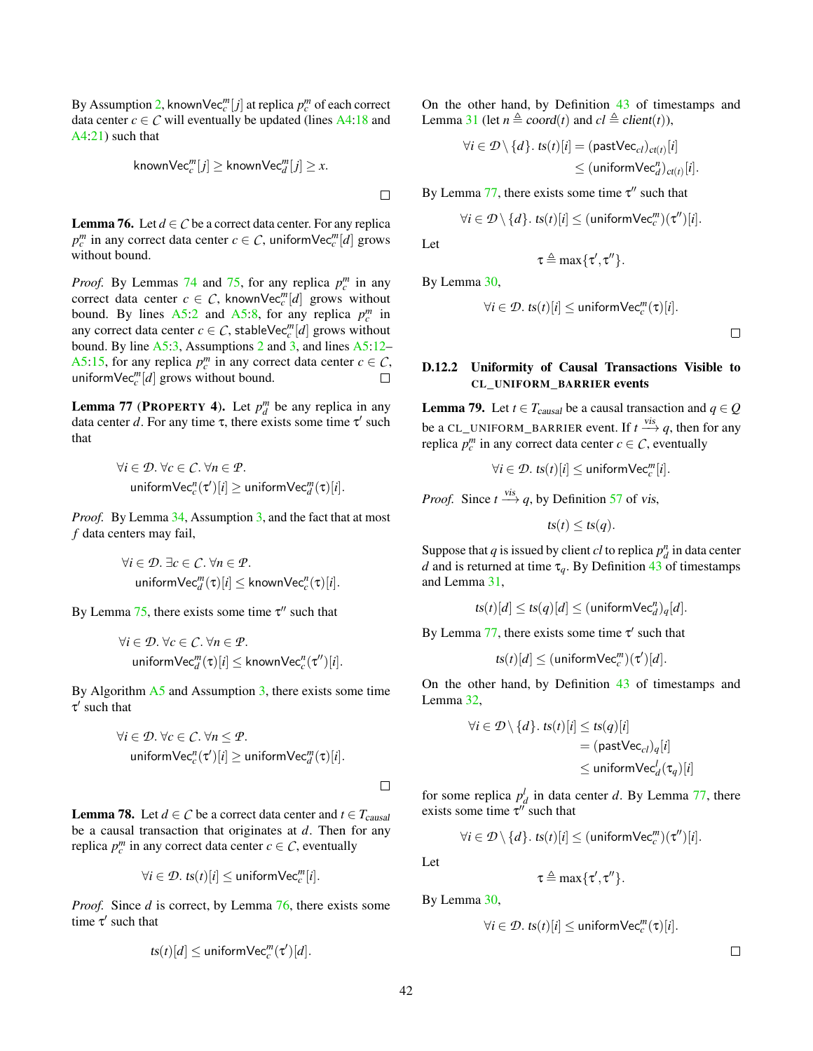By Assumption [2,](#page-28-5) knownVec<sup>*m*</sup> [*j*] at replica  $p_c^m$  of each correct data center  $c \in \mathcal{C}$  will eventually be updated (lines [A4:18](#page-19-0) and [A4:21\)](#page-19-0) such that

$$
\mathsf{knownVec}_c^m[j]\ge \mathsf{knownVec}_d^m[j]\ge x.
$$

 $\Box$ 

<span id="page-41-0"></span>**Lemma 76.** Let  $d \in C$  be a correct data center. For any replica  $p_c^m$  in any correct data center  $c \in \mathcal{C}$ , uniformVec $_c^m[d]$  grows without bound.

*Proof.* By Lemmas [74](#page-40-1) and [75,](#page-40-2) for any replica  $p_c^m$  in any correct data center  $c \in C$ , knownVec<sup>*m*</sup>[*d*] grows without bound. By lines  $A5:2$  and  $A5:8$ , for any replica  $p_c^m$  in any correct data center  $c \in \mathcal{C}$ , stableVec<sup>*m*</sup> [*d*] grows without bound. By line [A5:3,](#page-20-1) Assumptions [2](#page-28-5) and [3,](#page-28-10) and lines [A5:12–](#page-20-1) [A5:15,](#page-20-1) for any replica  $p_c^m$  in any correct data center  $c \in \mathcal{C}$ , uniform $\text{Vec}_c^m[d]$  grows without bound.  $\Box$ 

<span id="page-41-1"></span>**Lemma 77 (PROPERTY 4).** Let  $p_d^m$  be any replica in any data center d. For any time  $\tau$ , there exists some time  $\tau'$  such that

$$
\forall i \in \mathcal{D}. \ \forall c \in \mathcal{C}. \ \forall n \in \mathcal{P}.
$$
  
uniformVec<sub>c</sub><sup>n</sup>( $\tau'$ )[ $i$ ]  $\geq$  uniformVec<sub>d</sub><sup>m</sup>( $\tau$ )[ $i$ ].

*Proof.* By Lemma [34,](#page-34-7) Assumption [3,](#page-28-10) and the fact that at most *f* data centers may fail,

$$
\forall i \in \mathcal{D}. \exists c \in \mathcal{C}. \forall n \in \mathcal{P}.
$$
  
uniformVec<sub>a</sub><sup>m</sup>( $\tau$ )[*i*]  $\leq$  knownVec<sub>c</sub><sup>n</sup>( $\tau$ )[*i*].

By Lemma [75,](#page-40-2) there exists some time  $\tau''$  such that

$$
\forall i \in \mathcal{D}. \ \forall c \in \mathcal{C}. \ \forall n \in \mathcal{P}.
$$
  
uniformVec<sub>d</sub><sup>m</sup>(\tau)[i] \le knownVec<sub>c</sub><sup>n</sup>(\tau')[i].

By Algorithm  $\overline{A5}$  $\overline{A5}$  $\overline{A5}$  and Assumption [3,](#page-28-10) there exists some time  $\tau'$  such that

$$
\forall i \in \mathcal{D}. \ \forall c \in \mathcal{C}. \ \forall n \leq \mathcal{P}.
$$
  
uniformVec<sub>c</sub><sup>n</sup>( $\tau'$ )[ $i$ ]  $\geq$  uniformVec<sub>d</sub><sup>m</sup>( $\tau$ )[ $i$ ].

<span id="page-41-2"></span>**Lemma 78.** Let  $d \in C$  be a correct data center and  $t \in T_{causal}$ be a causal transaction that originates at *d*. Then for any replica  $p_c^m$  in any correct data center  $c \in \mathcal{C}$ , eventually

$$
\forall i \in \mathcal{D}. \; \text{ts}(t)[i] \leq \text{uniformVec}_c^m[i].
$$

*Proof.* Since *d* is correct, by Lemma [76,](#page-41-0) there exists some time  $\tau'$  such that

$$
ts(t)[d] \leq \text{uniformVec}_c^m(\tau')[d].
$$

On the other hand, by Definition [43](#page-36-1) of timestamps and Lemma [31](#page-33-2) (let  $n \triangleq$  coord(*t*) and  $cl \triangleq$  client(*t*)),

$$
\forall i \in \mathcal{D} \setminus \{d\}. \text{ ts}(t)[i] = (\text{pastVec}_{cl})_{ct(t)}[i]
$$
  

$$
\leq (\text{uniformVec}_{d}^{n})_{ct(t)}[i].
$$

By Lemma [77,](#page-41-1) there exists some time  $\tau''$  such that

$$
\forall i \in \mathcal{D} \setminus \{d\}.\; \mathit{ts}(t)[i] \leq (\mathsf{uniformVec}_c^m)(\tau'')[i].
$$

 $\tau \triangleq \max\{\tau', \tau''\}.$ 

Let

By Lemma [30,](#page-33-1)

$$
\forall i \in \mathcal{D}. \; \mathit{ts}(t)[i] \leq \mathsf{uniformVec}_c^m(\tau)[i].
$$

 $\Box$ 

# D.12.2 Uniformity of Causal Transactions Visible to CL\_UNIFORM\_BARRIER events

<span id="page-41-3"></span>**Lemma 79.** Let  $t \in T_{causal}$  be a causal transaction and  $q \in Q$ be a CL\_UNIFORM\_BARRIER event. If  $t \stackrel{vis}{\longrightarrow} q$ , then for any replica  $p_c^m$  in any correct data center  $c \in \mathcal{C}$ , eventually

$$
\forall i \in \mathcal{D}. \; \text{ts}(t)[i] \leq \text{uniformVec}_c^m[i].
$$

*Proof.* Since  $t \xrightarrow{vis} q$ , by Definition [57](#page-37-3) of vis,

 $ts(t) \leq ts(q)$ .

Suppose that *q* is issued by client *cl* to replica  $p_d^n$  in data center *d* and is returned at time  $\tau_q$ . By Definition [43](#page-36-1) of timestamps and Lemma [31,](#page-33-2)

$$
ts(t)[d] \leq ts(q)[d] \leq (\text{uniformVec}_{d}^{n})_{q}[d].
$$

By Lemma [77,](#page-41-1) there exists some time  $\tau'$  such that

$$
ts(t)[d] \leq (\text{uniformVec}_c^m)(\tau')[d].
$$

On the other hand, by Definition [43](#page-36-1) of timestamps and Lemma [32,](#page-34-3)

$$
\forall i \in \mathcal{D} \setminus \{d\}. \text{ ts}(t)[i] \leq \text{ts}(q)[i]
$$

$$
= (\text{pastVec}_{cl})_q[i]
$$

$$
\leq \text{uniformVec}_d^l(\tau_q)[i]
$$

for some replica  $p_d^l$  in data center *d*. By Lemma [77,](#page-41-1) there exists some time  $\tau''$  such that

$$
\forall i \in \mathcal{D} \setminus \{d\}.\; \mathit{ts}(t)[i] \leq (\mathsf{uniformVec}_c^m)(\tau'')[i].
$$

Let

 $\Box$ 

 $\tau \triangleq \max\{\tau', \tau''\}.$ 

By Lemma [30,](#page-33-1)

$$
\forall i \in \mathcal{D}. \; \mathit{ts}(t)[i] \leq \mathsf{uniformVec}_c^m(\tau)[i].
$$

 $\Box$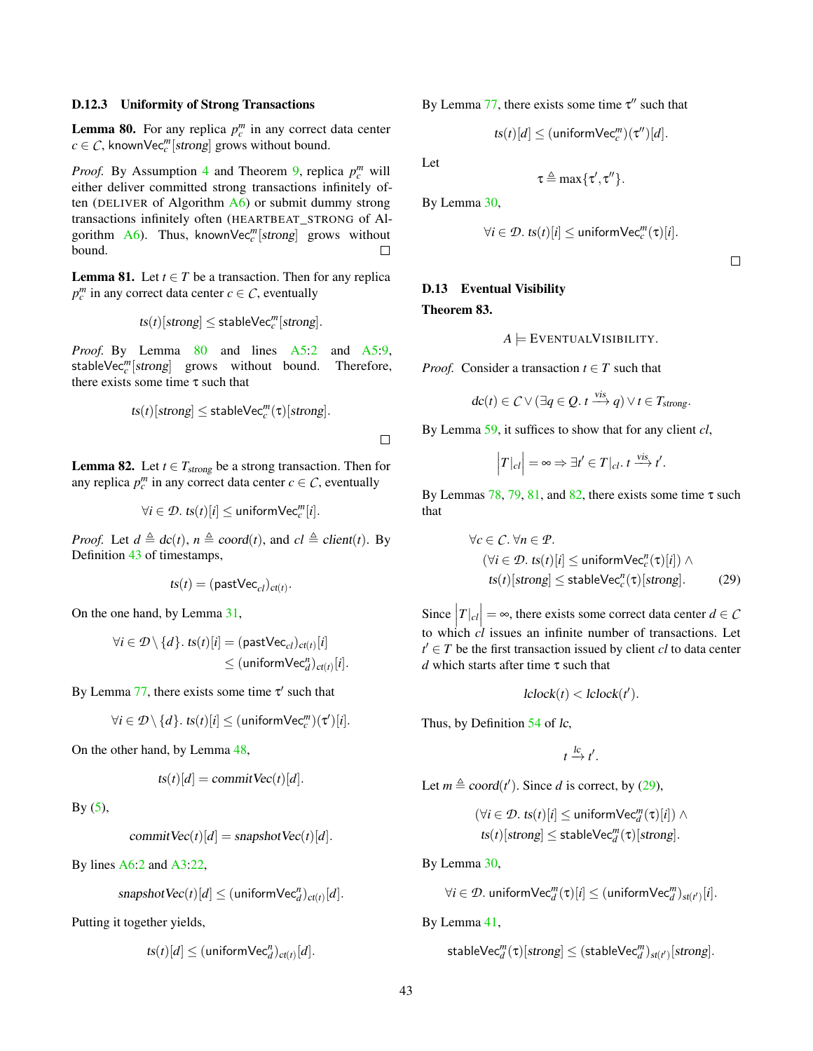#### D.12.3 Uniformity of Strong Transactions

<span id="page-42-0"></span>**Lemma 80.** For any replica  $p_c^m$  in any correct data center  $c \in \mathcal{C}$ , knownVec<sup>*m*</sup>[strong] grows without bound.

*Proof.* By Assumption [4](#page-28-9) and Theorem [9,](#page-28-7) replica  $p_c^m$  will either deliver committed strong transactions infinitely often (DELIVER of Algorithm  $A_6$ ) or submit dummy strong transactions infinitely often (HEARTBEAT\_STRONG of Algorithm  $\overline{A6}$ ). Thus, known $\overline{Vec}_c^m[strong]$  grows without bound.  $\Box$ 

<span id="page-42-1"></span>**Lemma 81.** Let  $t \in T$  be a transaction. Then for any replica  $p_c^m$  in any correct data center *c*  $\in$  *C*, eventually

$$
ts(t)[strong] \leq stableVec_c^m[strong].
$$

*Proof.* By Lemma [80](#page-42-0) and lines [A5:2](#page-20-1) and [A5:9,](#page-20-1) stableVec<sup>*m*</sup>[strong] grows without bound. Therefore, there exists some time  $\tau$  such that

$$
ts(t)[strong] \leq stableVec_c^m(\tau)[strong].
$$

<span id="page-42-2"></span>**Lemma 82.** Let  $t \in T_{strong}$  be a strong transaction. Then for any replica  $p_c^m$  in any correct data center  $c \in \mathcal{C}$ , eventually

$$
\forall i \in \mathcal{D}. \; \text{ts}(t)[i] \leq \text{uniformVec}_c^m[i].
$$

*Proof.* Let  $d \triangleq dc(t)$ ,  $n \triangleq coord(t)$ , and  $cl \triangleq client(t)$ . By Definition [43](#page-36-1) of timestamps,

$$
ts(t) = (\text{pastVec}_{cl})_{ct(t)}.
$$

On the one hand, by Lemma [31,](#page-33-2)

$$
\forall i \in \mathcal{D} \setminus \{d\}. \text{ ts}(t)[i] = (\text{pastVec}_{cl})_{ct(t)}[i]
$$
  

$$
\leq (\text{uniformVec}_{d}^{n})_{ct(t)}[i].
$$

By Lemma [77,](#page-41-1) there exists some time  $\tau'$  such that

$$
\forall i \in \mathcal{D}\setminus \{d\}.\,\, \text{ts}(t)[i] \leq (\text{uniformVec}^m_c)(\tau')[i].
$$

On the other hand, by Lemma [48,](#page-36-3)

$$
ts(t)[d] = commitVec(t)[d].
$$

By  $(5)$ ,

commit  $\text{Vec}(t)[d] =$  snapshot  $\text{Vec}(t)[d]$ .

By lines [A6:2](#page-20-0) and [A3:22,](#page-8-0)

$$
snapshotVec(t)[d] \leq (\text{uniformVec}_{d}^{n})_{ct(t)}[d].
$$

Putting it together yields,

$$
ts(t)[d] \leq (\text{uniformVec}_{d}^{n})_{ct(t)}[d].
$$

By Lemma [77,](#page-41-1) there exists some time  $\tau''$  such that

$$
ts(t)[d] \leq (\text{uniformVec}_c^m)(\tau'')[d].
$$

Let

 $\Box$ 

$$
\tau \triangleq \max\{\tau', \tau''\}.
$$

By Lemma [30,](#page-33-1)

$$
\forall i \in \mathcal{D}. \; \mathit{ts}(t)[i] \leq \mathsf{uniformVec}_c^m(\tau)[i].
$$

 $\Box$ 

# D.13 Eventual Visibility Theorem 83.

<span id="page-42-4"></span>

$$
A \models \text{EventvalVisibility.}
$$

*Proof.* Consider a transaction  $t \in T$  such that

$$
dc(t) \in C \vee (\exists q \in Q. t \xrightarrow{vis} q) \vee t \in T_{strong}.
$$

By Lemma [59,](#page-37-5) it suffices to show that for any client *cl*,

$$
|T|_{cl}| = \infty \Rightarrow \exists t' \in T|_{cl}. t \xrightarrow{vis} t'.
$$

By Lemmas  $78$ ,  $79$ ,  $81$ , and  $82$ , there exists some time  $\tau$  such that

$$
\forall c \in C. \forall n \in \mathcal{P}.
$$
  
\n
$$
(\forall i \in \mathcal{D}. \text{ ts}(t)[i] \le \text{uniformVec}_c^n(\tau)[i]) \land
$$
  
\n
$$
\text{ts}(t)[\text{strong}] \le \text{stableVec}_c^n(\tau)[\text{strong}].
$$
 (29)

Since  $|T|_{cl}| = \infty$ , there exists some correct data center *d* ∈ *C* to which  $cl$  issues an infinite number of transactions. Let  $t' \in T$  be the first transaction issued by client *cl* to data center *d* which starts after time τ such that

<span id="page-42-3"></span>
$$
lclock(t) < lclock(t').
$$

Thus, by Definition [54](#page-37-0) of lc,

$$
t \xrightarrow{lc} t'.
$$

Let  $m \triangleq coord(t')$ . Since *d* is correct, by [\(29\)](#page-42-3),

$$
(\forall i \in \mathcal{D}. \; ts(t)[i] \leq \text{uniformVec}_{d}^{m}(\tau)[i]) \land ts(t)[strong] \leq \text{stableVec}_{d}^{m}(\tau)[strong].
$$

By Lemma [30,](#page-33-1)

$$
\forall i \in \mathcal{D}.\ \mathsf{uniformVec}_{d}^m(\tau)[i] \leq (\mathsf{uniformVec}_{d}^m)_{st(t')}[i].
$$

By Lemma [41,](#page-36-9)

$$
\textsf{stableVec}_{d}^m(\tau)[\textit{strong}] \leq (\textsf{stableVec}_{d}^m)_{\textit{st}(t')}[\textit{strong}].
$$